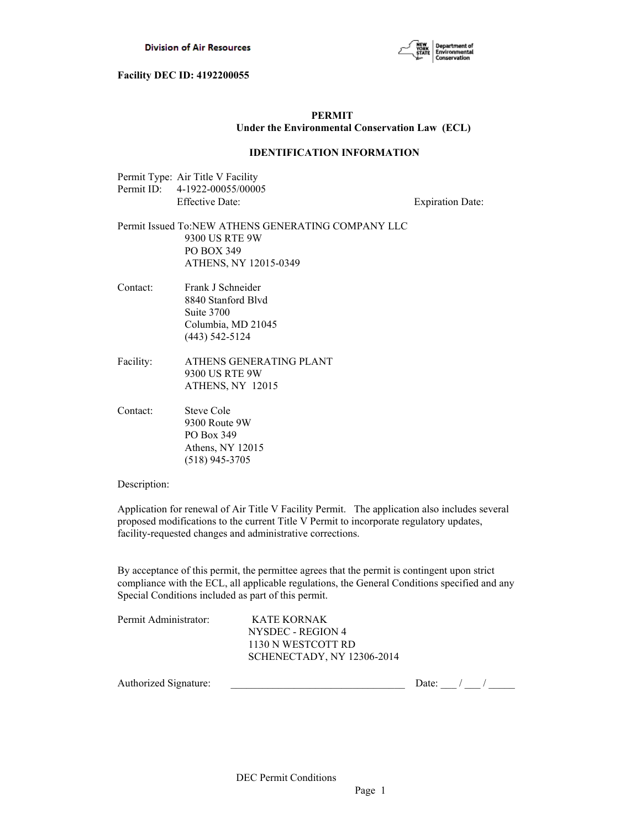

# **PERMIT Under the Environmental Conservation Law (ECL)**

# **IDENTIFICATION INFORMATION**

| Permit Type: Air Title V Facility |
|-----------------------------------|
| Permit ID: 4-1922-00055/00005     |
| <b>Effective Date:</b>            |

Expiration Date:

# Permit Issued To:NEW ATHENS GENERATING COMPANY LLC 9300 US RTE 9W PO BOX 349 ATHENS, NY 12015-0349

- Contact: Frank J Schneider 8840 Stanford Blvd Suite 3700 Columbia, MD 21045 (443) 542-5124
- Facility: ATHENS GENERATING PLANT 9300 US RTE 9W ATHENS, NY 12015
- Contact: Steve Cole 9300 Route 9W PO Box 349 Athens, NY 12015 (518) 945-3705

#### Description:

Application for renewal of Air Title V Facility Permit. The application also includes several proposed modifications to the current Title V Permit to incorporate regulatory updates, facility-requested changes and administrative corrections.

By acceptance of this permit, the permittee agrees that the permit is contingent upon strict compliance with the ECL, all applicable regulations, the General Conditions specified and any Special Conditions included as part of this permit.

| Permit Administrator: | KATE KORNAK                |  |
|-----------------------|----------------------------|--|
|                       | NYSDEC - REGION 4          |  |
|                       | 1130 N WESTCOTT RD         |  |
|                       | SCHENECTADY, NY 12306-2014 |  |
|                       |                            |  |

| Author<br>ature:<br>17.CO<br>$\sim$ |  |  |
|-------------------------------------|--|--|
|                                     |  |  |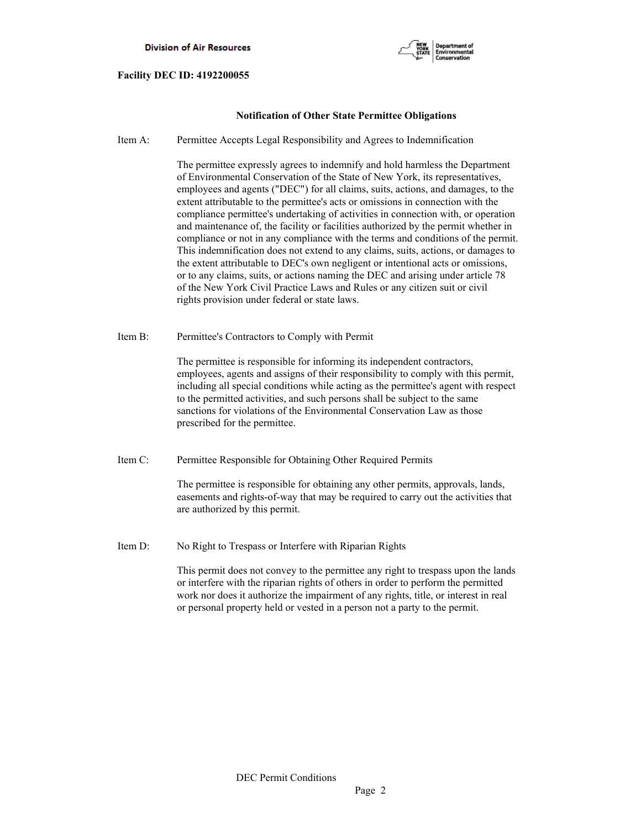

# **Notification of Other State Permittee Obligations**

Item A: Permittee Accepts Legal Responsibility and Agrees to Indemnification

 The permittee expressly agrees to indemnify and hold harmless the Department of Environmental Conservation of the State of New York, its representatives, employees and agents ("DEC") for all claims, suits, actions, and damages, to the extent attributable to the permittee's acts or omissions in connection with the compliance permittee's undertaking of activities in connection with, or operation and maintenance of, the facility or facilities authorized by the permit whether in compliance or not in any compliance with the terms and conditions of the permit. This indemnification does not extend to any claims, suits, actions, or damages to the extent attributable to DEC's own negligent or intentional acts or omissions, or to any claims, suits, or actions naming the DEC and arising under article 78 of the New York Civil Practice Laws and Rules or any citizen suit or civil rights provision under federal or state laws.

Item B: Permittee's Contractors to Comply with Permit

 The permittee is responsible for informing its independent contractors, employees, agents and assigns of their responsibility to comply with this permit, including all special conditions while acting as the permittee's agent with respect to the permitted activities, and such persons shall be subject to the same sanctions for violations of the Environmental Conservation Law as those prescribed for the permittee.

Item C: Permittee Responsible for Obtaining Other Required Permits

 The permittee is responsible for obtaining any other permits, approvals, lands, easements and rights-of-way that may be required to carry out the activities that are authorized by this permit.

Item D: No Right to Trespass or Interfere with Riparian Rights

 This permit does not convey to the permittee any right to trespass upon the lands or interfere with the riparian rights of others in order to perform the permitted work nor does it authorize the impairment of any rights, title, or interest in real or personal property held or vested in a person not a party to the permit.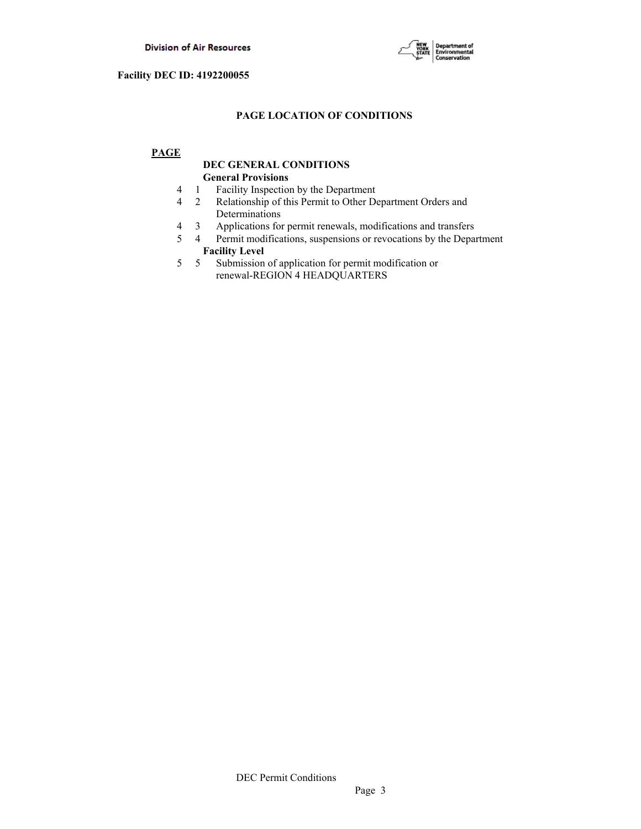

# **PAGE LOCATION OF CONDITIONS**

# **PAGE**

# **DEC GENERAL CONDITIONS General Provisions**

- 4 1 Facility Inspection by the Department
- 4 2 Relationship of this Permit to Other Department Orders and Determinations
- 4 3 Applications for permit renewals, modifications and transfers
- 5 4 Permit modifications, suspensions or revocations by the Department  **Facility Level**
- 5 5 Submission of application for permit modification or renewal-REGION 4 HEADQUARTERS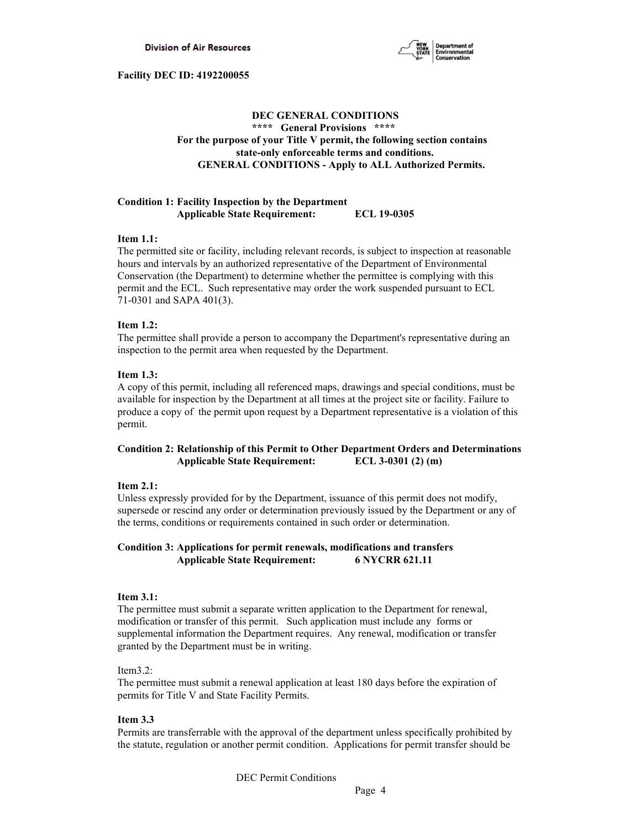

# **DEC GENERAL CONDITIONS \*\*\*\* General Provisions \*\*\*\* For the purpose of your Title V permit, the following section contains state-only enforceable terms and conditions. GENERAL CONDITIONS - Apply to ALL Authorized Permits.**

### **Condition 1: Facility Inspection by the Department Applicable State Requirement: ECL 19-0305**

# **Item 1.1:**

The permitted site or facility, including relevant records, is subject to inspection at reasonable hours and intervals by an authorized representative of the Department of Environmental Conservation (the Department) to determine whether the permittee is complying with this permit and the ECL. Such representative may order the work suspended pursuant to ECL 71-0301 and SAPA 401(3).

#### **Item 1.2:**

The permittee shall provide a person to accompany the Department's representative during an inspection to the permit area when requested by the Department.

#### **Item 1.3:**

A copy of this permit, including all referenced maps, drawings and special conditions, must be available for inspection by the Department at all times at the project site or facility. Failure to produce a copy of the permit upon request by a Department representative is a violation of this permit.

# **Condition 2: Relationship of this Permit to Other Department Orders and Determinations Applicable State Requirement: ECL 3-0301 (2) (m)**

#### **Item 2.1:**

Unless expressly provided for by the Department, issuance of this permit does not modify, supersede or rescind any order or determination previously issued by the Department or any of the terms, conditions or requirements contained in such order or determination.

# **Condition 3: Applications for permit renewals, modifications and transfers Applicable State Requirement: 6 NYCRR 621.11**

#### **Item 3.1:**

The permittee must submit a separate written application to the Department for renewal, modification or transfer of this permit. Such application must include any forms or supplemental information the Department requires. Any renewal, modification or transfer granted by the Department must be in writing.

#### Item3.2:

The permittee must submit a renewal application at least 180 days before the expiration of permits for Title V and State Facility Permits.

#### **Item 3.3**

Permits are transferrable with the approval of the department unless specifically prohibited by the statute, regulation or another permit condition. Applications for permit transfer should be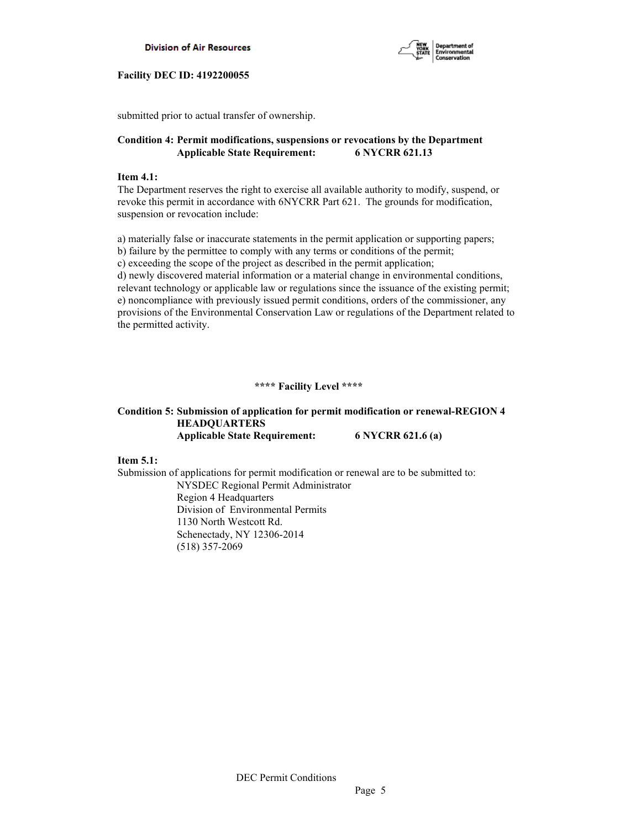



submitted prior to actual transfer of ownership.

# **Condition 4: Permit modifications, suspensions or revocations by the Department Applicable State Requirement: 6 NYCRR 621.13**

# **Item 4.1:**

The Department reserves the right to exercise all available authority to modify, suspend, or revoke this permit in accordance with 6NYCRR Part 621. The grounds for modification, suspension or revocation include:

a) materially false or inaccurate statements in the permit application or supporting papers; b) failure by the permittee to comply with any terms or conditions of the permit; c) exceeding the scope of the project as described in the permit application; d) newly discovered material information or a material change in environmental conditions, relevant technology or applicable law or regulations since the issuance of the existing permit; e) noncompliance with previously issued permit conditions, orders of the commissioner, any provisions of the Environmental Conservation Law or regulations of the Department related to the permitted activity.

# **\*\*\*\* Facility Level \*\*\*\***

# **Condition 5: Submission of application for permit modification or renewal-REGION 4 HEADQUARTERS Applicable State Requirement: 6 NYCRR 621.6 (a)**

**Item 5.1:**

Submission of applications for permit modification or renewal are to be submitted to: NYSDEC Regional Permit Administrator Region 4 Headquarters Division of Environmental Permits 1130 North Westcott Rd. Schenectady, NY 12306-2014 (518) 357-2069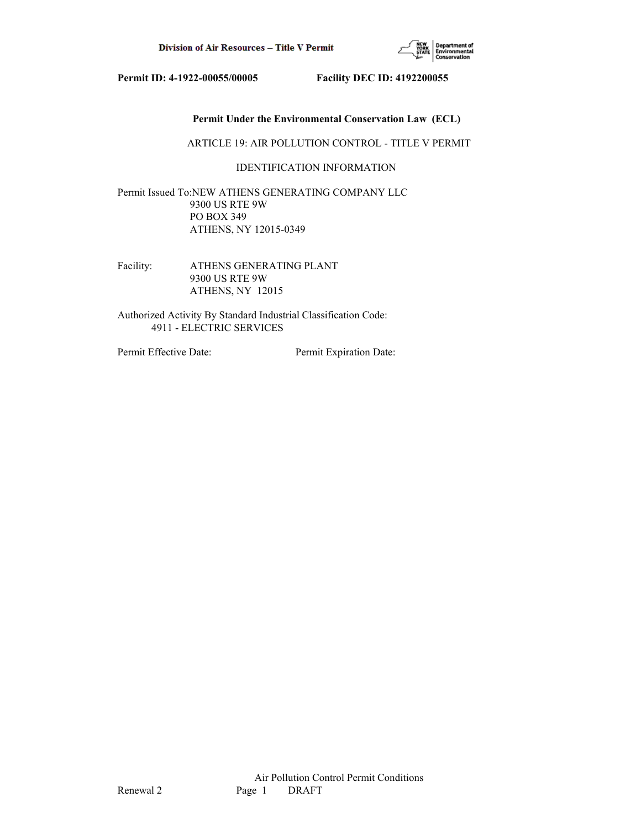

# **Permit Under the Environmental Conservation Law (ECL)**

# ARTICLE 19: AIR POLLUTION CONTROL - TITLE V PERMIT

# IDENTIFICATION INFORMATION

Permit Issued To:NEW ATHENS GENERATING COMPANY LLC 9300 US RTE 9W PO BOX 349 ATHENS, NY 12015-0349

Facility: ATHENS GENERATING PLANT 9300 US RTE 9W ATHENS, NY 12015

Authorized Activity By Standard Industrial Classification Code: 4911 - ELECTRIC SERVICES

Permit Effective Date: Permit Expiration Date: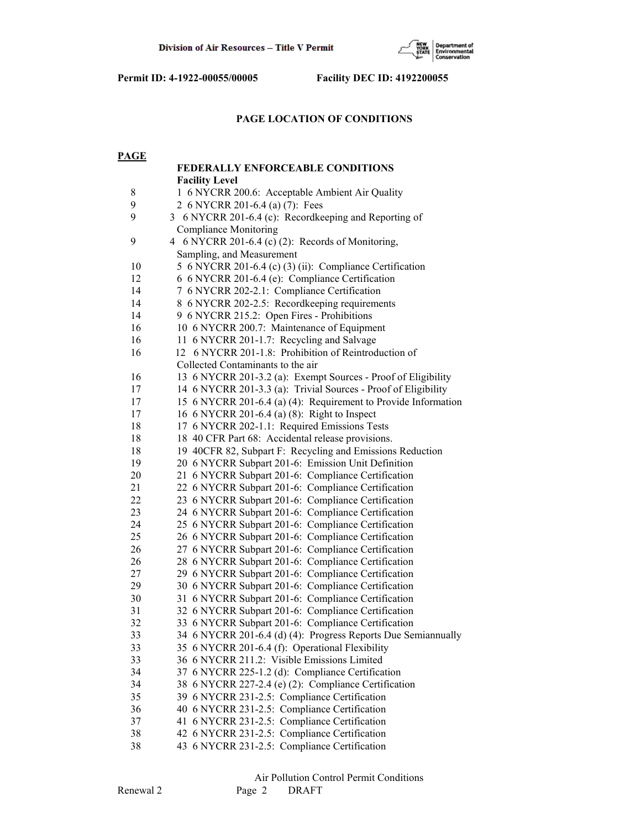

# **PAGE LOCATION OF CONDITIONS**

| <b>PAGE</b> |                                                                |  |  |
|-------------|----------------------------------------------------------------|--|--|
|             | <b>FEDERALLY ENFORCEABLE CONDITIONS</b>                        |  |  |
|             | <b>Facility Level</b>                                          |  |  |
| $8\,$       | 1 6 NYCRR 200.6: Acceptable Ambient Air Quality                |  |  |
| 9           | 2 6 NYCRR 201-6.4 (a) (7): Fees                                |  |  |
| 9           | 3 6 NYCRR 201-6.4 (c): Recordkeeping and Reporting of          |  |  |
|             | <b>Compliance Monitoring</b>                                   |  |  |
| 9           | 4 6 NYCRR 201-6.4 (c) (2): Records of Monitoring,              |  |  |
|             | Sampling, and Measurement                                      |  |  |
| 10          | 5 6 NYCRR 201-6.4 (c) (3) (ii): Compliance Certification       |  |  |
| 12          | 6 6 NYCRR 201-6.4 (e): Compliance Certification                |  |  |
| 14          | 7 6 NYCRR 202-2.1: Compliance Certification                    |  |  |
| 14          | 8 6 NYCRR 202-2.5: Recordkeeping requirements                  |  |  |
| 14          | 9 6 NYCRR 215.2: Open Fires - Prohibitions                     |  |  |
|             |                                                                |  |  |
| 16          | 10 6 NYCRR 200.7: Maintenance of Equipment                     |  |  |
| 16          | 11 6 NYCRR 201-1.7: Recycling and Salvage                      |  |  |
| 16          | 6 NYCRR 201-1.8: Prohibition of Reintroduction of<br>12        |  |  |
|             | Collected Contaminants to the air                              |  |  |
| 16          | 13 6 NYCRR 201-3.2 (a): Exempt Sources - Proof of Eligibility  |  |  |
| 17          | 14 6 NYCRR 201-3.3 (a): Trivial Sources - Proof of Eligibility |  |  |
| 17          | 15 6 NYCRR 201-6.4 (a) (4): Requirement to Provide Information |  |  |
| 17          | 16 6 NYCRR 201-6.4 (a) (8): Right to Inspect                   |  |  |
| 18          | 17 6 NYCRR 202-1.1: Required Emissions Tests                   |  |  |
| 18          | 18 40 CFR Part 68: Accidental release provisions.              |  |  |
| 18          | 19 40CFR 82, Subpart F: Recycling and Emissions Reduction      |  |  |
| 19          | 20 6 NYCRR Subpart 201-6: Emission Unit Definition             |  |  |
| 20          | 21 6 NYCRR Subpart 201-6: Compliance Certification             |  |  |
| 21          | 22 6 NYCRR Subpart 201-6: Compliance Certification             |  |  |
| 22          | 23 6 NYCRR Subpart 201-6: Compliance Certification             |  |  |
| 23          | 24 6 NYCRR Subpart 201-6: Compliance Certification             |  |  |
| 24          | 25 6 NYCRR Subpart 201-6: Compliance Certification             |  |  |
| 25          | 26 6 NYCRR Subpart 201-6: Compliance Certification             |  |  |
| 26          | 27 6 NYCRR Subpart 201-6: Compliance Certification             |  |  |
| 26          | 28 6 NYCRR Subpart 201-6: Compliance Certification             |  |  |
| 27          | 29 6 NYCRR Subpart 201-6: Compliance Certification             |  |  |
| 29          | 30 6 NYCRR Subpart 201-6: Compliance Certification             |  |  |
| 30          | 31 6 NYCRR Subpart 201-6: Compliance Certification             |  |  |
| 31          | 32 6 NYCRR Subpart 201-6: Compliance Certification             |  |  |
| 32          | 33 6 NYCRR Subpart 201-6: Compliance Certification             |  |  |
| 33          | 34 6 NYCRR 201-6.4 (d) (4): Progress Reports Due Semiannually  |  |  |
| 33          | 35 6 NYCRR 201-6.4 (f): Operational Flexibility                |  |  |
| 33          | 36 6 NYCRR 211.2: Visible Emissions Limited                    |  |  |
| 34          | 37 6 NYCRR 225-1.2 (d): Compliance Certification               |  |  |
| 34          | 38 6 NYCRR 227-2.4 (e) (2): Compliance Certification           |  |  |
| 35          | 39 6 NYCRR 231-2.5: Compliance Certification                   |  |  |
| 36          | 40 6 NYCRR 231-2.5: Compliance Certification                   |  |  |
| 37          | 41 6 NYCRR 231-2.5: Compliance Certification                   |  |  |
| 38          | 42 6 NYCRR 231-2.5: Compliance Certification                   |  |  |
| 38          | 43 6 NYCRR 231-2.5: Compliance Certification                   |  |  |
|             |                                                                |  |  |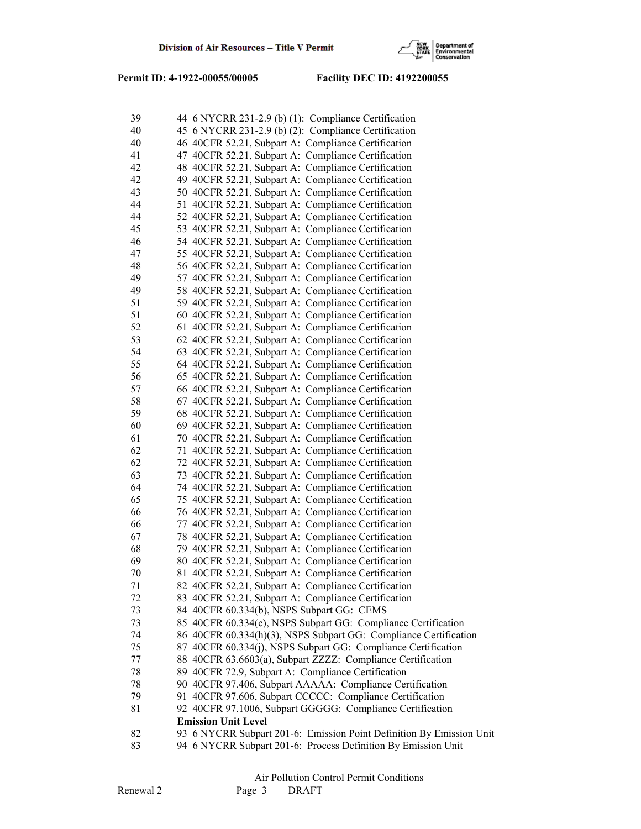

| 39 | 44 6 NYCRR 231-2.9 (b) (1): Compliance Certification                 |
|----|----------------------------------------------------------------------|
| 40 | 45 6 NYCRR 231-2.9 (b) (2): Compliance Certification                 |
| 40 | 46 40CFR 52.21, Subpart A: Compliance Certification                  |
| 41 | 47 40CFR 52.21, Subpart A: Compliance Certification                  |
| 42 | 48 40CFR 52.21, Subpart A: Compliance Certification                  |
| 42 | 49 40CFR 52.21, Subpart A: Compliance Certification                  |
| 43 | 50 40CFR 52.21, Subpart A: Compliance Certification                  |
| 44 | 51 40CFR 52.21, Subpart A: Compliance Certification                  |
| 44 | 52 40CFR 52.21, Subpart A: Compliance Certification                  |
| 45 | 53 40CFR 52.21, Subpart A: Compliance Certification                  |
| 46 | 54 40CFR 52.21, Subpart A: Compliance Certification                  |
| 47 | 55 40CFR 52.21, Subpart A: Compliance Certification                  |
| 48 | 56 40CFR 52.21, Subpart A: Compliance Certification                  |
| 49 | 57 40CFR 52.21, Subpart A: Compliance Certification                  |
| 49 | 58 40CFR 52.21, Subpart A: Compliance Certification                  |
| 51 | 59 40CFR 52.21, Subpart A: Compliance Certification                  |
| 51 | 60 40CFR 52.21, Subpart A: Compliance Certification                  |
| 52 | 61 40CFR 52.21, Subpart A: Compliance Certification                  |
| 53 | 62 40CFR 52.21, Subpart A: Compliance Certification                  |
| 54 | 63 40CFR 52.21, Subpart A: Compliance Certification                  |
| 55 | 64 40CFR 52.21, Subpart A: Compliance Certification                  |
| 56 | 65 40CFR 52.21, Subpart A: Compliance Certification                  |
| 57 | 66 40CFR 52.21, Subpart A: Compliance Certification                  |
| 58 | 67 40CFR 52.21, Subpart A: Compliance Certification                  |
| 59 | 68 40CFR 52.21, Subpart A: Compliance Certification                  |
| 60 | 69 40CFR 52.21, Subpart A: Compliance Certification                  |
| 61 | 70 40CFR 52.21, Subpart A: Compliance Certification                  |
| 62 | 71 40CFR 52.21, Subpart A: Compliance Certification                  |
| 62 | 72 40CFR 52.21, Subpart A: Compliance Certification                  |
| 63 | 73 40CFR 52.21, Subpart A: Compliance Certification                  |
| 64 | 74 40CFR 52.21, Subpart A: Compliance Certification                  |
| 65 | 75 40CFR 52.21, Subpart A: Compliance Certification                  |
| 66 | 76 40CFR 52.21, Subpart A: Compliance Certification                  |
| 66 | 77 40CFR 52.21, Subpart A: Compliance Certification                  |
| 67 | 78 40CFR 52.21, Subpart A: Compliance Certification                  |
| 68 | 79 40CFR 52.21, Subpart A: Compliance Certification                  |
| 69 | 80 40CFR 52.21, Subpart A: Compliance Certification                  |
| 70 | 81 40CFR 52.21, Subpart A: Compliance Certification                  |
| 71 | 82 40CFR 52.21, Subpart A: Compliance Certification                  |
| 72 | 83 40CFR 52.21, Subpart A: Compliance Certification                  |
| 73 | 84 40CFR 60.334(b), NSPS Subpart GG: CEMS                            |
| 73 | 85 40CFR 60.334(c), NSPS Subpart GG: Compliance Certification        |
| 74 | 86 40CFR 60.334(h)(3), NSPS Subpart GG: Compliance Certification     |
| 75 | 87 40CFR 60.334(j), NSPS Subpart GG: Compliance Certification        |
| 77 | 88 40CFR 63.6603(a), Subpart ZZZZ: Compliance Certification          |
| 78 | 89 40CFR 72.9, Subpart A: Compliance Certification                   |
| 78 | 90 40CFR 97.406, Subpart AAAAA: Compliance Certification             |
| 79 | 91 40CFR 97.606, Subpart CCCCC: Compliance Certification             |
| 81 | 92 40CFR 97.1006, Subpart GGGGG: Compliance Certification            |
|    | <b>Emission Unit Level</b>                                           |
| 82 | 93 6 NYCRR Subpart 201-6: Emission Point Definition By Emission Unit |
| 83 | 94 6 NYCRR Subpart 201-6: Process Definition By Emission Unit        |
|    |                                                                      |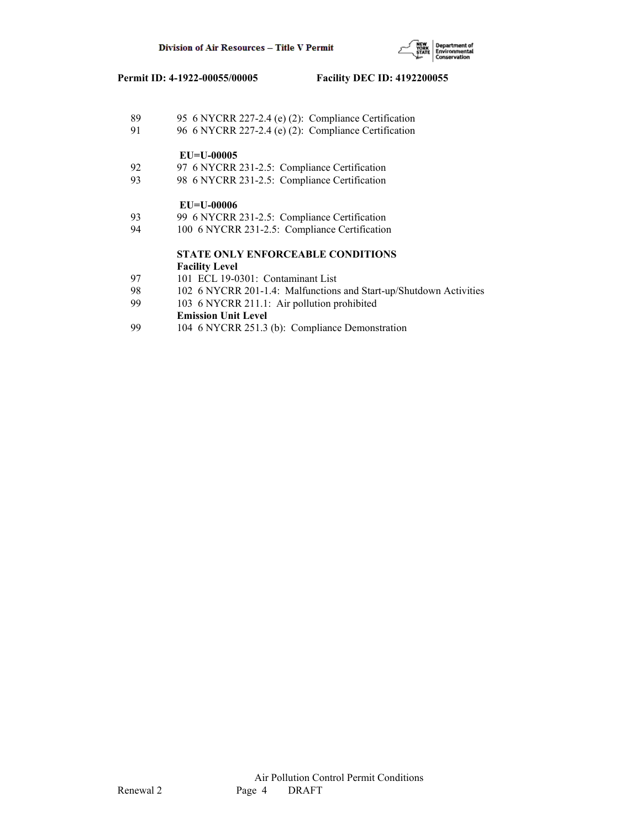

| 89 | 95 6 NYCRR 227-2.4 (e) (2): Compliance Certification               |
|----|--------------------------------------------------------------------|
| 91 | 96 6 NYCRR 227-2.4 (e) (2): Compliance Certification               |
|    | $EU=U-00005$                                                       |
| 92 | 97 6 NYCRR 231-2.5: Compliance Certification                       |
| 93 | 98 6 NYCRR 231-2.5: Compliance Certification                       |
|    | EU=U-00006                                                         |
| 93 | 99 6 NYCRR 231-2.5: Compliance Certification                       |
| 94 | 100 6 NYCRR 231-2.5: Compliance Certification                      |
|    | <b>STATE ONLY ENFORCEABLE CONDITIONS</b>                           |
|    | <b>Facility Level</b>                                              |
| 97 | 101 ECL 19-0301: Contaminant List                                  |
| 98 | 102 6 NYCRR 201-1.4: Malfunctions and Start-up/Shutdown Activities |
| 99 | 103 6 NYCRR 211.1: Air pollution prohibited                        |
|    |                                                                    |

# **Emission Unit Level**<br>99 104 6 NYCRR 251.3

104 6 NYCRR 251.3 (b): Compliance Demonstration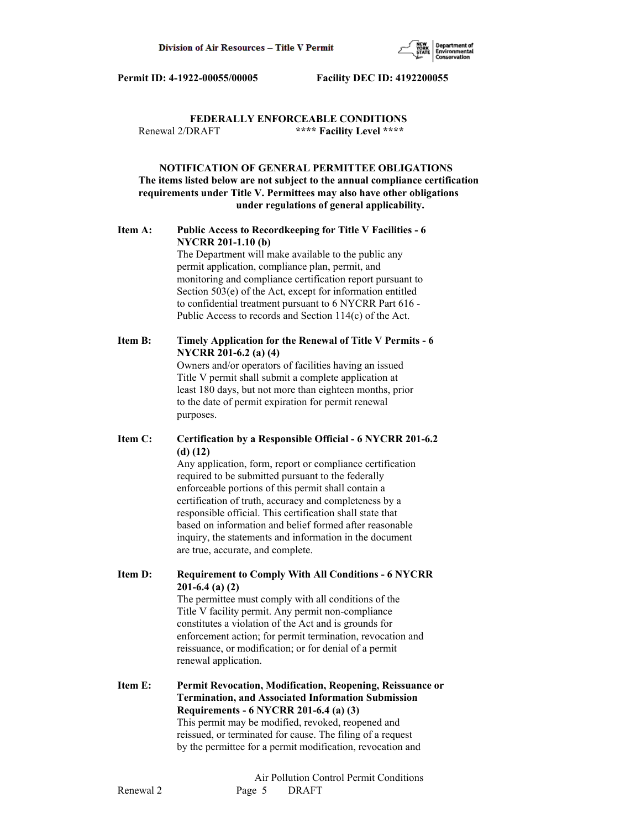

# **FEDERALLY ENFORCEABLE CONDITIONS** Renewal 2/DRAFT **\*\*\*\* Facility Level \*\*\*\***

# **NOTIFICATION OF GENERAL PERMITTEE OBLIGATIONS The items listed below are not subject to the annual compliance certification requirements under Title V. Permittees may also have other obligations under regulations of general applicability.**

# **Item A: Public Access to Recordkeeping for Title V Facilities - 6 NYCRR 201-1.10 (b)**

 The Department will make available to the public any permit application, compliance plan, permit, and monitoring and compliance certification report pursuant to Section 503(e) of the Act, except for information entitled to confidential treatment pursuant to 6 NYCRR Part 616 - Public Access to records and Section 114(c) of the Act.

# **Item B: Timely Application for the Renewal of Title V Permits - 6 NYCRR 201-6.2 (a) (4)**

 Owners and/or operators of facilities having an issued Title V permit shall submit a complete application at least 180 days, but not more than eighteen months, prior to the date of permit expiration for permit renewal purposes.

# **Item C: Certification by a Responsible Official - 6 NYCRR 201-6.2 (d) (12)**

 Any application, form, report or compliance certification required to be submitted pursuant to the federally enforceable portions of this permit shall contain a certification of truth, accuracy and completeness by a responsible official. This certification shall state that based on information and belief formed after reasonable inquiry, the statements and information in the document are true, accurate, and complete.

**Item D: Requirement to Comply With All Conditions - 6 NYCRR 201-6.4 (a) (2)**

 The permittee must comply with all conditions of the Title V facility permit. Any permit non-compliance constitutes a violation of the Act and is grounds for enforcement action; for permit termination, revocation and reissuance, or modification; or for denial of a permit renewal application.

**Item E: Permit Revocation, Modification, Reopening, Reissuance or Termination, and Associated Information Submission Requirements - 6 NYCRR 201-6.4 (a) (3)** This permit may be modified, revoked, reopened and reissued, or terminated for cause. The filing of a request by the permittee for a permit modification, revocation and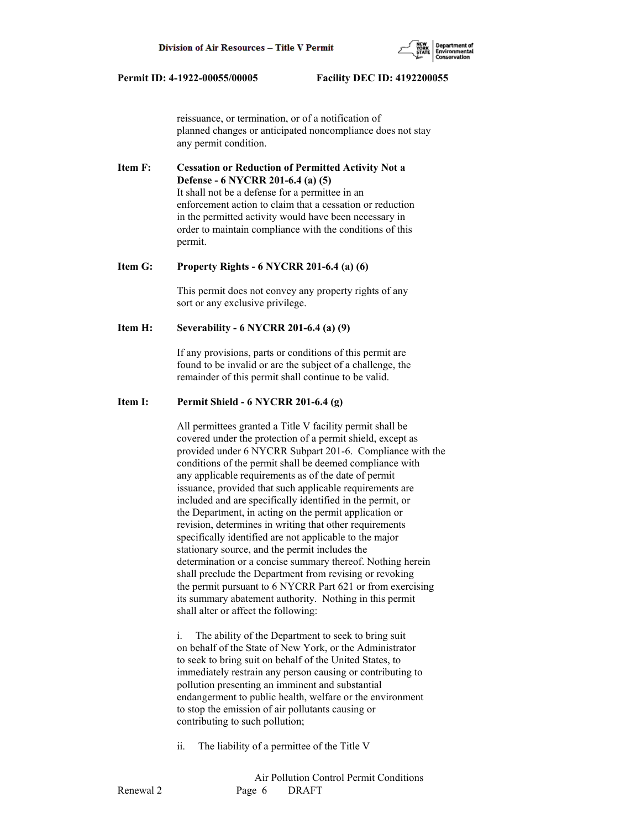reissuance, or termination, or of a notification of planned changes or anticipated noncompliance does not stay any permit condition.

**Item F: Cessation or Reduction of Permitted Activity Not a Defense - 6 NYCRR 201-6.4 (a) (5)** It shall not be a defense for a permittee in an enforcement action to claim that a cessation or reduction in the permitted activity would have been necessary in order to maintain compliance with the conditions of this permit.

#### **Item G: Property Rights - 6 NYCRR 201-6.4 (a) (6)**

 This permit does not convey any property rights of any sort or any exclusive privilege.

# **Item H: Severability - 6 NYCRR 201-6.4 (a) (9)**

 If any provisions, parts or conditions of this permit are found to be invalid or are the subject of a challenge, the remainder of this permit shall continue to be valid.

#### **Item I: Permit Shield - 6 NYCRR 201-6.4 (g)**

 All permittees granted a Title V facility permit shall be covered under the protection of a permit shield, except as provided under 6 NYCRR Subpart 201-6. Compliance with the conditions of the permit shall be deemed compliance with any applicable requirements as of the date of permit issuance, provided that such applicable requirements are included and are specifically identified in the permit, or the Department, in acting on the permit application or revision, determines in writing that other requirements specifically identified are not applicable to the major stationary source, and the permit includes the determination or a concise summary thereof. Nothing herein shall preclude the Department from revising or revoking the permit pursuant to 6 NYCRR Part 621 or from exercising its summary abatement authority. Nothing in this permit shall alter or affect the following:

 i. The ability of the Department to seek to bring suit on behalf of the State of New York, or the Administrator to seek to bring suit on behalf of the United States, to immediately restrain any person causing or contributing to pollution presenting an imminent and substantial endangerment to public health, welfare or the environment to stop the emission of air pollutants causing or contributing to such pollution;

ii. The liability of a permittee of the Title V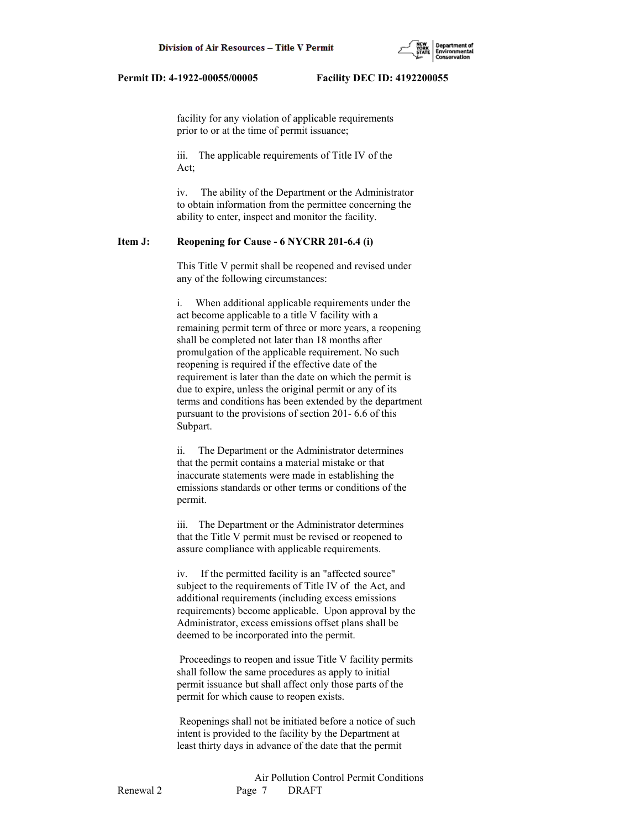

 facility for any violation of applicable requirements prior to or at the time of permit issuance;

 iii. The applicable requirements of Title IV of the Act;

 iv. The ability of the Department or the Administrator to obtain information from the permittee concerning the ability to enter, inspect and monitor the facility.

# **Item J: Reopening for Cause - 6 NYCRR 201-6.4 (i)**

 This Title V permit shall be reopened and revised under any of the following circumstances:

 i. When additional applicable requirements under the act become applicable to a title V facility with a remaining permit term of three or more years, a reopening shall be completed not later than 18 months after promulgation of the applicable requirement. No such reopening is required if the effective date of the requirement is later than the date on which the permit is due to expire, unless the original permit or any of its terms and conditions has been extended by the department pursuant to the provisions of section 201- 6.6 of this Subpart.

 ii. The Department or the Administrator determines that the permit contains a material mistake or that inaccurate statements were made in establishing the emissions standards or other terms or conditions of the permit.

 iii. The Department or the Administrator determines that the Title V permit must be revised or reopened to assure compliance with applicable requirements.

 iv. If the permitted facility is an "affected source" subject to the requirements of Title IV of the Act, and additional requirements (including excess emissions requirements) become applicable. Upon approval by the Administrator, excess emissions offset plans shall be deemed to be incorporated into the permit.

 Proceedings to reopen and issue Title V facility permits shall follow the same procedures as apply to initial permit issuance but shall affect only those parts of the permit for which cause to reopen exists.

 Reopenings shall not be initiated before a notice of such intent is provided to the facility by the Department at least thirty days in advance of the date that the permit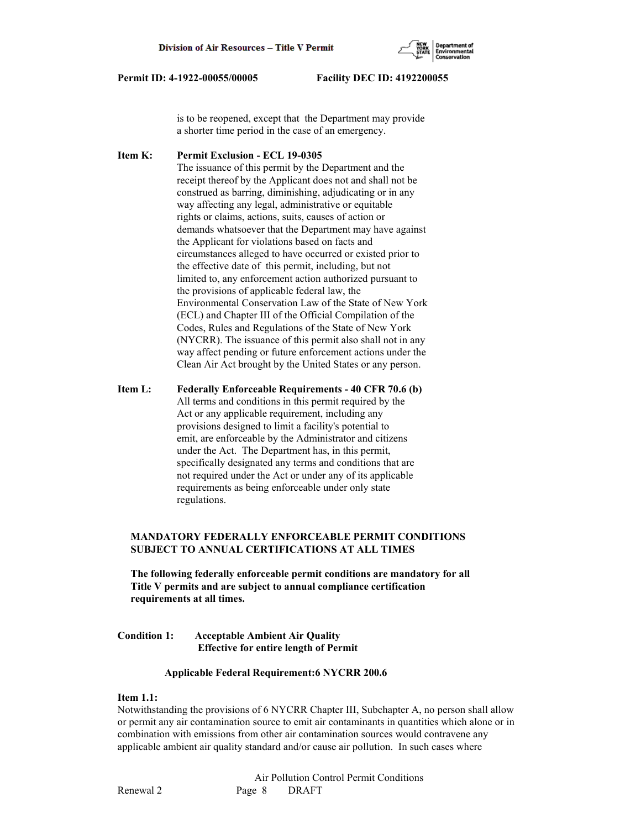

 is to be reopened, except that the Department may provide a shorter time period in the case of an emergency.

**Item K: Permit Exclusion - ECL 19-0305** The issuance of this permit by the Department and the receipt thereof by the Applicant does not and shall not be construed as barring, diminishing, adjudicating or in any way affecting any legal, administrative or equitable rights or claims, actions, suits, causes of action or demands whatsoever that the Department may have against the Applicant for violations based on facts and circumstances alleged to have occurred or existed prior to the effective date of this permit, including, but not limited to, any enforcement action authorized pursuant to the provisions of applicable federal law, the Environmental Conservation Law of the State of New York (ECL) and Chapter III of the Official Compilation of the Codes, Rules and Regulations of the State of New York (NYCRR). The issuance of this permit also shall not in any way affect pending or future enforcement actions under the Clean Air Act brought by the United States or any person.

**Item L: Federally Enforceable Requirements - 40 CFR 70.6 (b)** All terms and conditions in this permit required by the Act or any applicable requirement, including any provisions designed to limit a facility's potential to emit, are enforceable by the Administrator and citizens under the Act. The Department has, in this permit, specifically designated any terms and conditions that are not required under the Act or under any of its applicable requirements as being enforceable under only state regulations.

# **MANDATORY FEDERALLY ENFORCEABLE PERMIT CONDITIONS SUBJECT TO ANNUAL CERTIFICATIONS AT ALL TIMES**

 **The following federally enforceable permit conditions are mandatory for all Title V permits and are subject to annual compliance certification requirements at all times.**

# **Condition 1: Acceptable Ambient Air Quality Effective for entire length of Permit**

# **Applicable Federal Requirement:6 NYCRR 200.6**

# **Item 1.1:**

Notwithstanding the provisions of 6 NYCRR Chapter III, Subchapter A, no person shall allow or permit any air contamination source to emit air contaminants in quantities which alone or in combination with emissions from other air contamination sources would contravene any applicable ambient air quality standard and/or cause air pollution. In such cases where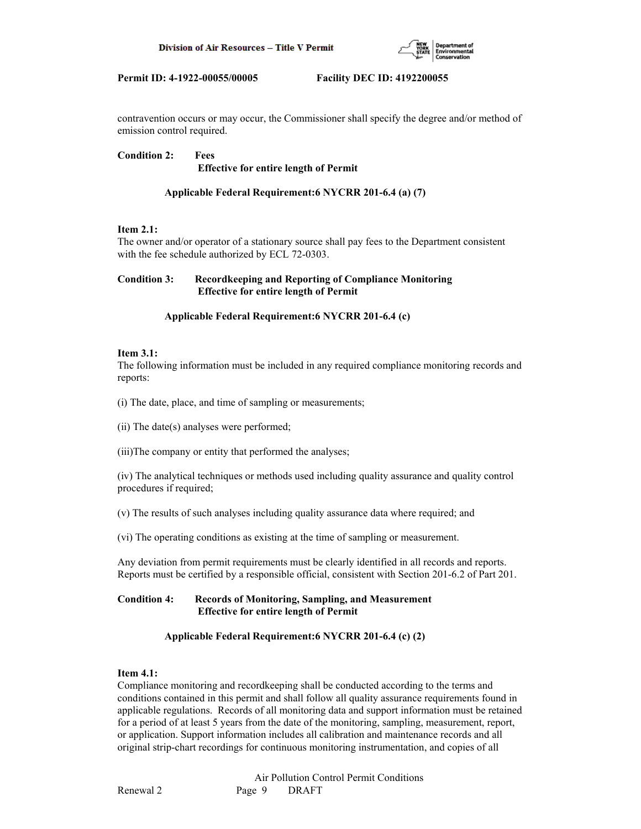

contravention occurs or may occur, the Commissioner shall specify the degree and/or method of emission control required.

**Condition 2: Fees Effective for entire length of Permit**

# **Applicable Federal Requirement:6 NYCRR 201-6.4 (a) (7)**

# **Item 2.1:**

The owner and/or operator of a stationary source shall pay fees to the Department consistent with the fee schedule authorized by ECL 72-0303.

# **Condition 3: Recordkeeping and Reporting of Compliance Monitoring Effective for entire length of Permit**

# **Applicable Federal Requirement:6 NYCRR 201-6.4 (c)**

# **Item 3.1:**

The following information must be included in any required compliance monitoring records and reports:

(i) The date, place, and time of sampling or measurements;

(ii) The date(s) analyses were performed;

(iii)The company or entity that performed the analyses;

(iv) The analytical techniques or methods used including quality assurance and quality control procedures if required;

(v) The results of such analyses including quality assurance data where required; and

(vi) The operating conditions as existing at the time of sampling or measurement.

Any deviation from permit requirements must be clearly identified in all records and reports. Reports must be certified by a responsible official, consistent with Section 201-6.2 of Part 201.

# **Condition 4: Records of Monitoring, Sampling, and Measurement Effective for entire length of Permit**

# **Applicable Federal Requirement:6 NYCRR 201-6.4 (c) (2)**

# **Item 4.1:**

Compliance monitoring and recordkeeping shall be conducted according to the terms and conditions contained in this permit and shall follow all quality assurance requirements found in applicable regulations. Records of all monitoring data and support information must be retained for a period of at least 5 years from the date of the monitoring, sampling, measurement, report, or application. Support information includes all calibration and maintenance records and all original strip-chart recordings for continuous monitoring instrumentation, and copies of all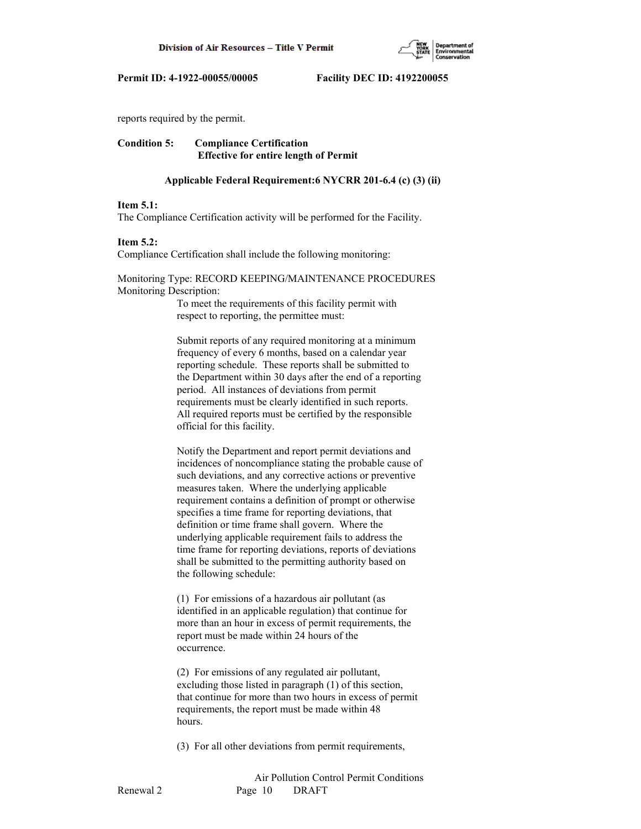

reports required by the permit.

# **Condition 5: Compliance Certification Effective for entire length of Permit**

# **Applicable Federal Requirement:6 NYCRR 201-6.4 (c) (3) (ii)**

#### **Item 5.1:**

The Compliance Certification activity will be performed for the Facility.

#### **Item 5.2:**

Compliance Certification shall include the following monitoring:

# Monitoring Type: RECORD KEEPING/MAINTENANCE PROCEDURES Monitoring Description:

 To meet the requirements of this facility permit with respect to reporting, the permittee must:

 Submit reports of any required monitoring at a minimum frequency of every 6 months, based on a calendar year reporting schedule. These reports shall be submitted to the Department within 30 days after the end of a reporting period. All instances of deviations from permit requirements must be clearly identified in such reports. All required reports must be certified by the responsible official for this facility.

 Notify the Department and report permit deviations and incidences of noncompliance stating the probable cause of such deviations, and any corrective actions or preventive measures taken. Where the underlying applicable requirement contains a definition of prompt or otherwise specifies a time frame for reporting deviations, that definition or time frame shall govern. Where the underlying applicable requirement fails to address the time frame for reporting deviations, reports of deviations shall be submitted to the permitting authority based on the following schedule:

 (1) For emissions of a hazardous air pollutant (as identified in an applicable regulation) that continue for more than an hour in excess of permit requirements, the report must be made within 24 hours of the occurrence.

 (2) For emissions of any regulated air pollutant, excluding those listed in paragraph (1) of this section, that continue for more than two hours in excess of permit requirements, the report must be made within 48 hours.

(3) For all other deviations from permit requirements,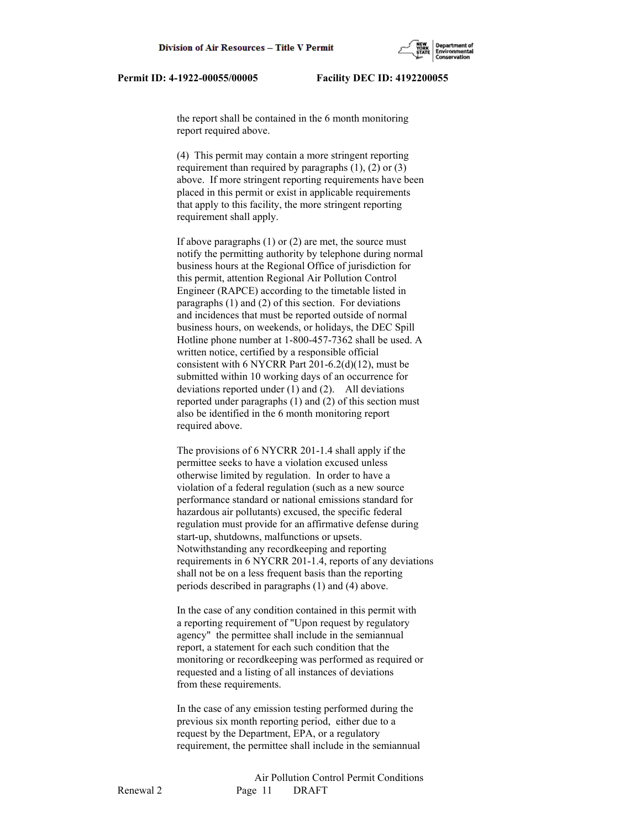the report shall be contained in the 6 month monitoring report required above.

 (4) This permit may contain a more stringent reporting requirement than required by paragraphs  $(1)$ ,  $(2)$  or  $(3)$  above. If more stringent reporting requirements have been placed in this permit or exist in applicable requirements that apply to this facility, the more stringent reporting requirement shall apply.

 If above paragraphs (1) or (2) are met, the source must notify the permitting authority by telephone during normal business hours at the Regional Office of jurisdiction for this permit, attention Regional Air Pollution Control Engineer (RAPCE) according to the timetable listed in paragraphs (1) and (2) of this section. For deviations and incidences that must be reported outside of normal business hours, on weekends, or holidays, the DEC Spill Hotline phone number at 1-800-457-7362 shall be used. A written notice, certified by a responsible official consistent with 6 NYCRR Part 201-6.2(d)(12), must be submitted within 10 working days of an occurrence for deviations reported under (1) and (2). All deviations reported under paragraphs (1) and (2) of this section must also be identified in the 6 month monitoring report required above.

 The provisions of 6 NYCRR 201-1.4 shall apply if the permittee seeks to have a violation excused unless otherwise limited by regulation. In order to have a violation of a federal regulation (such as a new source performance standard or national emissions standard for hazardous air pollutants) excused, the specific federal regulation must provide for an affirmative defense during start-up, shutdowns, malfunctions or upsets. Notwithstanding any recordkeeping and reporting requirements in 6 NYCRR 201-1.4, reports of any deviations shall not be on a less frequent basis than the reporting periods described in paragraphs (1) and (4) above.

 In the case of any condition contained in this permit with a reporting requirement of "Upon request by regulatory agency" the permittee shall include in the semiannual report, a statement for each such condition that the monitoring or recordkeeping was performed as required or requested and a listing of all instances of deviations from these requirements.

 In the case of any emission testing performed during the previous six month reporting period, either due to a request by the Department, EPA, or a regulatory requirement, the permittee shall include in the semiannual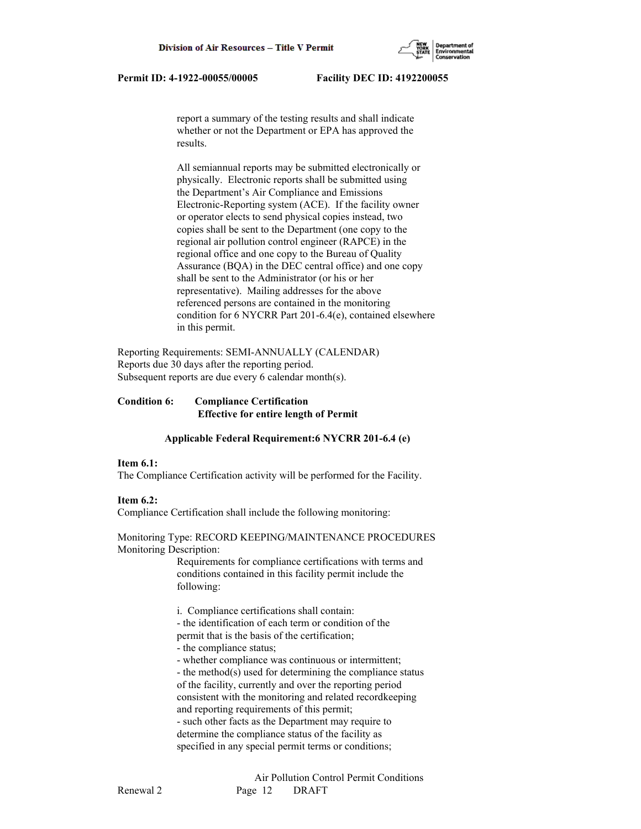report a summary of the testing results and shall indicate whether or not the Department or EPA has approved the results.

 All semiannual reports may be submitted electronically or physically. Electronic reports shall be submitted using the Department's Air Compliance and Emissions Electronic-Reporting system (ACE). If the facility owner or operator elects to send physical copies instead, two copies shall be sent to the Department (one copy to the regional air pollution control engineer (RAPCE) in the regional office and one copy to the Bureau of Quality Assurance (BQA) in the DEC central office) and one copy shall be sent to the Administrator (or his or her representative). Mailing addresses for the above referenced persons are contained in the monitoring condition for 6 NYCRR Part 201-6.4(e), contained elsewhere in this permit.

Reporting Requirements: SEMI-ANNUALLY (CALENDAR) Reports due 30 days after the reporting period. Subsequent reports are due every 6 calendar month(s).

# **Condition 6: Compliance Certification Effective for entire length of Permit**

# **Applicable Federal Requirement:6 NYCRR 201-6.4 (e)**

# **Item 6.1:**

The Compliance Certification activity will be performed for the Facility.

# **Item 6.2:**

Compliance Certification shall include the following monitoring:

#### Monitoring Type: RECORD KEEPING/MAINTENANCE PROCEDURES Monitoring Description:

 Requirements for compliance certifications with terms and conditions contained in this facility permit include the following:

i. Compliance certifications shall contain:

- the identification of each term or condition of the

permit that is the basis of the certification;

- the compliance status;
- whether compliance was continuous or intermittent;

 - the method(s) used for determining the compliance status of the facility, currently and over the reporting period consistent with the monitoring and related recordkeeping and reporting requirements of this permit; - such other facts as the Department may require to determine the compliance status of the facility as specified in any special permit terms or conditions;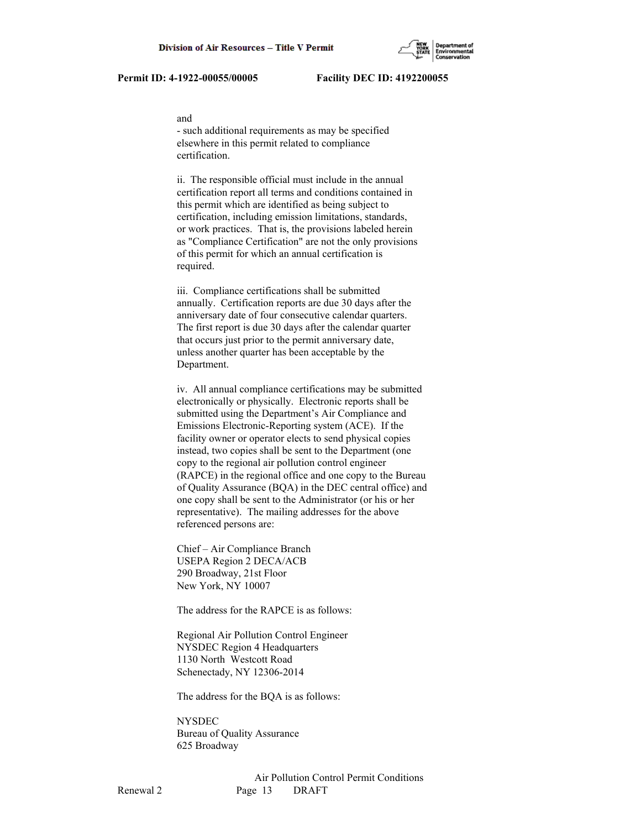#### and

 - such additional requirements as may be specified elsewhere in this permit related to compliance certification.

 ii. The responsible official must include in the annual certification report all terms and conditions contained in this permit which are identified as being subject to certification, including emission limitations, standards, or work practices. That is, the provisions labeled herein as "Compliance Certification" are not the only provisions of this permit for which an annual certification is required.

 iii. Compliance certifications shall be submitted annually. Certification reports are due 30 days after the anniversary date of four consecutive calendar quarters. The first report is due 30 days after the calendar quarter that occurs just prior to the permit anniversary date, unless another quarter has been acceptable by the Department.

 iv. All annual compliance certifications may be submitted electronically or physically. Electronic reports shall be submitted using the Department's Air Compliance and Emissions Electronic-Reporting system (ACE). If the facility owner or operator elects to send physical copies instead, two copies shall be sent to the Department (one copy to the regional air pollution control engineer (RAPCE) in the regional office and one copy to the Bureau of Quality Assurance (BQA) in the DEC central office) and one copy shall be sent to the Administrator (or his or her representative). The mailing addresses for the above referenced persons are:

 Chief – Air Compliance Branch USEPA Region 2 DECA/ACB 290 Broadway, 21st Floor New York, NY 10007

The address for the RAPCE is as follows:

 Regional Air Pollution Control Engineer NYSDEC Region 4 Headquarters 1130 North Westcott Road Schenectady, NY 12306-2014

The address for the BQA is as follows:

 NYSDEC Bureau of Quality Assurance 625 Broadway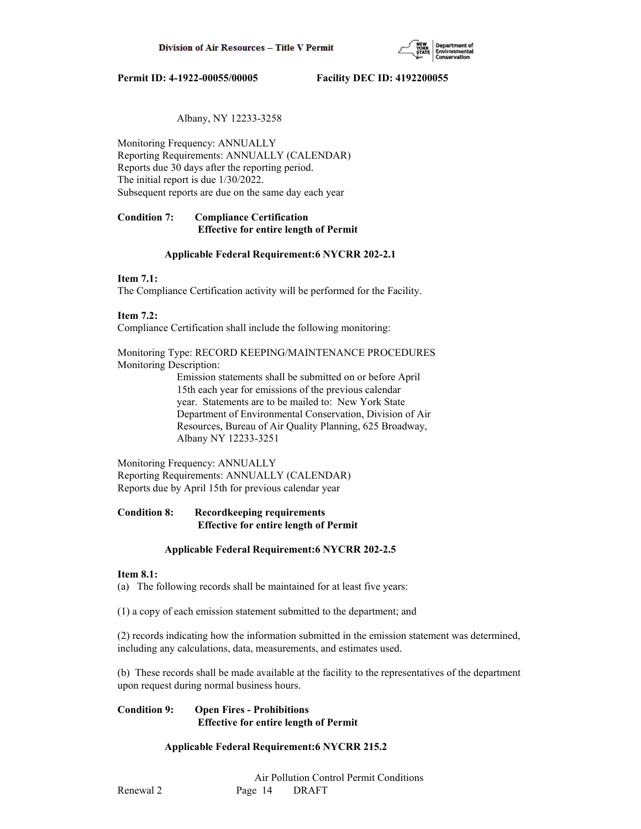

# Albany, NY 12233-3258

Monitoring Frequency: ANNUALLY Reporting Requirements: ANNUALLY (CALENDAR) Reports due 30 days after the reporting period. The initial report is due 1/30/2022. Subsequent reports are due on the same day each year

# **Condition 7: Compliance Certification Effective for entire length of Permit**

# **Applicable Federal Requirement:6 NYCRR 202-2.1**

# **Item 7.1:**

The Compliance Certification activity will be performed for the Facility.

# **Item 7.2:**

Compliance Certification shall include the following monitoring:

Monitoring Type: RECORD KEEPING/MAINTENANCE PROCEDURES Monitoring Description:

> Emission statements shall be submitted on or before April 15th each year for emissions of the previous calendar year. Statements are to be mailed to: New York State Department of Environmental Conservation, Division of Air Resources, Bureau of Air Quality Planning, 625 Broadway, Albany NY 12233-3251

Monitoring Frequency: ANNUALLY Reporting Requirements: ANNUALLY (CALENDAR) Reports due by April 15th for previous calendar year

# **Condition 8: Recordkeeping requirements Effective for entire length of Permit**

# **Applicable Federal Requirement:6 NYCRR 202-2.5**

# **Item 8.1:**

(a) The following records shall be maintained for at least five years:

(1) a copy of each emission statement submitted to the department; and

(2) records indicating how the information submitted in the emission statement was determined, including any calculations, data, measurements, and estimates used.

(b) These records shall be made available at the facility to the representatives of the department upon request during normal business hours.

# **Condition 9: Open Fires - Prohibitions Effective for entire length of Permit**

# **Applicable Federal Requirement:6 NYCRR 215.2**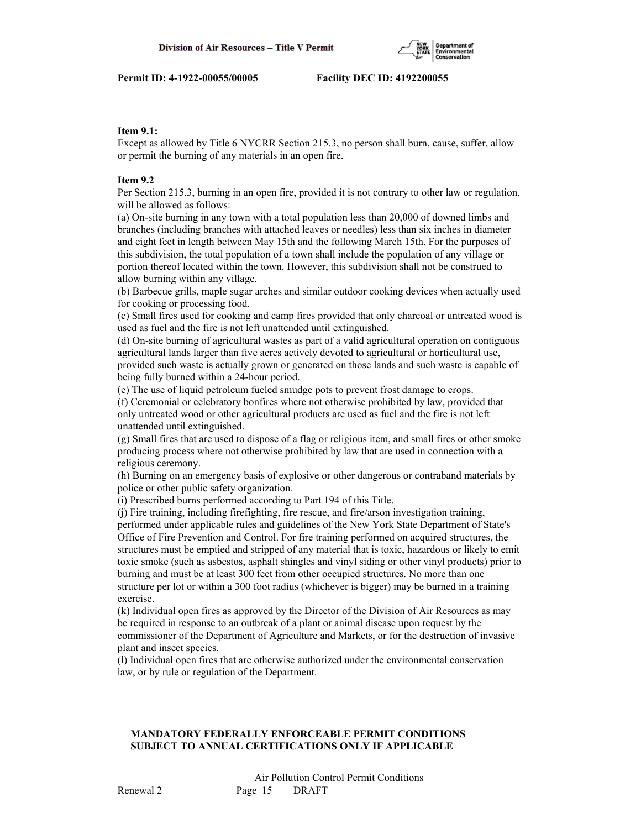# **Item 9.1:**

Except as allowed by Title 6 NYCRR Section 215.3, no person shall burn, cause, suffer, allow or permit the burning of any materials in an open fire.

# **Item 9.2**

Per Section 215.3, burning in an open fire, provided it is not contrary to other law or regulation, will be allowed as follows:

(a) On-site burning in any town with a total population less than 20,000 of downed limbs and branches (including branches with attached leaves or needles) less than six inches in diameter and eight feet in length between May 15th and the following March 15th. For the purposes of this subdivision, the total population of a town shall include the population of any village or portion thereof located within the town. However, this subdivision shall not be construed to allow burning within any village.

(b) Barbecue grills, maple sugar arches and similar outdoor cooking devices when actually used for cooking or processing food.

(c) Small fires used for cooking and camp fires provided that only charcoal or untreated wood is used as fuel and the fire is not left unattended until extinguished.

(d) On-site burning of agricultural wastes as part of a valid agricultural operation on contiguous agricultural lands larger than five acres actively devoted to agricultural or horticultural use, provided such waste is actually grown or generated on those lands and such waste is capable of being fully burned within a 24-hour period.

(e) The use of liquid petroleum fueled smudge pots to prevent frost damage to crops.

(f) Ceremonial or celebratory bonfires where not otherwise prohibited by law, provided that only untreated wood or other agricultural products are used as fuel and the fire is not left unattended until extinguished.

(g) Small fires that are used to dispose of a flag or religious item, and small fires or other smoke producing process where not otherwise prohibited by law that are used in connection with a religious ceremony.

(h) Burning on an emergency basis of explosive or other dangerous or contraband materials by police or other public safety organization.

(i) Prescribed burns performed according to Part 194 of this Title.

(j) Fire training, including firefighting, fire rescue, and fire/arson investigation training, performed under applicable rules and guidelines of the New York State Department of State's Office of Fire Prevention and Control. For fire training performed on acquired structures, the structures must be emptied and stripped of any material that is toxic, hazardous or likely to emit toxic smoke (such as asbestos, asphalt shingles and vinyl siding or other vinyl products) prior to burning and must be at least 300 feet from other occupied structures. No more than one structure per lot or within a 300 foot radius (whichever is bigger) may be burned in a training exercise.

(k) Individual open fires as approved by the Director of the Division of Air Resources as may be required in response to an outbreak of a plant or animal disease upon request by the commissioner of the Department of Agriculture and Markets, or for the destruction of invasive plant and insect species.

(l) Individual open fires that are otherwise authorized under the environmental conservation law, or by rule or regulation of the Department.

# **MANDATORY FEDERALLY ENFORCEABLE PERMIT CONDITIONS SUBJECT TO ANNUAL CERTIFICATIONS ONLY IF APPLICABLE**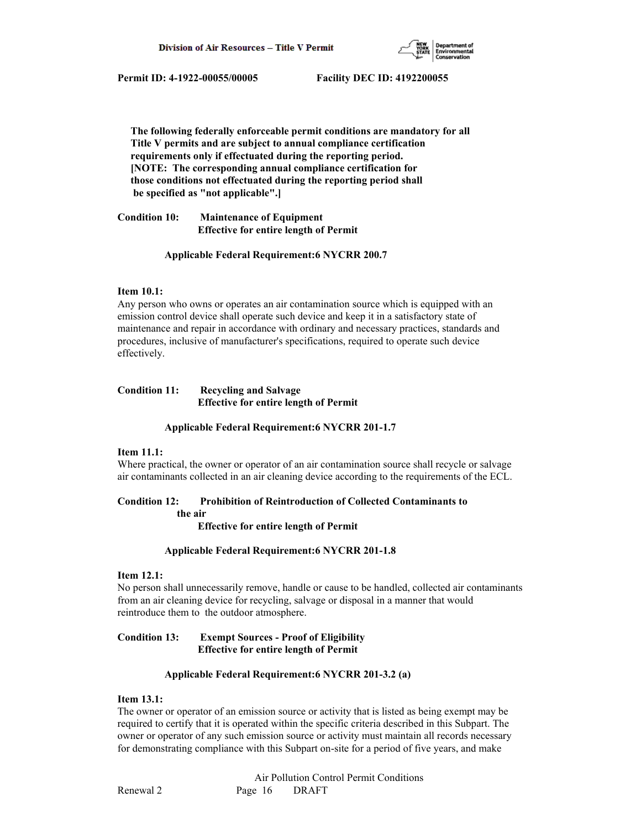

 **The following federally enforceable permit conditions are mandatory for all Title V permits and are subject to annual compliance certification requirements only if effectuated during the reporting period. [NOTE: The corresponding annual compliance certification for those conditions not effectuated during the reporting period shall be specified as "not applicable".]**

**Condition 10: Maintenance of Equipment Effective for entire length of Permit**

# **Applicable Federal Requirement:6 NYCRR 200.7**

# **Item 10.1:**

Any person who owns or operates an air contamination source which is equipped with an emission control device shall operate such device and keep it in a satisfactory state of maintenance and repair in accordance with ordinary and necessary practices, standards and procedures, inclusive of manufacturer's specifications, required to operate such device effectively.

# **Condition 11: Recycling and Salvage Effective for entire length of Permit**

#### **Applicable Federal Requirement:6 NYCRR 201-1.7**

# **Item 11.1:**

Where practical, the owner or operator of an air contamination source shall recycle or salvage air contaminants collected in an air cleaning device according to the requirements of the ECL.

# **Condition 12: Prohibition of Reintroduction of Collected Contaminants to**

 **the air**

 **Effective for entire length of Permit**

#### **Applicable Federal Requirement:6 NYCRR 201-1.8**

# **Item 12.1:**

No person shall unnecessarily remove, handle or cause to be handled, collected air contaminants from an air cleaning device for recycling, salvage or disposal in a manner that would reintroduce them to the outdoor atmosphere.

# **Condition 13: Exempt Sources - Proof of Eligibility Effective for entire length of Permit**

# **Applicable Federal Requirement:6 NYCRR 201-3.2 (a)**

# **Item 13.1:**

The owner or operator of an emission source or activity that is listed as being exempt may be required to certify that it is operated within the specific criteria described in this Subpart. The owner or operator of any such emission source or activity must maintain all records necessary for demonstrating compliance with this Subpart on-site for a period of five years, and make

 Air Pollution Control Permit Conditions Renewal 2 Page 16 DRAFT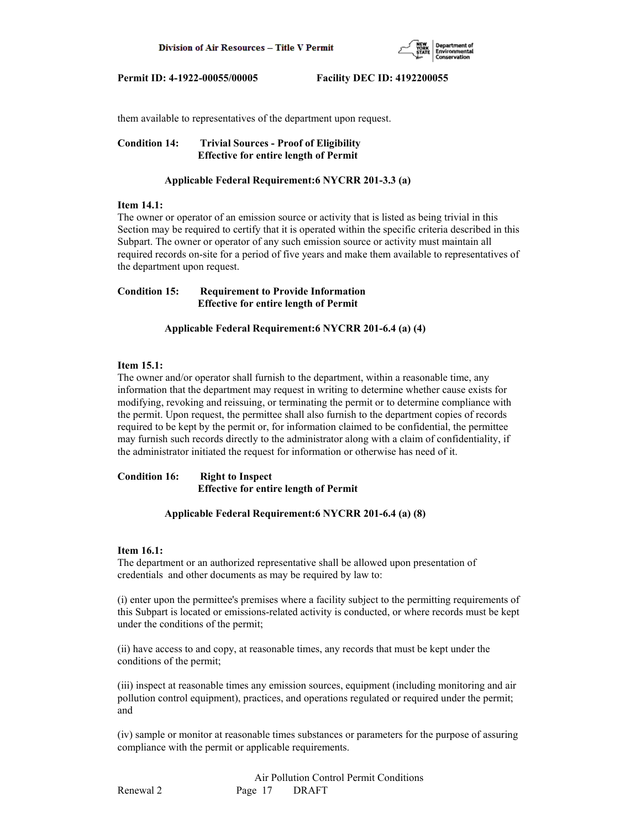

them available to representatives of the department upon request.

**Condition 14: Trivial Sources - Proof of Eligibility Effective for entire length of Permit**

### **Applicable Federal Requirement:6 NYCRR 201-3.3 (a)**

### **Item 14.1:**

The owner or operator of an emission source or activity that is listed as being trivial in this Section may be required to certify that it is operated within the specific criteria described in this Subpart. The owner or operator of any such emission source or activity must maintain all required records on-site for a period of five years and make them available to representatives of the department upon request.

**Condition 15: Requirement to Provide Information Effective for entire length of Permit**

 **Applicable Federal Requirement:6 NYCRR 201-6.4 (a) (4)**

# **Item 15.1:**

The owner and/or operator shall furnish to the department, within a reasonable time, any information that the department may request in writing to determine whether cause exists for modifying, revoking and reissuing, or terminating the permit or to determine compliance with the permit. Upon request, the permittee shall also furnish to the department copies of records required to be kept by the permit or, for information claimed to be confidential, the permittee may furnish such records directly to the administrator along with a claim of confidentiality, if the administrator initiated the request for information or otherwise has need of it.

**Condition 16: Right to Inspect Effective for entire length of Permit**

# **Applicable Federal Requirement:6 NYCRR 201-6.4 (a) (8)**

#### **Item 16.1:**

The department or an authorized representative shall be allowed upon presentation of credentials and other documents as may be required by law to:

(i) enter upon the permittee's premises where a facility subject to the permitting requirements of this Subpart is located or emissions-related activity is conducted, or where records must be kept under the conditions of the permit;

(ii) have access to and copy, at reasonable times, any records that must be kept under the conditions of the permit;

(iii) inspect at reasonable times any emission sources, equipment (including monitoring and air pollution control equipment), practices, and operations regulated or required under the permit; and

(iv) sample or monitor at reasonable times substances or parameters for the purpose of assuring compliance with the permit or applicable requirements.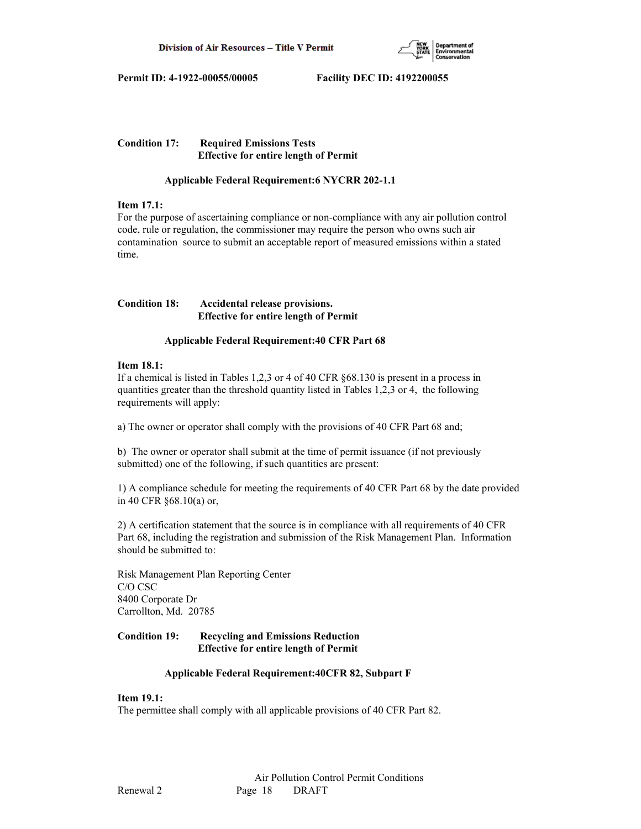

**Condition 17: Required Emissions Tests Effective for entire length of Permit**

# **Applicable Federal Requirement:6 NYCRR 202-1.1**

# **Item 17.1:**

For the purpose of ascertaining compliance or non-compliance with any air pollution control code, rule or regulation, the commissioner may require the person who owns such air contamination source to submit an acceptable report of measured emissions within a stated time.

# **Condition 18: Accidental release provisions. Effective for entire length of Permit**

# **Applicable Federal Requirement:40 CFR Part 68**

# **Item 18.1:**

If a chemical is listed in Tables 1,2,3 or 4 of 40 CFR §68.130 is present in a process in quantities greater than the threshold quantity listed in Tables 1,2,3 or 4, the following requirements will apply:

a) The owner or operator shall comply with the provisions of 40 CFR Part 68 and;

b) The owner or operator shall submit at the time of permit issuance (if not previously submitted) one of the following, if such quantities are present:

1) A compliance schedule for meeting the requirements of 40 CFR Part 68 by the date provided in 40 CFR §68.10(a) or,

2) A certification statement that the source is in compliance with all requirements of 40 CFR Part 68, including the registration and submission of the Risk Management Plan. Information should be submitted to:

Risk Management Plan Reporting Center C/O CSC 8400 Corporate Dr Carrollton, Md. 20785

# **Condition 19: Recycling and Emissions Reduction Effective for entire length of Permit**

# **Applicable Federal Requirement:40CFR 82, Subpart F**

# **Item 19.1:**

The permittee shall comply with all applicable provisions of 40 CFR Part 82.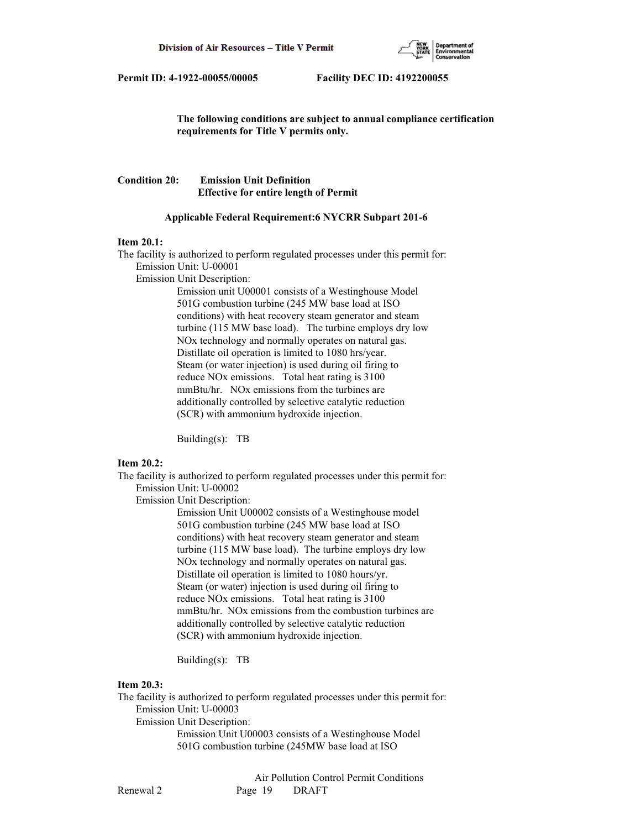

 **The following conditions are subject to annual compliance certification requirements for Title V permits only.**

# **Condition 20: Emission Unit Definition Effective for entire length of Permit**

#### **Applicable Federal Requirement:6 NYCRR Subpart 201-6**

#### **Item 20.1:**

The facility is authorized to perform regulated processes under this permit for: Emission Unit: U-00001 Emission Unit Description: Emission unit U00001 consists of a Westinghouse Model

 501G combustion turbine (245 MW base load at ISO conditions) with heat recovery steam generator and steam turbine (115 MW base load). The turbine employs dry low NOx technology and normally operates on natural gas. Distillate oil operation is limited to 1080 hrs/year. Steam (or water injection) is used during oil firing to reduce NOx emissions. Total heat rating is 3100 mmBtu/hr. NOx emissions from the turbines are additionally controlled by selective catalytic reduction (SCR) with ammonium hydroxide injection.

Building(s): TB

#### **Item 20.2:**

The facility is authorized to perform regulated processes under this permit for: Emission Unit: U-00002

Emission Unit Description:

 Emission Unit U00002 consists of a Westinghouse model 501G combustion turbine (245 MW base load at ISO conditions) with heat recovery steam generator and steam turbine (115 MW base load). The turbine employs dry low NOx technology and normally operates on natural gas. Distillate oil operation is limited to 1080 hours/yr. Steam (or water) injection is used during oil firing to reduce NOx emissions. Total heat rating is 3100 mmBtu/hr. NOx emissions from the combustion turbines are additionally controlled by selective catalytic reduction (SCR) with ammonium hydroxide injection.

Building(s): TB

### **Item 20.3:**

The facility is authorized to perform regulated processes under this permit for: Emission Unit: U-00003

Emission Unit Description:

 Emission Unit U00003 consists of a Westinghouse Model 501G combustion turbine (245MW base load at ISO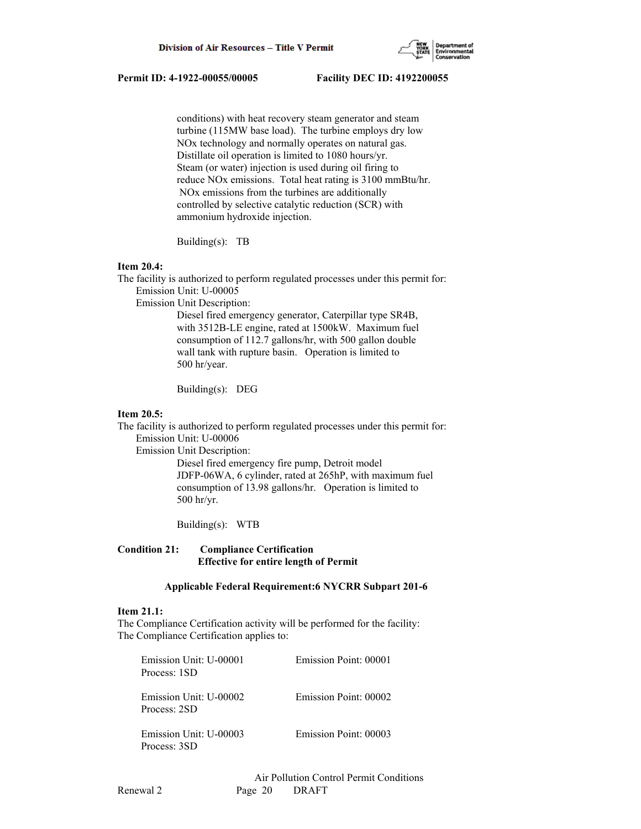

 conditions) with heat recovery steam generator and steam turbine (115MW base load). The turbine employs dry low NOx technology and normally operates on natural gas. Distillate oil operation is limited to 1080 hours/yr. Steam (or water) injection is used during oil firing to reduce NOx emissions. Total heat rating is 3100 mmBtu/hr. NOx emissions from the turbines are additionally controlled by selective catalytic reduction (SCR) with ammonium hydroxide injection.

Building(s): TB

# **Item 20.4:**

The facility is authorized to perform regulated processes under this permit for: Emission Unit: U-00005

Emission Unit Description:

 Diesel fired emergency generator, Caterpillar type SR4B, with 3512B-LE engine, rated at 1500kW. Maximum fuel consumption of 112.7 gallons/hr, with 500 gallon double wall tank with rupture basin. Operation is limited to 500 hr/year.

Building(s): DEG

### **Item 20.5:**

The facility is authorized to perform regulated processes under this permit for: Emission Unit: U-00006

Emission Unit Description:

 Diesel fired emergency fire pump, Detroit model JDFP-06WA, 6 cylinder, rated at 265hP, with maximum fuel consumption of 13.98 gallons/hr. Operation is limited to 500 hr/yr.

Building(s): WTB

# **Condition 21: Compliance Certification Effective for entire length of Permit**

# **Applicable Federal Requirement:6 NYCRR Subpart 201-6**

# **Item 21.1:**

The Compliance Certification activity will be performed for the facility: The Compliance Certification applies to:

| Emission Unit: U-00001<br>Process: 1SD | Emission Point: 00001 |
|----------------------------------------|-----------------------|
| Emission Unit: U-00002<br>Process: 2SD | Emission Point: 00002 |
| Emission Unit: U-00003<br>Process: 3SD | Emission Point: 00003 |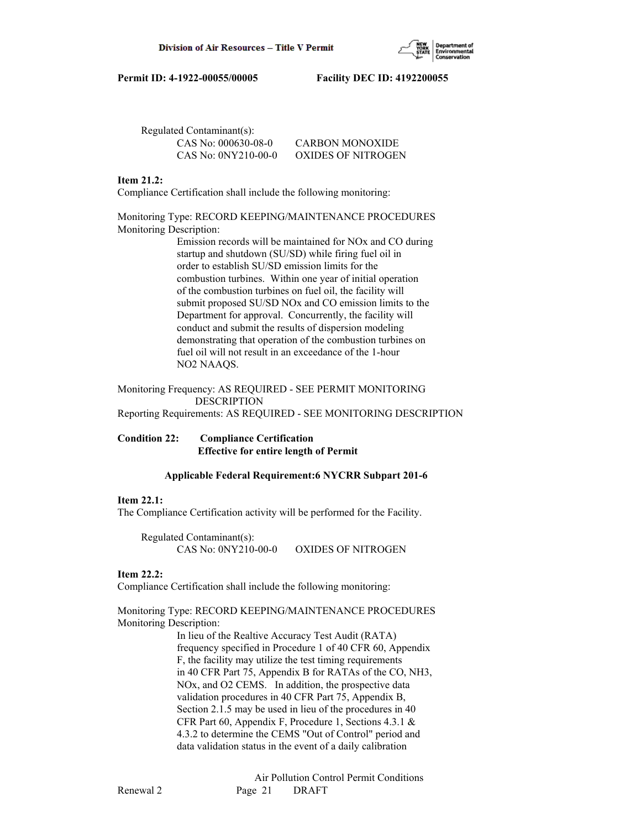

| Regulated Contaminant(s): |                           |
|---------------------------|---------------------------|
| CAS No: 000630-08-0       | <b>CARBON MONOXIDE</b>    |
| $CAS No: ONY210-00-0$     | <b>OXIDES OF NITROGEN</b> |

### **Item 21.2:**

Compliance Certification shall include the following monitoring:

Monitoring Type: RECORD KEEPING/MAINTENANCE PROCEDURES Monitoring Description:

> Emission records will be maintained for NOx and CO during startup and shutdown (SU/SD) while firing fuel oil in order to establish SU/SD emission limits for the combustion turbines. Within one year of initial operation of the combustion turbines on fuel oil, the facility will submit proposed SU/SD NOx and CO emission limits to the Department for approval. Concurrently, the facility will conduct and submit the results of dispersion modeling demonstrating that operation of the combustion turbines on fuel oil will not result in an exceedance of the 1-hour NO2 NAAQS.

Monitoring Frequency: AS REQUIRED - SEE PERMIT MONITORING DESCRIPTION

Reporting Requirements: AS REQUIRED - SEE MONITORING DESCRIPTION

# **Condition 22: Compliance Certification Effective for entire length of Permit**

# **Applicable Federal Requirement:6 NYCRR Subpart 201-6**

#### **Item 22.1:**

The Compliance Certification activity will be performed for the Facility.

 Regulated Contaminant(s): CAS No: 0NY210-00-0 OXIDES OF NITROGEN

#### **Item 22.2:**

Compliance Certification shall include the following monitoring:

Monitoring Type: RECORD KEEPING/MAINTENANCE PROCEDURES Monitoring Description:

> In lieu of the Realtive Accuracy Test Audit (RATA) frequency specified in Procedure 1 of 40 CFR 60, Appendix F, the facility may utilize the test timing requirements in 40 CFR Part 75, Appendix B for RATAs of the CO, NH3, NOx, and O2 CEMS. In addition, the prospective data validation procedures in 40 CFR Part 75, Appendix B, Section 2.1.5 may be used in lieu of the procedures in 40 CFR Part 60, Appendix F, Procedure 1, Sections 4.3.1 & 4.3.2 to determine the CEMS "Out of Control" period and data validation status in the event of a daily calibration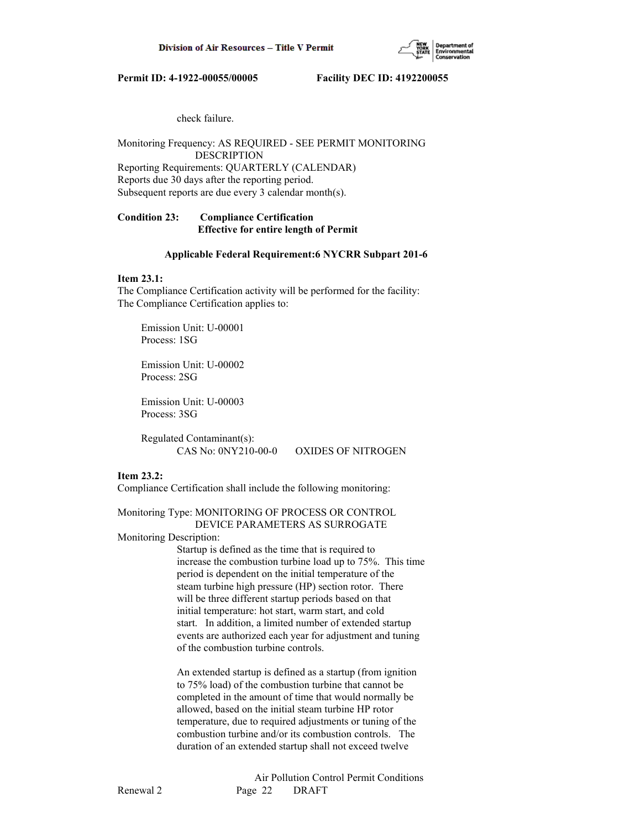

check failure.

Monitoring Frequency: AS REQUIRED - SEE PERMIT MONITORING DESCRIPTION Reporting Requirements: QUARTERLY (CALENDAR) Reports due 30 days after the reporting period. Subsequent reports are due every 3 calendar month(s).

**Condition 23: Compliance Certification**

# **Effective for entire length of Permit**

# **Applicable Federal Requirement:6 NYCRR Subpart 201-6**

# **Item 23.1:**

The Compliance Certification activity will be performed for the facility: The Compliance Certification applies to:

 Emission Unit: U-00001 Process: 1SG

 Emission Unit: U-00002 Process: 2SG

 Emission Unit: U-00003 Process: 3SG

 Regulated Contaminant(s): CAS No: 0NY210-00-0 OXIDES OF NITROGEN

# **Item 23.2:**

Compliance Certification shall include the following monitoring:

# Monitoring Type: MONITORING OF PROCESS OR CONTROL DEVICE PARAMETERS AS SURROGATE

Monitoring Description:

 Startup is defined as the time that is required to increase the combustion turbine load up to 75%. This time period is dependent on the initial temperature of the steam turbine high pressure (HP) section rotor. There will be three different startup periods based on that initial temperature: hot start, warm start, and cold start. In addition, a limited number of extended startup events are authorized each year for adjustment and tuning of the combustion turbine controls.

 An extended startup is defined as a startup (from ignition to 75% load) of the combustion turbine that cannot be completed in the amount of time that would normally be allowed, based on the initial steam turbine HP rotor temperature, due to required adjustments or tuning of the combustion turbine and/or its combustion controls. The duration of an extended startup shall not exceed twelve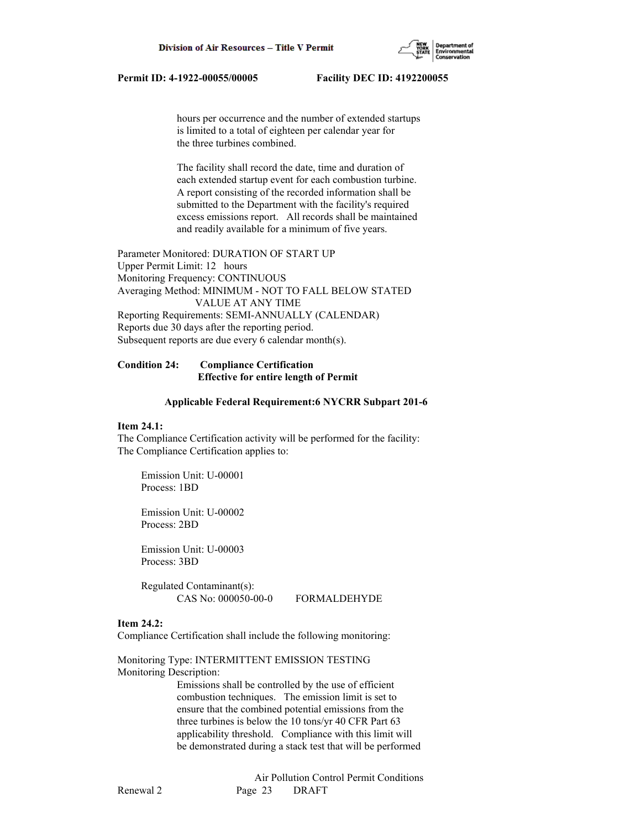

 hours per occurrence and the number of extended startups is limited to a total of eighteen per calendar year for the three turbines combined.

 The facility shall record the date, time and duration of each extended startup event for each combustion turbine. A report consisting of the recorded information shall be submitted to the Department with the facility's required excess emissions report. All records shall be maintained and readily available for a minimum of five years.

Parameter Monitored: DURATION OF START UP Upper Permit Limit: 12 hours Monitoring Frequency: CONTINUOUS Averaging Method: MINIMUM - NOT TO FALL BELOW STATED VALUE AT ANY TIME Reporting Requirements: SEMI-ANNUALLY (CALENDAR) Reports due 30 days after the reporting period. Subsequent reports are due every 6 calendar month(s).

# **Condition 24: Compliance Certification Effective for entire length of Permit**

#### **Applicable Federal Requirement:6 NYCRR Subpart 201-6**

# **Item 24.1:**

The Compliance Certification activity will be performed for the facility: The Compliance Certification applies to:

 Emission Unit: U-00001 Process: 1BD

 Emission Unit: U-00002 Process: 2BD

 Emission Unit: U-00003 Process: 3BD

 Regulated Contaminant(s): CAS No: 000050-00-0 FORMALDEHYDE

# **Item 24.2:**

Compliance Certification shall include the following monitoring:

Monitoring Type: INTERMITTENT EMISSION TESTING Monitoring Description:

> Emissions shall be controlled by the use of efficient combustion techniques. The emission limit is set to ensure that the combined potential emissions from the three turbines is below the 10 tons/yr 40 CFR Part 63 applicability threshold. Compliance with this limit will be demonstrated during a stack test that will be performed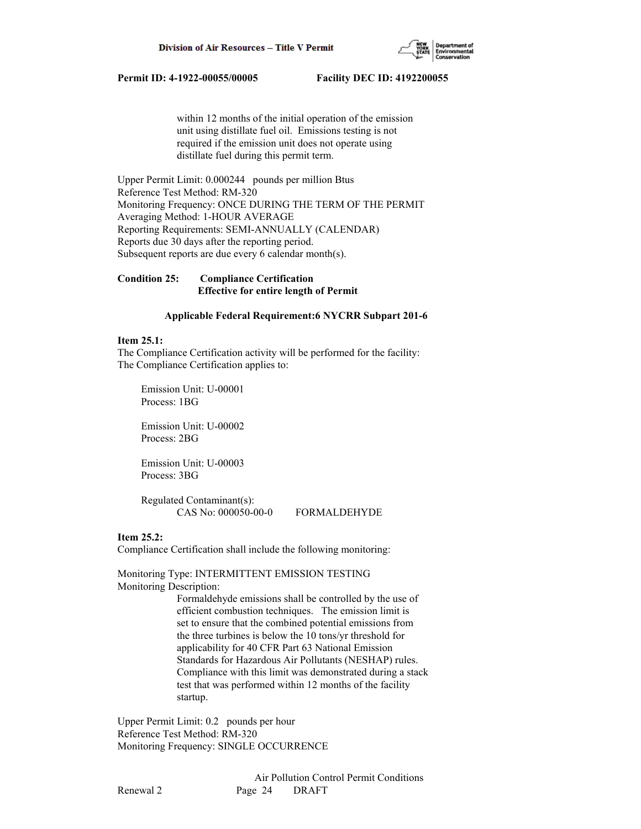

 within 12 months of the initial operation of the emission unit using distillate fuel oil. Emissions testing is not required if the emission unit does not operate using distillate fuel during this permit term.

Upper Permit Limit: 0.000244 pounds per million Btus Reference Test Method: RM-320 Monitoring Frequency: ONCE DURING THE TERM OF THE PERMIT Averaging Method: 1-HOUR AVERAGE Reporting Requirements: SEMI-ANNUALLY (CALENDAR) Reports due 30 days after the reporting period. Subsequent reports are due every 6 calendar month(s).

**Condition 25: Compliance Certification Effective for entire length of Permit**

### **Applicable Federal Requirement:6 NYCRR Subpart 201-6**

# **Item 25.1:**

The Compliance Certification activity will be performed for the facility: The Compliance Certification applies to:

 Emission Unit: U-00001 Process: 1BG

 Emission Unit: U-00002 Process: 2BG

 Emission Unit: U-00003 Process: 3BG

 Regulated Contaminant(s): CAS No: 000050-00-0 FORMALDEHYDE

# **Item 25.2:**

Compliance Certification shall include the following monitoring:

Monitoring Type: INTERMITTENT EMISSION TESTING Monitoring Description:

> Formaldehyde emissions shall be controlled by the use of efficient combustion techniques. The emission limit is set to ensure that the combined potential emissions from the three turbines is below the 10 tons/yr threshold for applicability for 40 CFR Part 63 National Emission Standards for Hazardous Air Pollutants (NESHAP) rules. Compliance with this limit was demonstrated during a stack test that was performed within 12 months of the facility startup.

Upper Permit Limit: 0.2 pounds per hour Reference Test Method: RM-320 Monitoring Frequency: SINGLE OCCURRENCE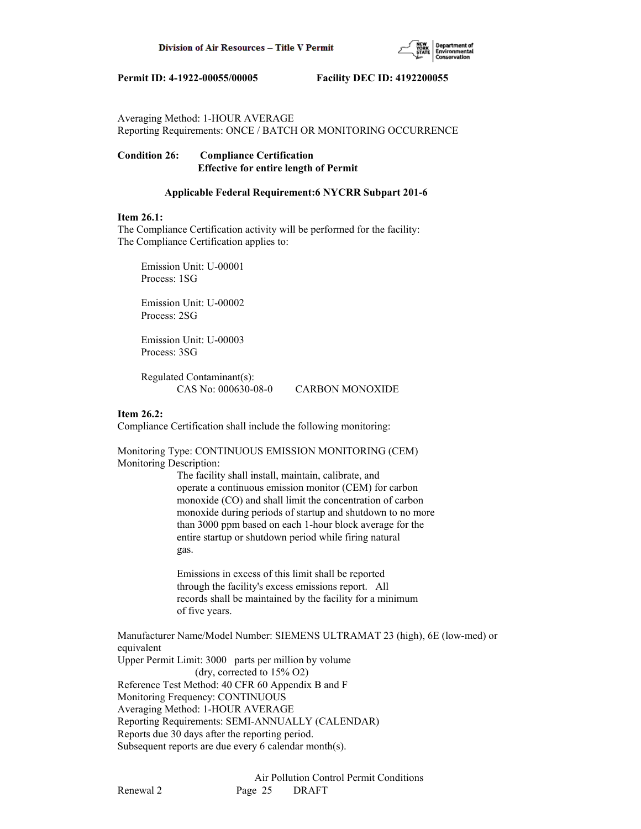

Averaging Method: 1-HOUR AVERAGE Reporting Requirements: ONCE / BATCH OR MONITORING OCCURRENCE

**Condition 26: Compliance Certification Effective for entire length of Permit**

# **Applicable Federal Requirement:6 NYCRR Subpart 201-6**

# **Item 26.1:**

The Compliance Certification activity will be performed for the facility: The Compliance Certification applies to:

 Emission Unit: U-00001 Process: 1SG

 Emission Unit: U-00002 Process: 2SG

 Emission Unit: U-00003 Process: 3SG

 Regulated Contaminant(s): CAS No: 000630-08-0 CARBON MONOXIDE

#### **Item 26.2:**

Compliance Certification shall include the following monitoring:

Monitoring Type: CONTINUOUS EMISSION MONITORING (CEM) Monitoring Description:

> The facility shall install, maintain, calibrate, and operate a continuous emission monitor (CEM) for carbon monoxide (CO) and shall limit the concentration of carbon monoxide during periods of startup and shutdown to no more than 3000 ppm based on each 1-hour block average for the entire startup or shutdown period while firing natural gas.

 Emissions in excess of this limit shall be reported through the facility's excess emissions report. All records shall be maintained by the facility for a minimum of five years.

Manufacturer Name/Model Number: SIEMENS ULTRAMAT 23 (high), 6E (low-med) or equivalent Upper Permit Limit: 3000 parts per million by volume (dry, corrected to 15% O2) Reference Test Method: 40 CFR 60 Appendix B and F Monitoring Frequency: CONTINUOUS Averaging Method: 1-HOUR AVERAGE Reporting Requirements: SEMI-ANNUALLY (CALENDAR) Reports due 30 days after the reporting period. Subsequent reports are due every 6 calendar month(s).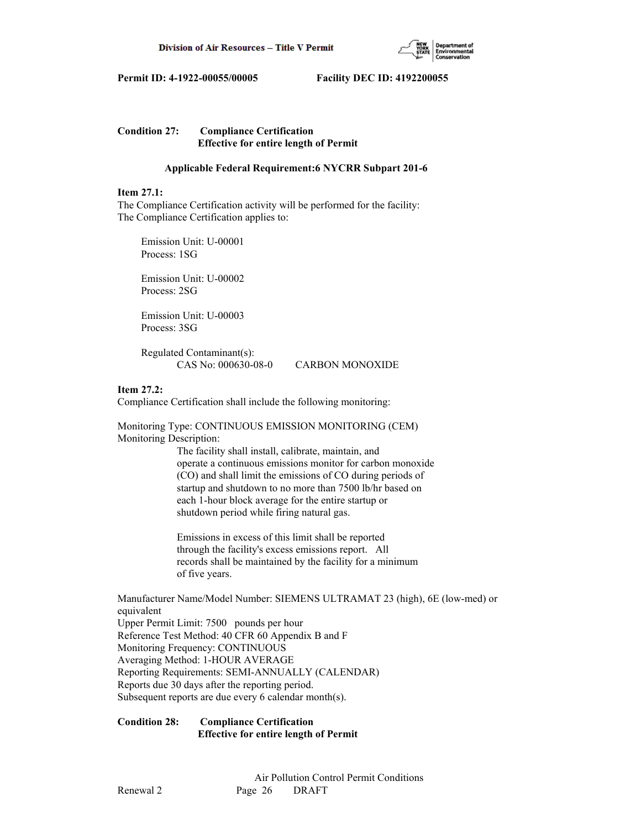

# **Condition 27: Compliance Certification Effective for entire length of Permit**

# **Applicable Federal Requirement:6 NYCRR Subpart 201-6**

# **Item 27.1:**

The Compliance Certification activity will be performed for the facility: The Compliance Certification applies to:

 Emission Unit: U-00001 Process: 1SG

 Emission Unit: U-00002 Process: 2SG

 Emission Unit: U-00003 Process: 3SG

 Regulated Contaminant(s): CAS No: 000630-08-0 CARBON MONOXIDE

#### **Item 27.2:**

Compliance Certification shall include the following monitoring:

Monitoring Type: CONTINUOUS EMISSION MONITORING (CEM) Monitoring Description:

> The facility shall install, calibrate, maintain, and operate a continuous emissions monitor for carbon monoxide (CO) and shall limit the emissions of CO during periods of startup and shutdown to no more than 7500 lb/hr based on each 1-hour block average for the entire startup or shutdown period while firing natural gas.

 Emissions in excess of this limit shall be reported through the facility's excess emissions report. All records shall be maintained by the facility for a minimum of five years.

Manufacturer Name/Model Number: SIEMENS ULTRAMAT 23 (high), 6E (low-med) or equivalent Upper Permit Limit: 7500 pounds per hour Reference Test Method: 40 CFR 60 Appendix B and F Monitoring Frequency: CONTINUOUS

Averaging Method: 1-HOUR AVERAGE Reporting Requirements: SEMI-ANNUALLY (CALENDAR) Reports due 30 days after the reporting period.

Subsequent reports are due every 6 calendar month(s).

**Condition 28: Compliance Certification Effective for entire length of Permit**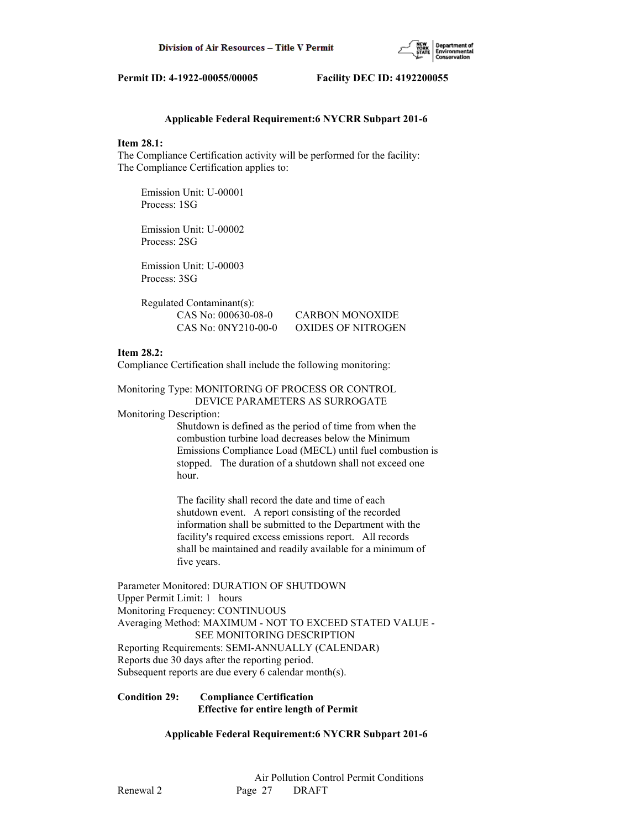

#### **Applicable Federal Requirement:6 NYCRR Subpart 201-6**

# **Item 28.1:**

The Compliance Certification activity will be performed for the facility: The Compliance Certification applies to:

 Emission Unit: U-00001 Process: 1SG

 Emission Unit: U-00002 Process: 2SG

 Emission Unit: U-00003 Process: 3SG

| Regulated Contaminant(s): |                           |
|---------------------------|---------------------------|
| CAS No: 000630-08-0       | <b>CARBON MONOXIDE</b>    |
| $CAS No: ONY210-00-0$     | <b>OXIDES OF NITROGEN</b> |

### **Item 28.2:**

Compliance Certification shall include the following monitoring:

Monitoring Type: MONITORING OF PROCESS OR CONTROL DEVICE PARAMETERS AS SURROGATE

Monitoring Description:

 Shutdown is defined as the period of time from when the combustion turbine load decreases below the Minimum Emissions Compliance Load (MECL) until fuel combustion is stopped. The duration of a shutdown shall not exceed one hour.

 The facility shall record the date and time of each shutdown event. A report consisting of the recorded information shall be submitted to the Department with the facility's required excess emissions report. All records shall be maintained and readily available for a minimum of five years.

Parameter Monitored: DURATION OF SHUTDOWN Upper Permit Limit: 1 hours Monitoring Frequency: CONTINUOUS Averaging Method: MAXIMUM - NOT TO EXCEED STATED VALUE - SEE MONITORING DESCRIPTION Reporting Requirements: SEMI-ANNUALLY (CALENDAR) Reports due 30 days after the reporting period. Subsequent reports are due every 6 calendar month(s).

# **Condition 29: Compliance Certification Effective for entire length of Permit**

### **Applicable Federal Requirement:6 NYCRR Subpart 201-6**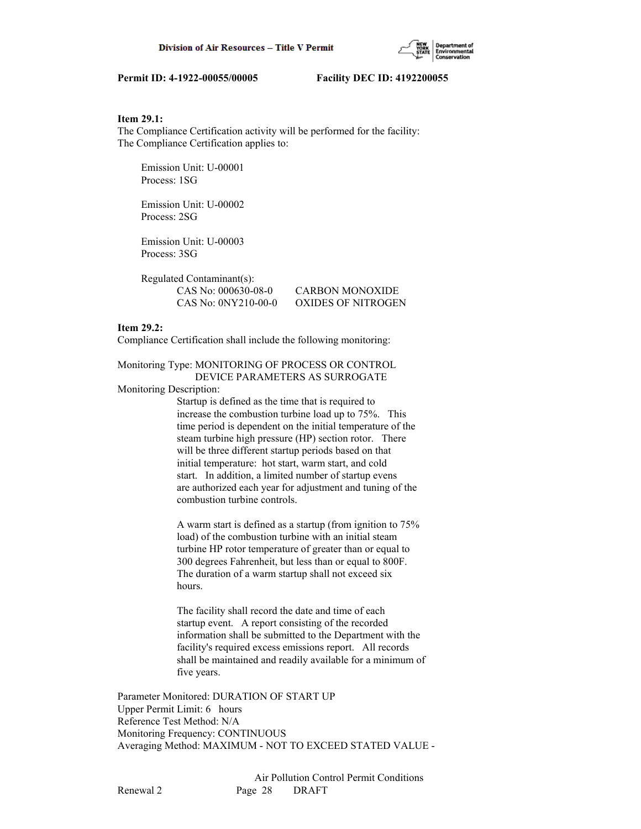

### **Item 29.1:**

The Compliance Certification activity will be performed for the facility: The Compliance Certification applies to:

 Emission Unit: U-00001 Process: 1SG

 Emission Unit: U-00002 Process: 2SG

 Emission Unit: U-00003 Process: 3SG

| Regulated Contaminant(s): |                           |
|---------------------------|---------------------------|
| CAS No: 000630-08-0       | CARBON MONOXIDE           |
| $CAS No: ONY210-00-0$     | <b>OXIDES OF NITROGEN</b> |

#### **Item 29.2:**

Compliance Certification shall include the following monitoring:

### Monitoring Type: MONITORING OF PROCESS OR CONTROL DEVICE PARAMETERS AS SURROGATE

Monitoring Description:

 Startup is defined as the time that is required to increase the combustion turbine load up to 75%. This time period is dependent on the initial temperature of the steam turbine high pressure (HP) section rotor. There will be three different startup periods based on that initial temperature: hot start, warm start, and cold start. In addition, a limited number of startup evens are authorized each year for adjustment and tuning of the combustion turbine controls.

 A warm start is defined as a startup (from ignition to 75% load) of the combustion turbine with an initial steam turbine HP rotor temperature of greater than or equal to 300 degrees Fahrenheit, but less than or equal to 800F. The duration of a warm startup shall not exceed six hours.

 The facility shall record the date and time of each startup event. A report consisting of the recorded information shall be submitted to the Department with the facility's required excess emissions report. All records shall be maintained and readily available for a minimum of five years.

Parameter Monitored: DURATION OF START UP Upper Permit Limit: 6 hours Reference Test Method: N/A Monitoring Frequency: CONTINUOUS Averaging Method: MAXIMUM - NOT TO EXCEED STATED VALUE -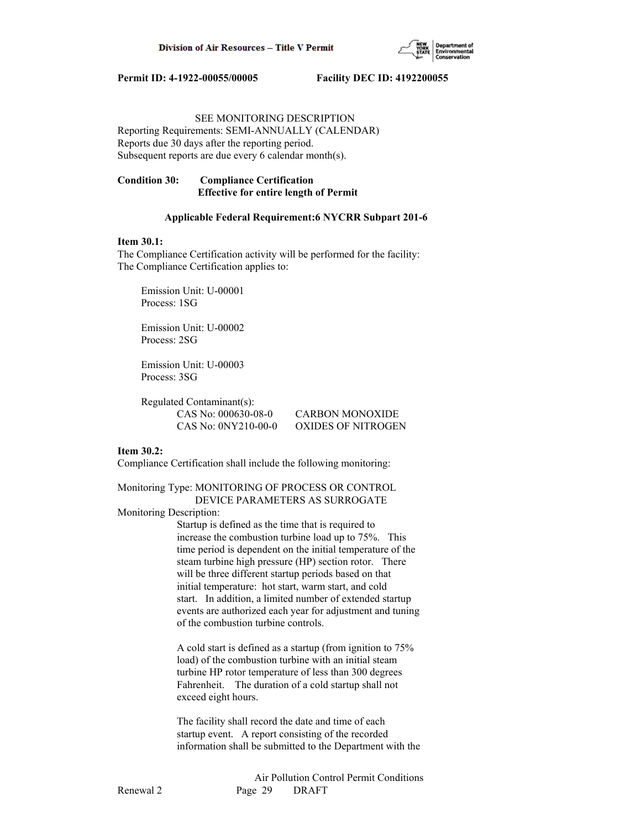

#### SEE MONITORING DESCRIPTION

Reporting Requirements: SEMI-ANNUALLY (CALENDAR) Reports due 30 days after the reporting period. Subsequent reports are due every 6 calendar month(s).

# **Condition 30: Compliance Certification Effective for entire length of Permit**

#### **Applicable Federal Requirement:6 NYCRR Subpart 201-6**

#### **Item 30.1:**

The Compliance Certification activity will be performed for the facility: The Compliance Certification applies to:

 Emission Unit: U-00001 Process: 1SG

 Emission Unit: U-00002 Process: 2SG

 Emission Unit: U-00003 Process: 3SG

 Regulated Contaminant(s): CAS No: 000630-08-0 CARBON MONOXIDE CAS No: 0NY210-00-0 OXIDES OF NITROGEN

# **Item 30.2:**

Compliance Certification shall include the following monitoring:

Monitoring Type: MONITORING OF PROCESS OR CONTROL DEVICE PARAMETERS AS SURROGATE

Monitoring Description:

 Startup is defined as the time that is required to increase the combustion turbine load up to 75%. This time period is dependent on the initial temperature of the steam turbine high pressure (HP) section rotor. There will be three different startup periods based on that initial temperature: hot start, warm start, and cold start. In addition, a limited number of extended startup events are authorized each year for adjustment and tuning of the combustion turbine controls.

 A cold start is defined as a startup (from ignition to 75% load) of the combustion turbine with an initial steam turbine HP rotor temperature of less than 300 degrees Fahrenheit. The duration of a cold startup shall not exceed eight hours.

 The facility shall record the date and time of each startup event. A report consisting of the recorded information shall be submitted to the Department with the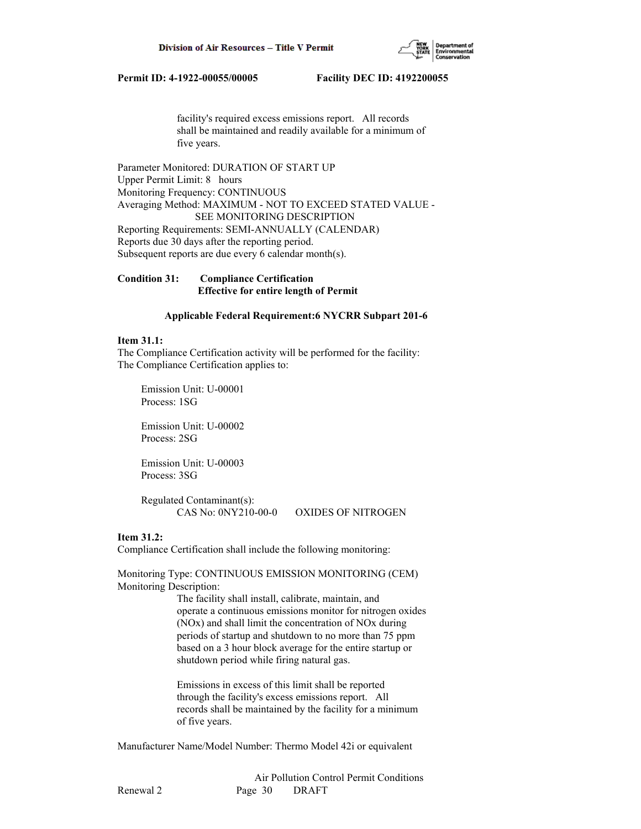

 facility's required excess emissions report. All records shall be maintained and readily available for a minimum of five years.

Parameter Monitored: DURATION OF START UP Upper Permit Limit: 8 hours Monitoring Frequency: CONTINUOUS Averaging Method: MAXIMUM - NOT TO EXCEED STATED VALUE - SEE MONITORING DESCRIPTION Reporting Requirements: SEMI-ANNUALLY (CALENDAR) Reports due 30 days after the reporting period. Subsequent reports are due every 6 calendar month(s).

**Condition 31: Compliance Certification Effective for entire length of Permit**

### **Applicable Federal Requirement:6 NYCRR Subpart 201-6**

# **Item 31.1:**

The Compliance Certification activity will be performed for the facility: The Compliance Certification applies to:

 Emission Unit: U-00001 Process: 1SG

 Emission Unit: U-00002 Process: 2SG

 Emission Unit: U-00003 Process: 3SG

 Regulated Contaminant(s): CAS No: 0NY210-00-0 OXIDES OF NITROGEN

#### **Item 31.2:**

Compliance Certification shall include the following monitoring:

Monitoring Type: CONTINUOUS EMISSION MONITORING (CEM) Monitoring Description:

> The facility shall install, calibrate, maintain, and operate a continuous emissions monitor for nitrogen oxides (NOx) and shall limit the concentration of NOx during periods of startup and shutdown to no more than 75 ppm based on a 3 hour block average for the entire startup or shutdown period while firing natural gas.

 Emissions in excess of this limit shall be reported through the facility's excess emissions report. All records shall be maintained by the facility for a minimum of five years.

Manufacturer Name/Model Number: Thermo Model 42i or equivalent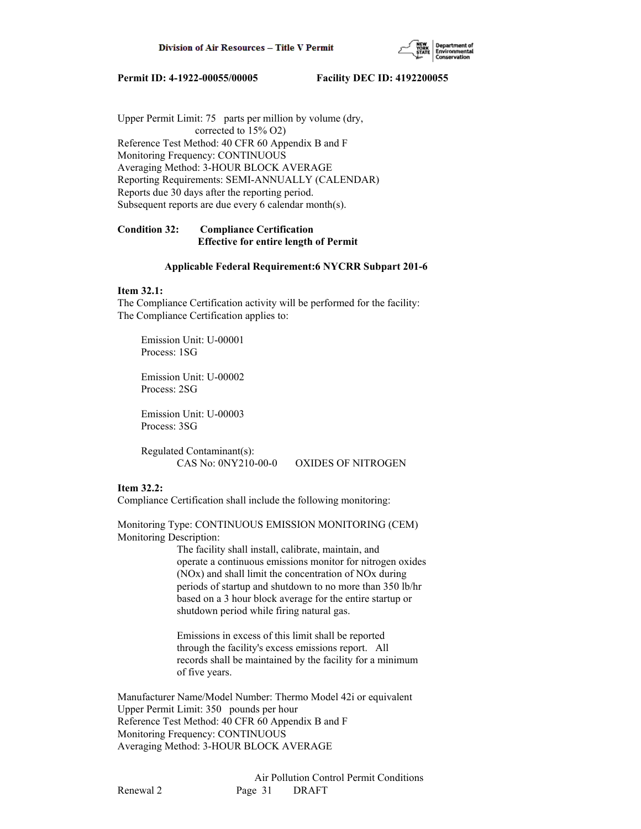

Upper Permit Limit: 75 parts per million by volume (dry, corrected to 15% O2) Reference Test Method: 40 CFR 60 Appendix B and F Monitoring Frequency: CONTINUOUS Averaging Method: 3-HOUR BLOCK AVERAGE Reporting Requirements: SEMI-ANNUALLY (CALENDAR) Reports due 30 days after the reporting period. Subsequent reports are due every 6 calendar month(s).

# **Condition 32: Compliance Certification Effective for entire length of Permit**

#### **Applicable Federal Requirement:6 NYCRR Subpart 201-6**

#### **Item 32.1:**

The Compliance Certification activity will be performed for the facility: The Compliance Certification applies to:

 Emission Unit: U-00001 Process: 1SG

 Emission Unit: U-00002 Process: 2SG

 Emission Unit: U-00003 Process: 3SG

 Regulated Contaminant(s): CAS No: 0NY210-00-0 OXIDES OF NITROGEN

# **Item 32.2:**

Compliance Certification shall include the following monitoring:

Monitoring Type: CONTINUOUS EMISSION MONITORING (CEM) Monitoring Description:

> The facility shall install, calibrate, maintain, and operate a continuous emissions monitor for nitrogen oxides (NOx) and shall limit the concentration of NOx during periods of startup and shutdown to no more than 350 lb/hr based on a 3 hour block average for the entire startup or shutdown period while firing natural gas.

 Emissions in excess of this limit shall be reported through the facility's excess emissions report. All records shall be maintained by the facility for a minimum of five years.

Manufacturer Name/Model Number: Thermo Model 42i or equivalent Upper Permit Limit: 350 pounds per hour Reference Test Method: 40 CFR 60 Appendix B and F Monitoring Frequency: CONTINUOUS Averaging Method: 3-HOUR BLOCK AVERAGE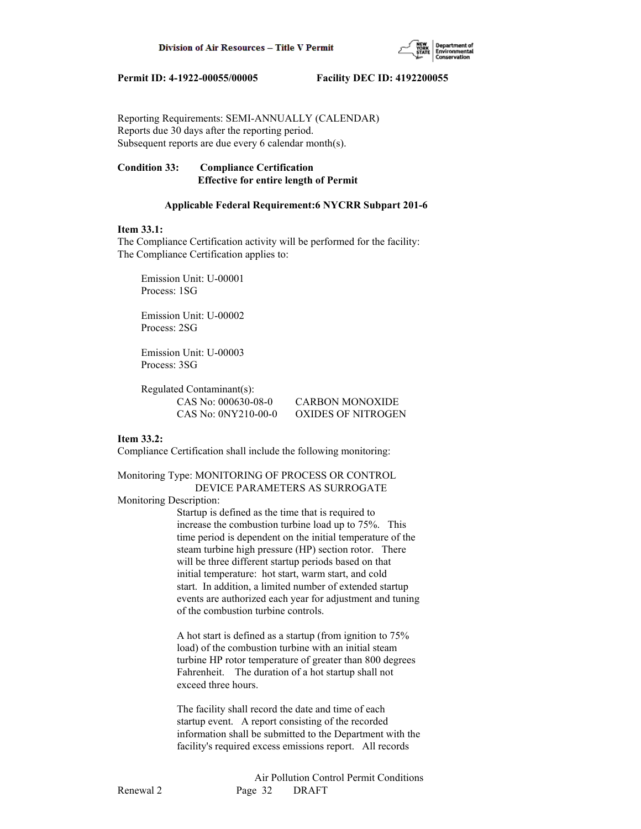

Reporting Requirements: SEMI-ANNUALLY (CALENDAR) Reports due 30 days after the reporting period. Subsequent reports are due every 6 calendar month(s).

# **Condition 33: Compliance Certification Effective for entire length of Permit**

### **Applicable Federal Requirement:6 NYCRR Subpart 201-6**

## **Item 33.1:**

The Compliance Certification activity will be performed for the facility: The Compliance Certification applies to:

 Emission Unit: U-00001 Process: 1SG

 Emission Unit: U-00002 Process: 2SG

 Emission Unit: U-00003 Process: 3SG

 Regulated Contaminant(s): CAS No: 000630-08-0 CARBON MONOXIDE CAS No: 0NY210-00-0 OXIDES OF NITROGEN

## **Item 33.2:**

Compliance Certification shall include the following monitoring:

### Monitoring Type: MONITORING OF PROCESS OR CONTROL DEVICE PARAMETERS AS SURROGATE

### Monitoring Description:

 Startup is defined as the time that is required to increase the combustion turbine load up to 75%. This time period is dependent on the initial temperature of the steam turbine high pressure (HP) section rotor. There will be three different startup periods based on that initial temperature: hot start, warm start, and cold start. In addition, a limited number of extended startup events are authorized each year for adjustment and tuning of the combustion turbine controls.

 A hot start is defined as a startup (from ignition to 75% load) of the combustion turbine with an initial steam turbine HP rotor temperature of greater than 800 degrees Fahrenheit. The duration of a hot startup shall not exceed three hours.

 The facility shall record the date and time of each startup event. A report consisting of the recorded information shall be submitted to the Department with the facility's required excess emissions report. All records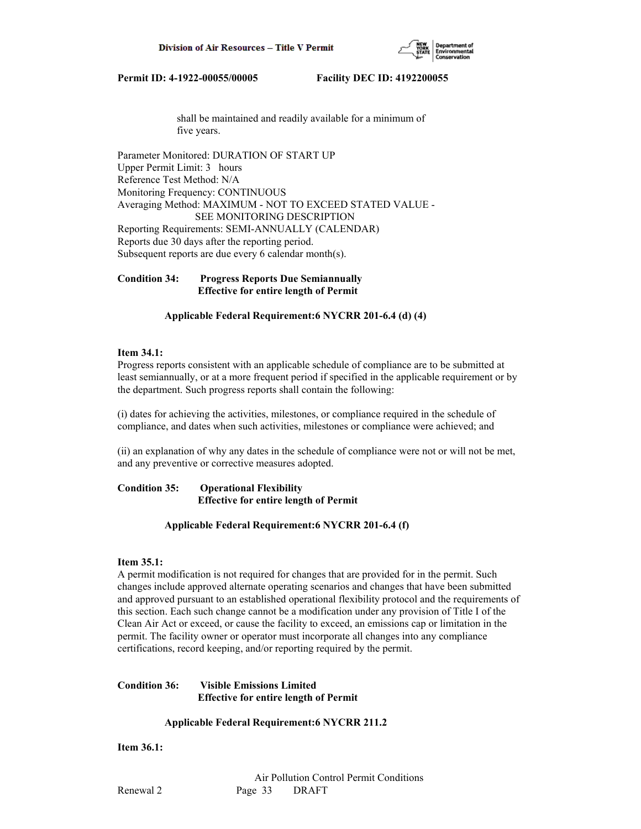

 shall be maintained and readily available for a minimum of five years.

Parameter Monitored: DURATION OF START UP Upper Permit Limit: 3 hours Reference Test Method: N/A Monitoring Frequency: CONTINUOUS Averaging Method: MAXIMUM - NOT TO EXCEED STATED VALUE - SEE MONITORING DESCRIPTION Reporting Requirements: SEMI-ANNUALLY (CALENDAR) Reports due 30 days after the reporting period. Subsequent reports are due every 6 calendar month(s).

# **Condition 34: Progress Reports Due Semiannually Effective for entire length of Permit**

## **Applicable Federal Requirement:6 NYCRR 201-6.4 (d) (4)**

## **Item 34.1:**

Progress reports consistent with an applicable schedule of compliance are to be submitted at least semiannually, or at a more frequent period if specified in the applicable requirement or by the department. Such progress reports shall contain the following:

(i) dates for achieving the activities, milestones, or compliance required in the schedule of compliance, and dates when such activities, milestones or compliance were achieved; and

(ii) an explanation of why any dates in the schedule of compliance were not or will not be met, and any preventive or corrective measures adopted.

# **Condition 35: Operational Flexibility Effective for entire length of Permit**

## **Applicable Federal Requirement:6 NYCRR 201-6.4 (f)**

## **Item 35.1:**

A permit modification is not required for changes that are provided for in the permit. Such changes include approved alternate operating scenarios and changes that have been submitted and approved pursuant to an established operational flexibility protocol and the requirements of this section. Each such change cannot be a modification under any provision of Title I of the Clean Air Act or exceed, or cause the facility to exceed, an emissions cap or limitation in the permit. The facility owner or operator must incorporate all changes into any compliance certifications, record keeping, and/or reporting required by the permit.

# **Condition 36: Visible Emissions Limited Effective for entire length of Permit**

# **Applicable Federal Requirement:6 NYCRR 211.2**

**Item 36.1:**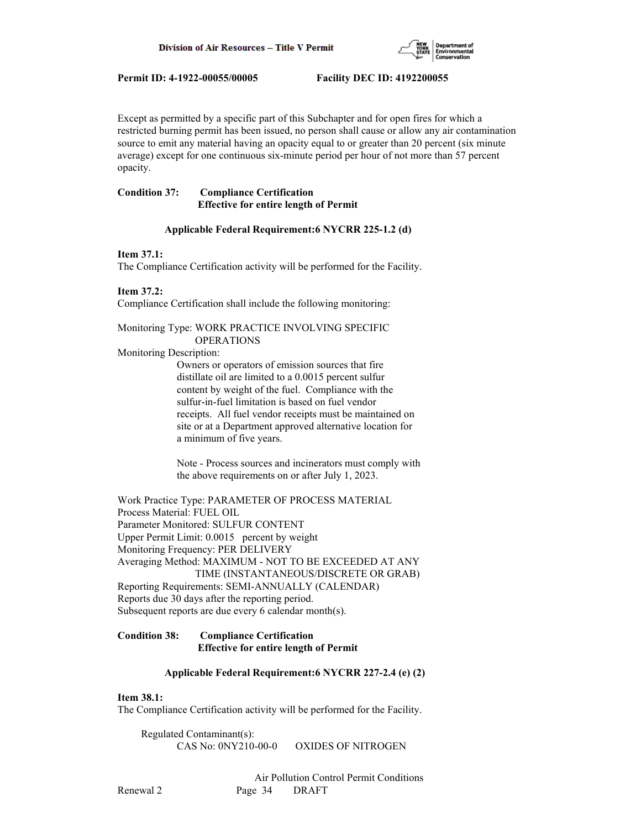

Except as permitted by a specific part of this Subchapter and for open fires for which a restricted burning permit has been issued, no person shall cause or allow any air contamination source to emit any material having an opacity equal to or greater than 20 percent (six minute average) except for one continuous six-minute period per hour of not more than 57 percent opacity.

# **Condition 37: Compliance Certification Effective for entire length of Permit**

## **Applicable Federal Requirement:6 NYCRR 225-1.2 (d)**

## **Item 37.1:**

The Compliance Certification activity will be performed for the Facility.

**Item 37.2:**

Compliance Certification shall include the following monitoring:

## Monitoring Type: WORK PRACTICE INVOLVING SPECIFIC OPERATIONS

Monitoring Description:

 Owners or operators of emission sources that fire distillate oil are limited to a 0.0015 percent sulfur content by weight of the fuel. Compliance with the sulfur-in-fuel limitation is based on fuel vendor receipts. All fuel vendor receipts must be maintained on site or at a Department approved alternative location for a minimum of five years.

 Note - Process sources and incinerators must comply with the above requirements on or after July 1, 2023.

Work Practice Type: PARAMETER OF PROCESS MATERIAL Process Material: FUEL OIL Parameter Monitored: SULFUR CONTENT Upper Permit Limit: 0.0015 percent by weight Monitoring Frequency: PER DELIVERY Averaging Method: MAXIMUM - NOT TO BE EXCEEDED AT ANY TIME (INSTANTANEOUS/DISCRETE OR GRAB) Reporting Requirements: SEMI-ANNUALLY (CALENDAR) Reports due 30 days after the reporting period. Subsequent reports are due every 6 calendar month(s).

# **Condition 38: Compliance Certification Effective for entire length of Permit**

## **Applicable Federal Requirement:6 NYCRR 227-2.4 (e) (2)**

## **Item 38.1:**

The Compliance Certification activity will be performed for the Facility.

 Regulated Contaminant(s): CAS No: 0NY210-00-0 OXIDES OF NITROGEN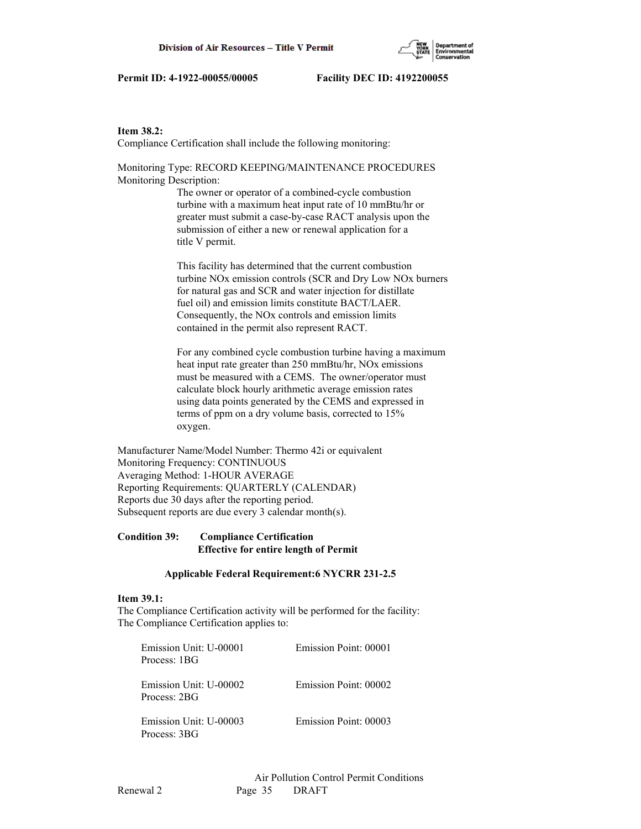

## **Item 38.2:**

Compliance Certification shall include the following monitoring:

Monitoring Type: RECORD KEEPING/MAINTENANCE PROCEDURES Monitoring Description:

> The owner or operator of a combined-cycle combustion turbine with a maximum heat input rate of 10 mmBtu/hr or greater must submit a case-by-case RACT analysis upon the submission of either a new or renewal application for a title V permit.

 This facility has determined that the current combustion turbine NOx emission controls (SCR and Dry Low NOx burners for natural gas and SCR and water injection for distillate fuel oil) and emission limits constitute BACT/LAER. Consequently, the NOx controls and emission limits contained in the permit also represent RACT.

 For any combined cycle combustion turbine having a maximum heat input rate greater than 250 mmBtu/hr, NOx emissions must be measured with a CEMS. The owner/operator must calculate block hourly arithmetic average emission rates using data points generated by the CEMS and expressed in terms of ppm on a dry volume basis, corrected to 15% oxygen.

Manufacturer Name/Model Number: Thermo 42i or equivalent Monitoring Frequency: CONTINUOUS Averaging Method: 1-HOUR AVERAGE Reporting Requirements: QUARTERLY (CALENDAR) Reports due 30 days after the reporting period. Subsequent reports are due every 3 calendar month(s).

# **Condition 39: Compliance Certification Effective for entire length of Permit**

## **Applicable Federal Requirement:6 NYCRR 231-2.5**

# **Item 39.1:**

The Compliance Certification activity will be performed for the facility: The Compliance Certification applies to:

| Emission Unit: U-00001<br>Process: 1BG | Emission Point: 00001 |
|----------------------------------------|-----------------------|
| Emission Unit: U-00002<br>Process: 2BG | Emission Point: 00002 |
| Emission Unit: U-00003<br>Process: 3BG | Emission Point: 00003 |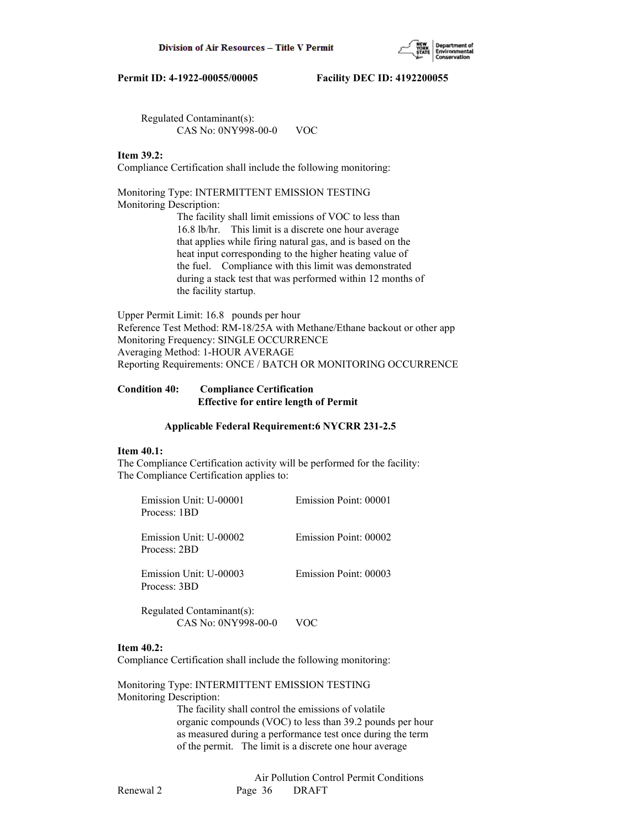

 Regulated Contaminant(s): CAS No: 0NY998-00-0 VOC

# **Item 39.2:**

Compliance Certification shall include the following monitoring:

Monitoring Type: INTERMITTENT EMISSION TESTING Monitoring Description: The facility shall limit emissions of VOC to less than 16.8 lb/hr. This limit is a discrete one hour average that applies while firing natural gas, and is based on the heat input corresponding to the higher heating value of

 the fuel. Compliance with this limit was demonstrated during a stack test that was performed within 12 months of the facility startup.

Upper Permit Limit: 16.8 pounds per hour Reference Test Method: RM-18/25A with Methane/Ethane backout or other app Monitoring Frequency: SINGLE OCCURRENCE Averaging Method: 1-HOUR AVERAGE Reporting Requirements: ONCE / BATCH OR MONITORING OCCURRENCE

# **Condition 40: Compliance Certification Effective for entire length of Permit**

## **Applicable Federal Requirement:6 NYCRR 231-2.5**

# **Item 40.1:**

The Compliance Certification activity will be performed for the facility: The Compliance Certification applies to:

| Emission Unit: U-00001<br>Process: 1BD           | Emission Point: 00001 |
|--------------------------------------------------|-----------------------|
| Emission Unit: U-00002<br>Process: 2RD           | Emission Point: 00002 |
| Emission Unit: U-00003<br>Process: 3BD           | Emission Point: 00003 |
| Regulated Contaminant(s):<br>CAS No: 0NY998-00-0 | OС                    |

### **Item 40.2:**

Compliance Certification shall include the following monitoring:

Monitoring Type: INTERMITTENT EMISSION TESTING Monitoring Description:

> The facility shall control the emissions of volatile organic compounds (VOC) to less than 39.2 pounds per hour as measured during a performance test once during the term of the permit. The limit is a discrete one hour average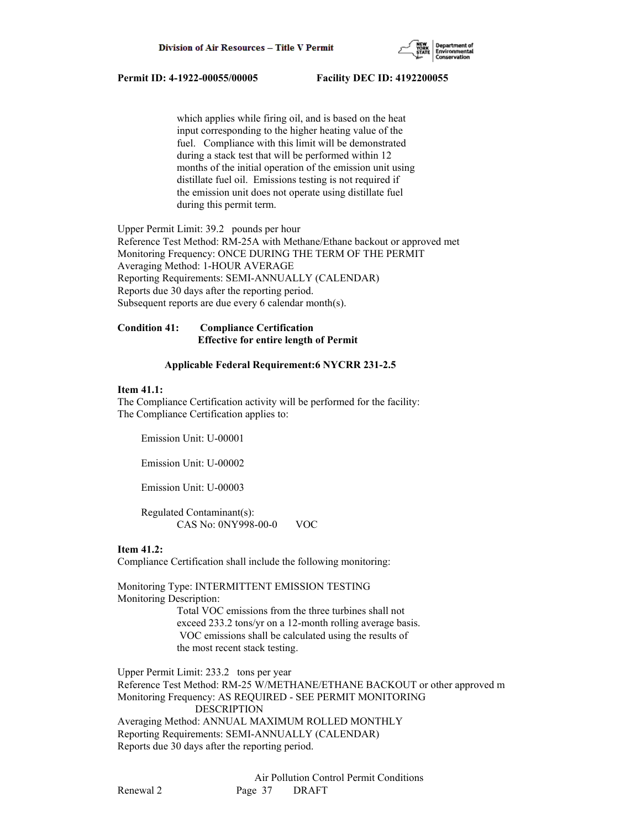

 which applies while firing oil, and is based on the heat input corresponding to the higher heating value of the fuel. Compliance with this limit will be demonstrated during a stack test that will be performed within 12 months of the initial operation of the emission unit using distillate fuel oil. Emissions testing is not required if the emission unit does not operate using distillate fuel during this permit term.

Upper Permit Limit: 39.2 pounds per hour Reference Test Method: RM-25A with Methane/Ethane backout or approved met Monitoring Frequency: ONCE DURING THE TERM OF THE PERMIT Averaging Method: 1-HOUR AVERAGE Reporting Requirements: SEMI-ANNUALLY (CALENDAR) Reports due 30 days after the reporting period. Subsequent reports are due every 6 calendar month(s).

# **Condition 41: Compliance Certification Effective for entire length of Permit**

## **Applicable Federal Requirement:6 NYCRR 231-2.5**

## **Item 41.1:**

The Compliance Certification activity will be performed for the facility: The Compliance Certification applies to:

Emission Unit: U-00001

Emission Unit: U-00002

Emission Unit: U-00003

 Regulated Contaminant(s): CAS No: 0NY998-00-0 VOC

## **Item 41.2:**

Compliance Certification shall include the following monitoring:

Monitoring Type: INTERMITTENT EMISSION TESTING Monitoring Description: Total VOC emissions from the three turbines shall not exceed 233.2 tons/yr on a 12-month rolling average basis. VOC emissions shall be calculated using the results of the most recent stack testing.

Upper Permit Limit: 233.2 tons per year Reference Test Method: RM-25 W/METHANE/ETHANE BACKOUT or other approved m Monitoring Frequency: AS REQUIRED - SEE PERMIT MONITORING DESCRIPTION Averaging Method: ANNUAL MAXIMUM ROLLED MONTHLY Reporting Requirements: SEMI-ANNUALLY (CALENDAR) Reports due 30 days after the reporting period.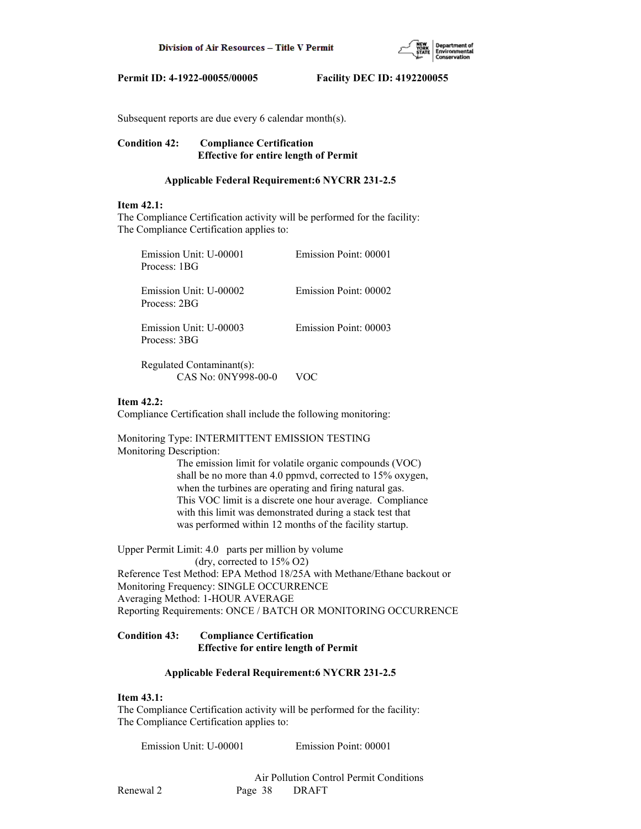

Subsequent reports are due every 6 calendar month(s).

# **Condition 42: Compliance Certification Effective for entire length of Permit**

# **Applicable Federal Requirement:6 NYCRR 231-2.5**

## **Item 42.1:**

The Compliance Certification activity will be performed for the facility: The Compliance Certification applies to:

| Emission Unit: U-00001<br>Process: 1BG | Emission Point: 00001 |
|----------------------------------------|-----------------------|
| Emission Unit: U-00002<br>Process: 2BG | Emission Point: 00002 |
| Emission Unit: U-00003<br>Process: 3BG | Emission Point: 00003 |
| Regulated Contaminant(s):              |                       |

CAS No: 0NY998-00-0 VOC

## **Item 42.2:**

Compliance Certification shall include the following monitoring:

Monitoring Type: INTERMITTENT EMISSION TESTING Monitoring Description:

> The emission limit for volatile organic compounds (VOC) shall be no more than 4.0 ppmvd, corrected to 15% oxygen, when the turbines are operating and firing natural gas. This VOC limit is a discrete one hour average. Compliance with this limit was demonstrated during a stack test that was performed within 12 months of the facility startup.

Upper Permit Limit: 4.0 parts per million by volume (dry, corrected to 15% O2) Reference Test Method: EPA Method 18/25A with Methane/Ethane backout or Monitoring Frequency: SINGLE OCCURRENCE Averaging Method: 1-HOUR AVERAGE Reporting Requirements: ONCE / BATCH OR MONITORING OCCURRENCE

# **Condition 43: Compliance Certification Effective for entire length of Permit**

# **Applicable Federal Requirement:6 NYCRR 231-2.5**

# **Item 43.1:**

The Compliance Certification activity will be performed for the facility: The Compliance Certification applies to:

Emission Unit: U-00001 Emission Point: 00001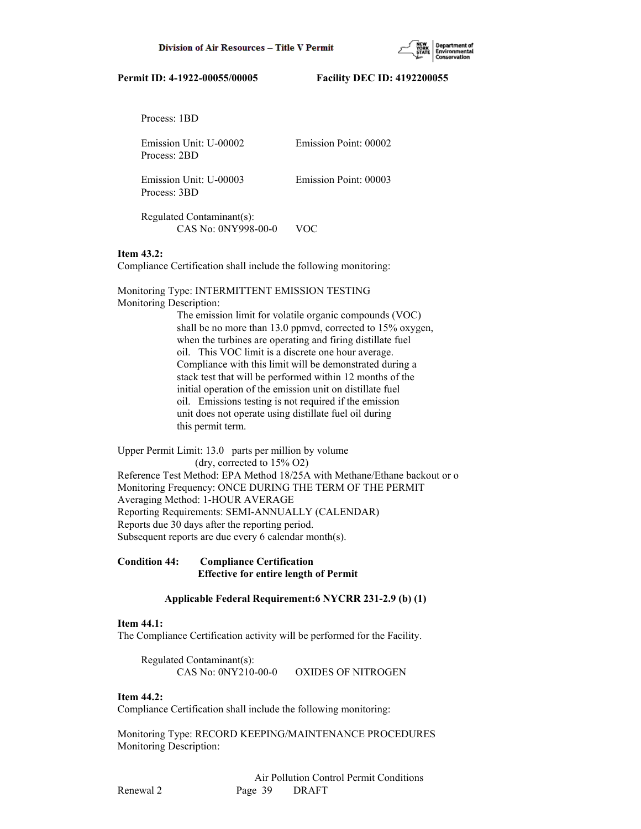

Process: 1BD

| Emission Unit: U-00002<br>Process: 2BD           | Emission Point: 00002 |
|--------------------------------------------------|-----------------------|
| Emission Unit: U-00003<br>Process: 3BD           | Emission Point: 00003 |
| Regulated Contaminant(s):<br>CAS No: 0NY998-00-0 |                       |

### **Item 43.2:**

Compliance Certification shall include the following monitoring:

Monitoring Type: INTERMITTENT EMISSION TESTING Monitoring Description:

 The emission limit for volatile organic compounds (VOC) shall be no more than 13.0 ppmvd, corrected to 15% oxygen, when the turbines are operating and firing distillate fuel oil. This VOC limit is a discrete one hour average. Compliance with this limit will be demonstrated during a stack test that will be performed within 12 months of the initial operation of the emission unit on distillate fuel oil. Emissions testing is not required if the emission unit does not operate using distillate fuel oil during this permit term.

Upper Permit Limit: 13.0 parts per million by volume (dry, corrected to 15% O2) Reference Test Method: EPA Method 18/25A with Methane/Ethane backout or o Monitoring Frequency: ONCE DURING THE TERM OF THE PERMIT Averaging Method: 1-HOUR AVERAGE Reporting Requirements: SEMI-ANNUALLY (CALENDAR) Reports due 30 days after the reporting period. Subsequent reports are due every 6 calendar month(s).

## **Condition 44: Compliance Certification Effective for entire length of Permit**

## **Applicable Federal Requirement:6 NYCRR 231-2.9 (b) (1)**

# **Item 44.1:**

The Compliance Certification activity will be performed for the Facility.

 Regulated Contaminant(s): CAS No: 0NY210-00-0 OXIDES OF NITROGEN

# **Item 44.2:**

Compliance Certification shall include the following monitoring:

Monitoring Type: RECORD KEEPING/MAINTENANCE PROCEDURES Monitoring Description: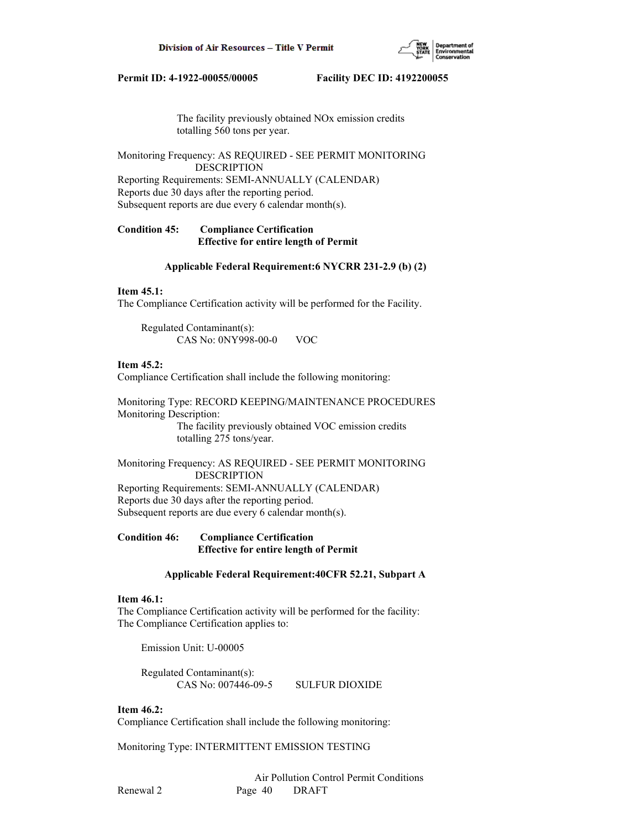

 The facility previously obtained NOx emission credits totalling 560 tons per year.

Monitoring Frequency: AS REQUIRED - SEE PERMIT MONITORING DESCRIPTION Reporting Requirements: SEMI-ANNUALLY (CALENDAR) Reports due 30 days after the reporting period. Subsequent reports are due every 6 calendar month(s).

## **Condition 45: Compliance Certification Effective for entire length of Permit**

### **Applicable Federal Requirement:6 NYCRR 231-2.9 (b) (2)**

### **Item 45.1:**

The Compliance Certification activity will be performed for the Facility.

 Regulated Contaminant(s): CAS No: 0NY998-00-0 VOC

## **Item 45.2:**

Compliance Certification shall include the following monitoring:

Monitoring Type: RECORD KEEPING/MAINTENANCE PROCEDURES Monitoring Description: The facility previously obtained VOC emission credits

totalling 275 tons/year.

# Monitoring Frequency: AS REQUIRED - SEE PERMIT MONITORING DESCRIPTION Reporting Requirements: SEMI-ANNUALLY (CALENDAR) Reports due 30 days after the reporting period.

Subsequent reports are due every 6 calendar month(s).

**Condition 46: Compliance Certification Effective for entire length of Permit**

### **Applicable Federal Requirement:40CFR 52.21, Subpart A**

# **Item 46.1:**

The Compliance Certification activity will be performed for the facility: The Compliance Certification applies to:

Emission Unit: U-00005

 Regulated Contaminant(s): CAS No: 007446-09-5 SULFUR DIOXIDE

## **Item 46.2:**

Compliance Certification shall include the following monitoring:

Monitoring Type: INTERMITTENT EMISSION TESTING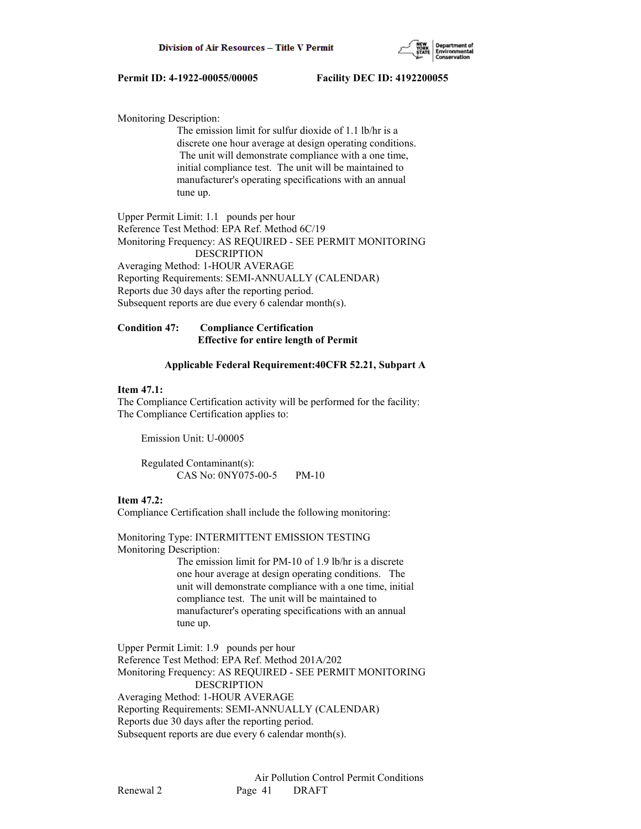

Monitoring Description:

 The emission limit for sulfur dioxide of 1.1 lb/hr is a discrete one hour average at design operating conditions. The unit will demonstrate compliance with a one time, initial compliance test. The unit will be maintained to manufacturer's operating specifications with an annual tune up.

Upper Permit Limit: 1.1 pounds per hour Reference Test Method: EPA Ref. Method 6C/19 Monitoring Frequency: AS REQUIRED - SEE PERMIT MONITORING DESCRIPTION Averaging Method: 1-HOUR AVERAGE Reporting Requirements: SEMI-ANNUALLY (CALENDAR) Reports due 30 days after the reporting period. Subsequent reports are due every 6 calendar month(s).

# **Condition 47: Compliance Certification Effective for entire length of Permit**

### **Applicable Federal Requirement:40CFR 52.21, Subpart A**

### **Item 47.1:**

The Compliance Certification activity will be performed for the facility: The Compliance Certification applies to:

Emission Unit: U-00005

 Regulated Contaminant(s): CAS No: 0NY075-00-5 PM-10

## **Item 47.2:**

Compliance Certification shall include the following monitoring:

Monitoring Type: INTERMITTENT EMISSION TESTING Monitoring Description:

> The emission limit for PM-10 of 1.9 lb/hr is a discrete one hour average at design operating conditions. The unit will demonstrate compliance with a one time, initial compliance test. The unit will be maintained to manufacturer's operating specifications with an annual tune up.

Upper Permit Limit: 1.9 pounds per hour Reference Test Method: EPA Ref. Method 201A/202 Monitoring Frequency: AS REQUIRED - SEE PERMIT MONITORING DESCRIPTION Averaging Method: 1-HOUR AVERAGE Reporting Requirements: SEMI-ANNUALLY (CALENDAR) Reports due 30 days after the reporting period. Subsequent reports are due every 6 calendar month(s).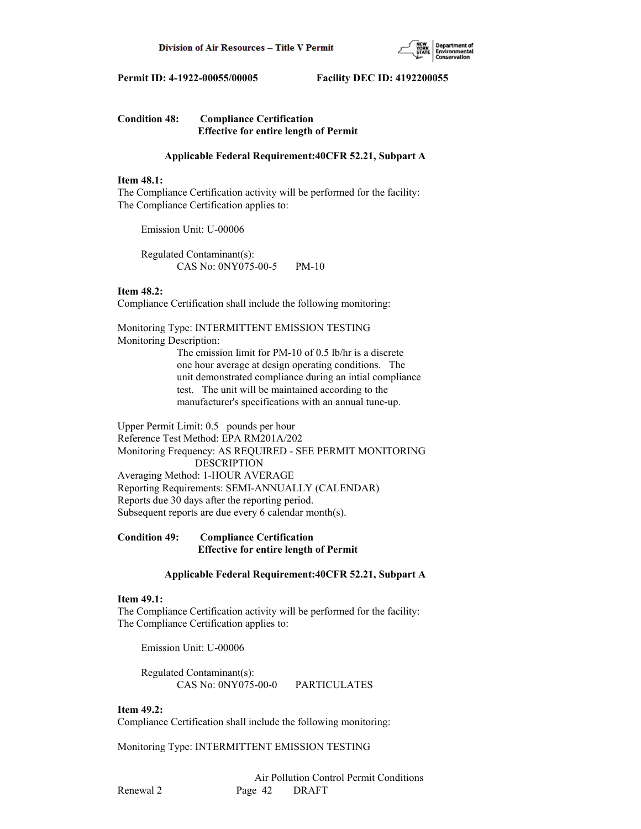

| <b>Condition 48:</b> | <b>Compliance Certification</b>              |
|----------------------|----------------------------------------------|
|                      | <b>Effective for entire length of Permit</b> |

### **Applicable Federal Requirement:40CFR 52.21, Subpart A**

# **Item 48.1:**

The Compliance Certification activity will be performed for the facility: The Compliance Certification applies to:

Emission Unit: U-00006

 Regulated Contaminant(s): CAS No: 0NY075-00-5 PM-10

### **Item 48.2:**

Compliance Certification shall include the following monitoring:

Monitoring Type: INTERMITTENT EMISSION TESTING Monitoring Description:

> The emission limit for PM-10 of 0.5 lb/hr is a discrete one hour average at design operating conditions. The unit demonstrated compliance during an intial compliance test. The unit will be maintained according to the manufacturer's specifications with an annual tune-up.

Upper Permit Limit: 0.5 pounds per hour Reference Test Method: EPA RM201A/202 Monitoring Frequency: AS REQUIRED - SEE PERMIT MONITORING DESCRIPTION Averaging Method: 1-HOUR AVERAGE Reporting Requirements: SEMI-ANNUALLY (CALENDAR) Reports due 30 days after the reporting period. Subsequent reports are due every 6 calendar month(s).

**Condition 49: Compliance Certification Effective for entire length of Permit**

## **Applicable Federal Requirement:40CFR 52.21, Subpart A**

# **Item 49.1:**

The Compliance Certification activity will be performed for the facility: The Compliance Certification applies to:

Emission Unit: U-00006

 Regulated Contaminant(s): CAS No: 0NY075-00-0 PARTICULATES

### **Item 49.2:**

Compliance Certification shall include the following monitoring:

Monitoring Type: INTERMITTENT EMISSION TESTING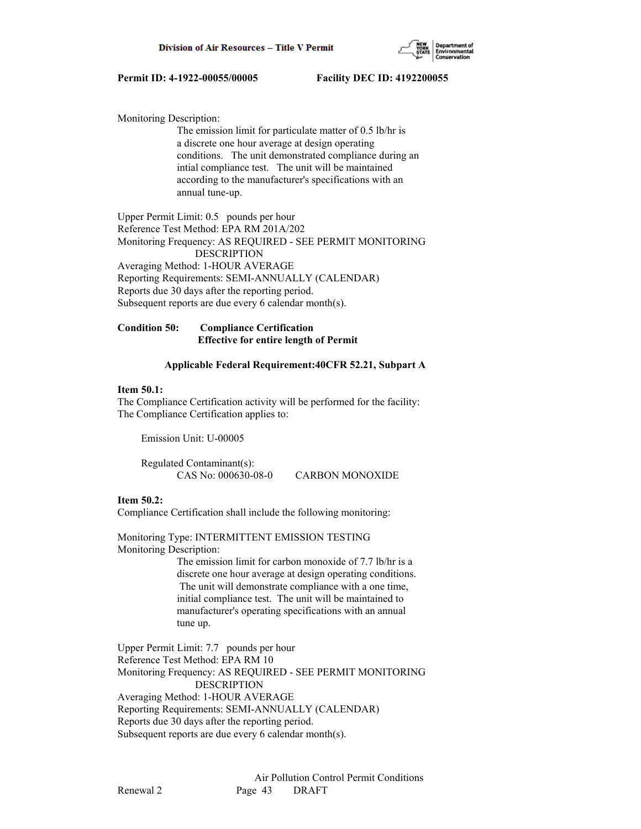

Monitoring Description:

 The emission limit for particulate matter of 0.5 lb/hr is a discrete one hour average at design operating conditions. The unit demonstrated compliance during an intial compliance test. The unit will be maintained according to the manufacturer's specifications with an annual tune-up.

Upper Permit Limit: 0.5 pounds per hour Reference Test Method: EPA RM 201A/202 Monitoring Frequency: AS REQUIRED - SEE PERMIT MONITORING DESCRIPTION Averaging Method: 1-HOUR AVERAGE Reporting Requirements: SEMI-ANNUALLY (CALENDAR) Reports due 30 days after the reporting period. Subsequent reports are due every 6 calendar month(s).

## **Condition 50: Compliance Certification Effective for entire length of Permit**

### **Applicable Federal Requirement:40CFR 52.21, Subpart A**

### **Item 50.1:**

The Compliance Certification activity will be performed for the facility: The Compliance Certification applies to:

Emission Unit: U-00005

| Regulated Contaminant(s): |                        |
|---------------------------|------------------------|
| CAS No: 000630-08-0       | <b>CARBON MONOXIDE</b> |

### **Item 50.2:**

Compliance Certification shall include the following monitoring:

Monitoring Type: INTERMITTENT EMISSION TESTING Monitoring Description:

> The emission limit for carbon monoxide of 7.7 lb/hr is a discrete one hour average at design operating conditions. The unit will demonstrate compliance with a one time, initial compliance test. The unit will be maintained to manufacturer's operating specifications with an annual tune up.

Upper Permit Limit: 7.7 pounds per hour Reference Test Method: EPA RM 10 Monitoring Frequency: AS REQUIRED - SEE PERMIT MONITORING DESCRIPTION Averaging Method: 1-HOUR AVERAGE Reporting Requirements: SEMI-ANNUALLY (CALENDAR) Reports due 30 days after the reporting period. Subsequent reports are due every 6 calendar month(s).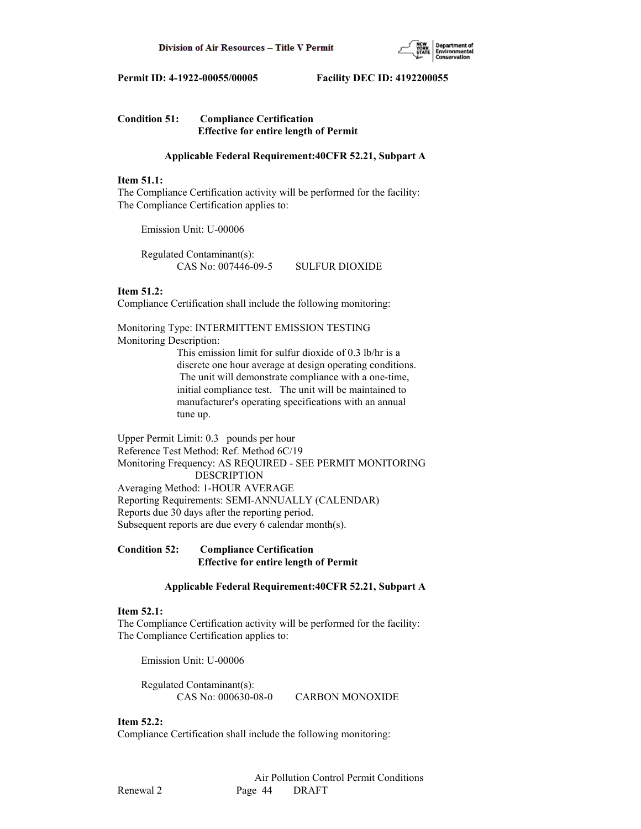

# **Condition 51: Compliance Certification Effective for entire length of Permit**

## **Applicable Federal Requirement:40CFR 52.21, Subpart A**

# **Item 51.1:**

The Compliance Certification activity will be performed for the facility: The Compliance Certification applies to:

Emission Unit: U-00006

 Regulated Contaminant(s): CAS No: 007446-09-5 SULFUR DIOXIDE

## **Item 51.2:**

Compliance Certification shall include the following monitoring:

Monitoring Type: INTERMITTENT EMISSION TESTING Monitoring Description:

> This emission limit for sulfur dioxide of 0.3 lb/hr is a discrete one hour average at design operating conditions. The unit will demonstrate compliance with a one-time, initial compliance test. The unit will be maintained to manufacturer's operating specifications with an annual tune up.

Upper Permit Limit: 0.3 pounds per hour Reference Test Method: Ref. Method 6C/19 Monitoring Frequency: AS REQUIRED - SEE PERMIT MONITORING DESCRIPTION Averaging Method: 1-HOUR AVERAGE Reporting Requirements: SEMI-ANNUALLY (CALENDAR) Reports due 30 days after the reporting period. Subsequent reports are due every 6 calendar month(s).

**Condition 52: Compliance Certification Effective for entire length of Permit**

## **Applicable Federal Requirement:40CFR 52.21, Subpart A**

### **Item 52.1:**

The Compliance Certification activity will be performed for the facility: The Compliance Certification applies to:

Emission Unit: U-00006

 Regulated Contaminant(s): CAS No: 000630-08-0 CARBON MONOXIDE

### **Item 52.2:**

Compliance Certification shall include the following monitoring: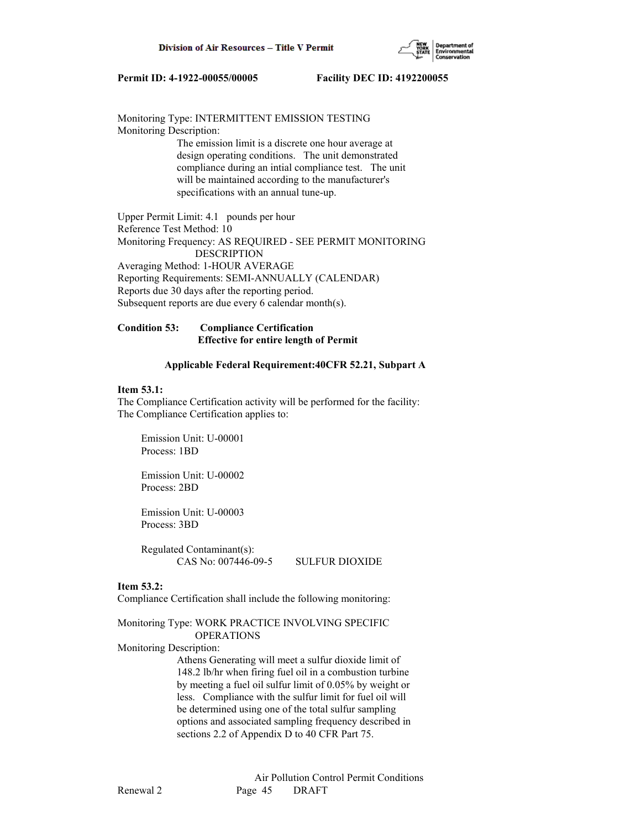

# Monitoring Type: INTERMITTENT EMISSION TESTING Monitoring Description:

 The emission limit is a discrete one hour average at design operating conditions. The unit demonstrated compliance during an intial compliance test. The unit will be maintained according to the manufacturer's specifications with an annual tune-up.

Upper Permit Limit: 4.1 pounds per hour Reference Test Method: 10 Monitoring Frequency: AS REQUIRED - SEE PERMIT MONITORING DESCRIPTION Averaging Method: 1-HOUR AVERAGE Reporting Requirements: SEMI-ANNUALLY (CALENDAR) Reports due 30 days after the reporting period. Subsequent reports are due every 6 calendar month(s).

## **Condition 53: Compliance Certification Effective for entire length of Permit**

### **Applicable Federal Requirement:40CFR 52.21, Subpart A**

### **Item 53.1:**

The Compliance Certification activity will be performed for the facility: The Compliance Certification applies to:

 Emission Unit: U-00001 Process: 1BD

 Emission Unit: U-00002 Process: 2BD

 Emission Unit: U-00003 Process: 3BD

 Regulated Contaminant(s): CAS No: 007446-09-5 SULFUR DIOXIDE

### **Item 53.2:**

Compliance Certification shall include the following monitoring:

### Monitoring Type: WORK PRACTICE INVOLVING SPECIFIC OPERATIONS

Monitoring Description:

 Athens Generating will meet a sulfur dioxide limit of 148.2 lb/hr when firing fuel oil in a combustion turbine by meeting a fuel oil sulfur limit of 0.05% by weight or less. Compliance with the sulfur limit for fuel oil will be determined using one of the total sulfur sampling options and associated sampling frequency described in sections 2.2 of Appendix D to 40 CFR Part 75.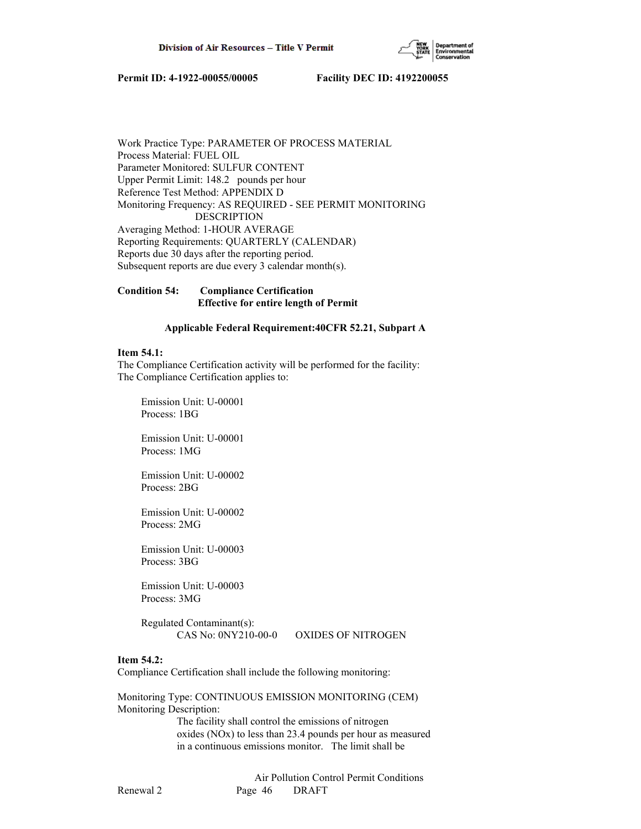

Work Practice Type: PARAMETER OF PROCESS MATERIAL Process Material: FUEL OIL Parameter Monitored: SULFUR CONTENT Upper Permit Limit: 148.2 pounds per hour Reference Test Method: APPENDIX D Monitoring Frequency: AS REQUIRED - SEE PERMIT MONITORING DESCRIPTION Averaging Method: 1-HOUR AVERAGE Reporting Requirements: QUARTERLY (CALENDAR) Reports due 30 days after the reporting period. Subsequent reports are due every 3 calendar month(s).

**Condition 54: Compliance Certification Effective for entire length of Permit**

### **Applicable Federal Requirement:40CFR 52.21, Subpart A**

### **Item 54.1:**

The Compliance Certification activity will be performed for the facility: The Compliance Certification applies to:

 Emission Unit: U-00001 Process: 1BG

 Emission Unit: U-00001 Process: 1MG

 Emission Unit: U-00002 Process: 2BG

 Emission Unit: U-00002 Process: 2MG

 Emission Unit: U-00003 Process: 3BG

 Emission Unit: U-00003 Process: 3MG

 Regulated Contaminant(s): CAS No: 0NY210-00-0 OXIDES OF NITROGEN

### **Item 54.2:**

Compliance Certification shall include the following monitoring:

Monitoring Type: CONTINUOUS EMISSION MONITORING (CEM) Monitoring Description:

> The facility shall control the emissions of nitrogen oxides (NOx) to less than 23.4 pounds per hour as measured in a continuous emissions monitor. The limit shall be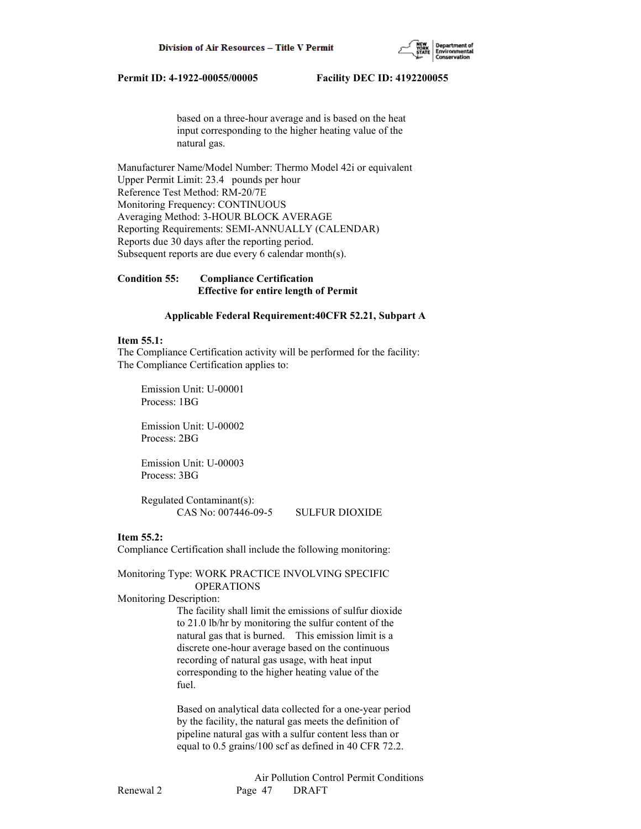

 based on a three-hour average and is based on the heat input corresponding to the higher heating value of the natural gas.

Manufacturer Name/Model Number: Thermo Model 42i or equivalent Upper Permit Limit: 23.4 pounds per hour Reference Test Method: RM-20/7E Monitoring Frequency: CONTINUOUS Averaging Method: 3-HOUR BLOCK AVERAGE Reporting Requirements: SEMI-ANNUALLY (CALENDAR) Reports due 30 days after the reporting period. Subsequent reports are due every 6 calendar month(s).

**Condition 55: Compliance Certification Effective for entire length of Permit**

### **Applicable Federal Requirement:40CFR 52.21, Subpart A**

## **Item 55.1:**

The Compliance Certification activity will be performed for the facility: The Compliance Certification applies to:

 Emission Unit: U-00001 Process: 1BG

 Emission Unit: U-00002 Process: 2BG

 Emission Unit: U-00003 Process: 3BG

 Regulated Contaminant(s): CAS No: 007446-09-5 SULFUR DIOXIDE

# **Item 55.2:**

Compliance Certification shall include the following monitoring:

Monitoring Type: WORK PRACTICE INVOLVING SPECIFIC OPERATIONS

# Monitoring Description:

 The facility shall limit the emissions of sulfur dioxide to 21.0 lb/hr by monitoring the sulfur content of the natural gas that is burned. This emission limit is a discrete one-hour average based on the continuous recording of natural gas usage, with heat input corresponding to the higher heating value of the fuel.

 Based on analytical data collected for a one-year period by the facility, the natural gas meets the definition of pipeline natural gas with a sulfur content less than or equal to 0.5 grains/100 scf as defined in 40 CFR 72.2.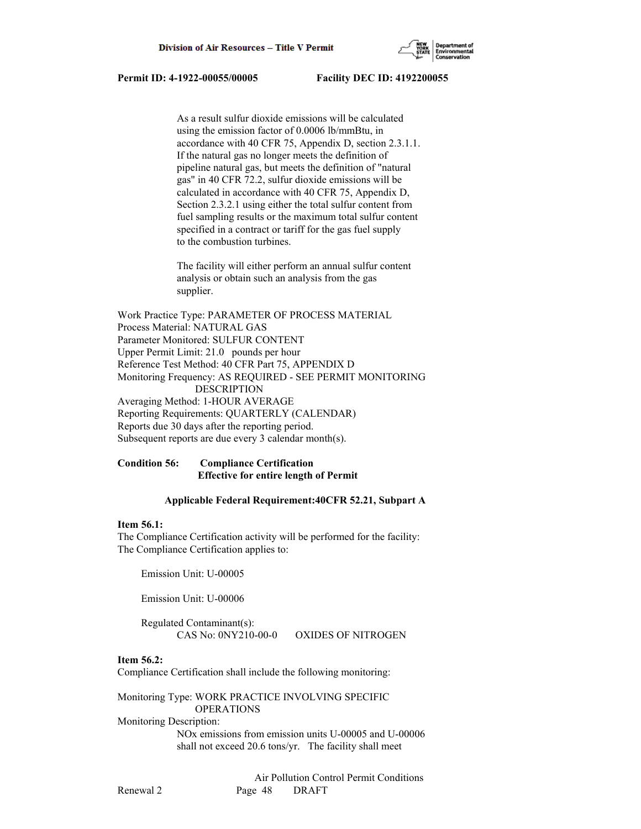

 As a result sulfur dioxide emissions will be calculated using the emission factor of 0.0006 lb/mmBtu, in accordance with 40 CFR 75, Appendix D, section 2.3.1.1. If the natural gas no longer meets the definition of pipeline natural gas, but meets the definition of "natural gas" in 40 CFR 72.2, sulfur dioxide emissions will be calculated in accordance with 40 CFR 75, Appendix D, Section 2.3.2.1 using either the total sulfur content from fuel sampling results or the maximum total sulfur content specified in a contract or tariff for the gas fuel supply to the combustion turbines.

 The facility will either perform an annual sulfur content analysis or obtain such an analysis from the gas supplier.

Work Practice Type: PARAMETER OF PROCESS MATERIAL Process Material: NATURAL GAS Parameter Monitored: SULFUR CONTENT Upper Permit Limit: 21.0 pounds per hour Reference Test Method: 40 CFR Part 75, APPENDIX D Monitoring Frequency: AS REQUIRED - SEE PERMIT MONITORING DESCRIPTION Averaging Method: 1-HOUR AVERAGE Reporting Requirements: QUARTERLY (CALENDAR) Reports due 30 days after the reporting period. Subsequent reports are due every 3 calendar month(s).

# **Condition 56: Compliance Certification Effective for entire length of Permit**

## **Applicable Federal Requirement:40CFR 52.21, Subpart A**

## **Item 56.1:**

The Compliance Certification activity will be performed for the facility: The Compliance Certification applies to:

Emission Unit: U-00005

Emission Unit: U-00006

| Regulated Contaminant(s): |                           |
|---------------------------|---------------------------|
| $CAS No: ONY210-00-0$     | <b>OXIDES OF NITROGEN</b> |

## **Item 56.2:**

Compliance Certification shall include the following monitoring:

Monitoring Type: WORK PRACTICE INVOLVING SPECIFIC OPERATIONS

Monitoring Description:

 NOx emissions from emission units U-00005 and U-00006 shall not exceed 20.6 tons/yr. The facility shall meet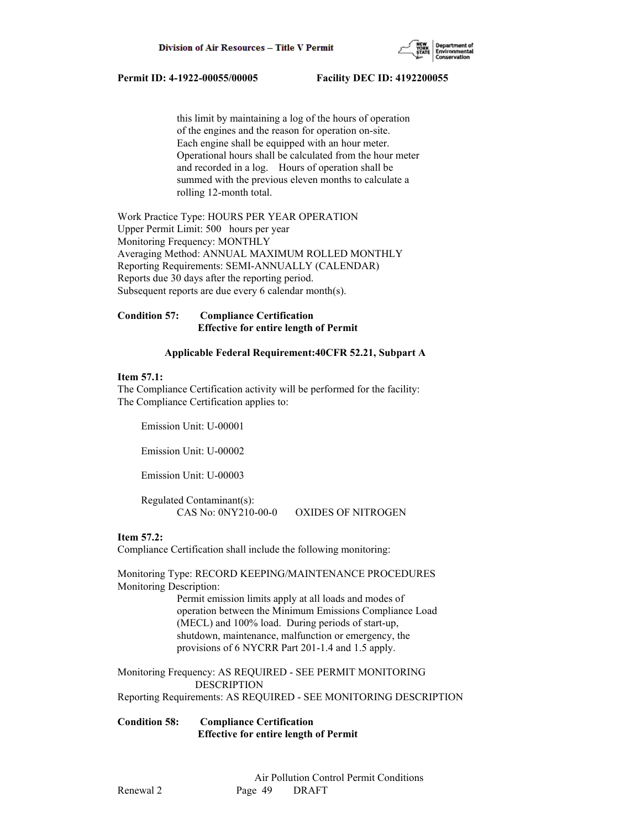

 this limit by maintaining a log of the hours of operation of the engines and the reason for operation on-site. Each engine shall be equipped with an hour meter. Operational hours shall be calculated from the hour meter and recorded in a log. Hours of operation shall be summed with the previous eleven months to calculate a rolling 12-month total.

Work Practice Type: HOURS PER YEAR OPERATION Upper Permit Limit: 500 hours per year Monitoring Frequency: MONTHLY Averaging Method: ANNUAL MAXIMUM ROLLED MONTHLY Reporting Requirements: SEMI-ANNUALLY (CALENDAR) Reports due 30 days after the reporting period. Subsequent reports are due every 6 calendar month(s).

# **Condition 57: Compliance Certification Effective for entire length of Permit**

## **Applicable Federal Requirement:40CFR 52.21, Subpart A**

## **Item 57.1:**

The Compliance Certification activity will be performed for the facility: The Compliance Certification applies to:

Emission Unit: U-00001

Emission Unit: U-00002

Emission Unit: U-00003

 Regulated Contaminant(s): CAS No: 0NY210-00-0 OXIDES OF NITROGEN

# **Item 57.2:**

Compliance Certification shall include the following monitoring:

Monitoring Type: RECORD KEEPING/MAINTENANCE PROCEDURES Monitoring Description:

> Permit emission limits apply at all loads and modes of operation between the Minimum Emissions Compliance Load (MECL) and 100% load. During periods of start-up, shutdown, maintenance, malfunction or emergency, the provisions of 6 NYCRR Part 201-1.4 and 1.5 apply.

Monitoring Frequency: AS REQUIRED - SEE PERMIT MONITORING DESCRIPTION Reporting Requirements: AS REQUIRED - SEE MONITORING DESCRIPTION

**Condition 58: Compliance Certification Effective for entire length of Permit**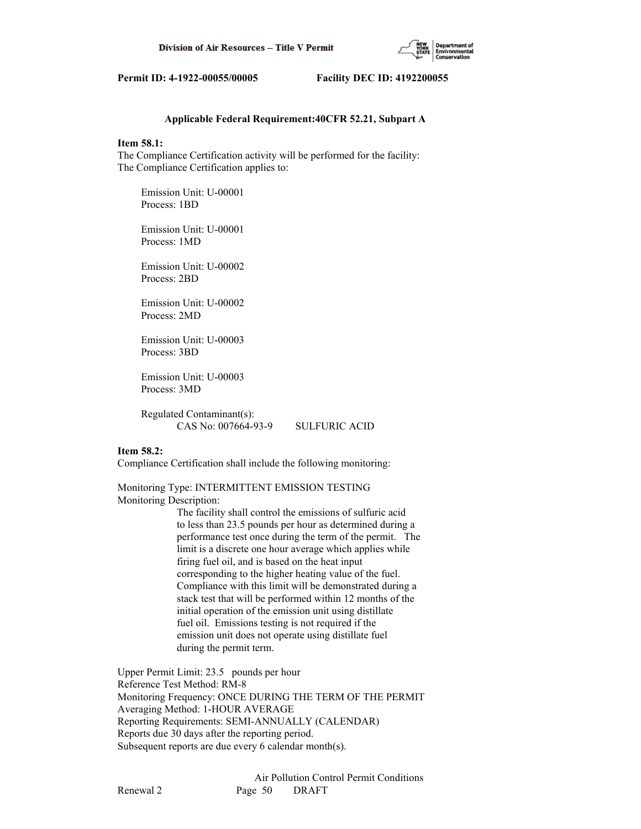

### **Applicable Federal Requirement:40CFR 52.21, Subpart A**

## **Item 58.1:**

The Compliance Certification activity will be performed for the facility: The Compliance Certification applies to:

 Emission Unit: U-00001 Process: 1BD

 Emission Unit: U-00001 Process: 1MD

 Emission Unit: U-00002 Process: 2BD

 Emission Unit: U-00002 Process: 2MD

 Emission Unit: U-00003 Process: 3BD

 Emission Unit: U-00003 Process: 3MD

 Regulated Contaminant(s): CAS No: 007664-93-9 SULFURIC ACID

# **Item 58.2:**

Compliance Certification shall include the following monitoring:

Monitoring Type: INTERMITTENT EMISSION TESTING Monitoring Description:

> The facility shall control the emissions of sulfuric acid to less than 23.5 pounds per hour as determined during a performance test once during the term of the permit. The limit is a discrete one hour average which applies while firing fuel oil, and is based on the heat input corresponding to the higher heating value of the fuel. Compliance with this limit will be demonstrated during a stack test that will be performed within 12 months of the initial operation of the emission unit using distillate fuel oil. Emissions testing is not required if the emission unit does not operate using distillate fuel during the permit term.

Upper Permit Limit: 23.5 pounds per hour Reference Test Method: RM-8 Monitoring Frequency: ONCE DURING THE TERM OF THE PERMIT Averaging Method: 1-HOUR AVERAGE Reporting Requirements: SEMI-ANNUALLY (CALENDAR) Reports due 30 days after the reporting period. Subsequent reports are due every 6 calendar month(s).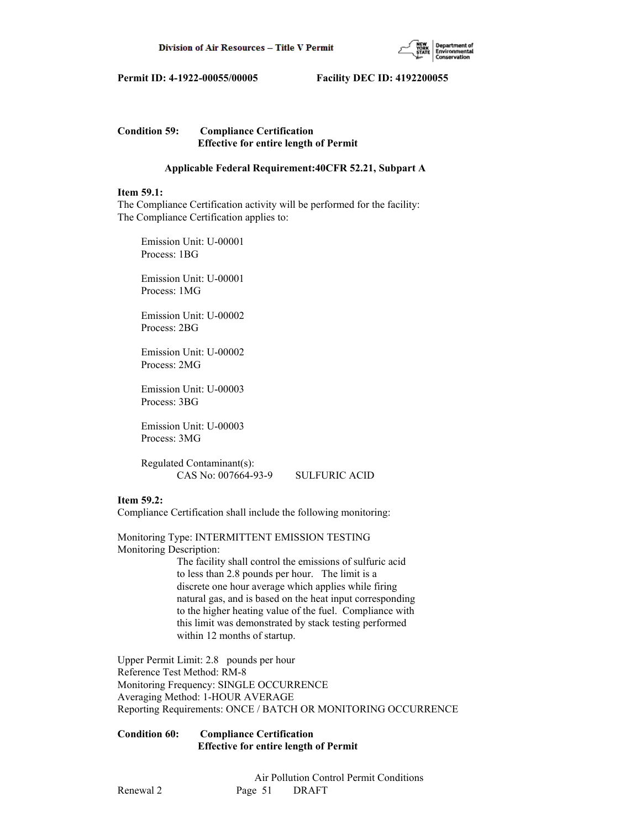

# **Condition 59: Compliance Certification Effective for entire length of Permit**

## **Applicable Federal Requirement:40CFR 52.21, Subpart A**

### **Item 59.1:**

The Compliance Certification activity will be performed for the facility: The Compliance Certification applies to:

 Emission Unit: U-00001 Process: 1BG

 Emission Unit: U-00001 Process: 1MG

 Emission Unit: U-00002 Process: 2BG

 Emission Unit: U-00002 Process: 2MG

 Emission Unit: U-00003 Process: 3BG

 Emission Unit: U-00003 Process: 3MG

 Regulated Contaminant(s): CAS No: 007664-93-9 SULFURIC ACID

## **Item 59.2:**

Compliance Certification shall include the following monitoring:

Monitoring Type: INTERMITTENT EMISSION TESTING Monitoring Description:

> The facility shall control the emissions of sulfuric acid to less than 2.8 pounds per hour. The limit is a discrete one hour average which applies while firing natural gas, and is based on the heat input corresponding to the higher heating value of the fuel. Compliance with this limit was demonstrated by stack testing performed within 12 months of startup.

Upper Permit Limit: 2.8 pounds per hour Reference Test Method: RM-8 Monitoring Frequency: SINGLE OCCURRENCE Averaging Method: 1-HOUR AVERAGE Reporting Requirements: ONCE / BATCH OR MONITORING OCCURRENCE

**Condition 60: Compliance Certification Effective for entire length of Permit**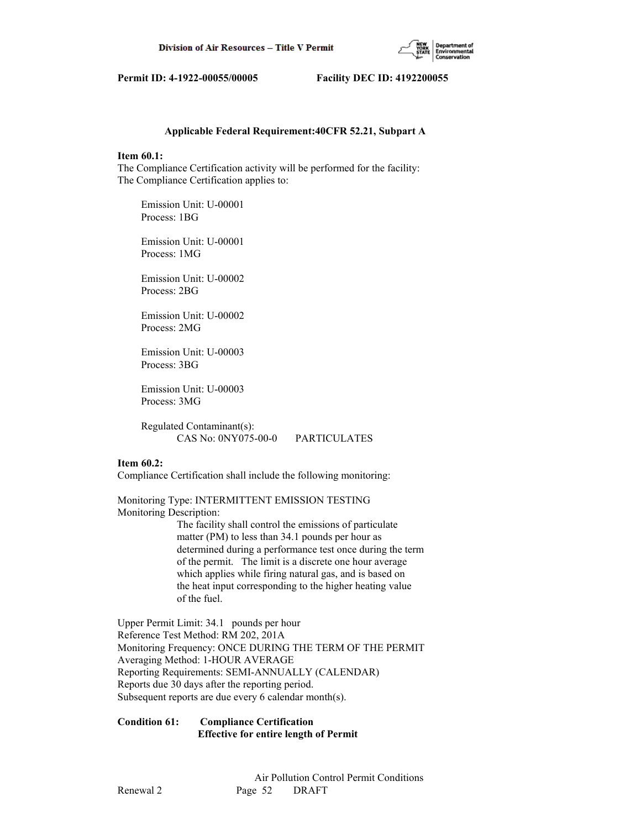

### **Applicable Federal Requirement:40CFR 52.21, Subpart A**

## **Item 60.1:**

The Compliance Certification activity will be performed for the facility: The Compliance Certification applies to:

 Emission Unit: U-00001 Process: 1BG

 Emission Unit: U-00001 Process: 1MG

 Emission Unit: U-00002 Process: 2BG

 Emission Unit: U-00002 Process: 2MG

 Emission Unit: U-00003 Process: 3BG

 Emission Unit: U-00003 Process: 3MG

 Regulated Contaminant(s): CAS No: 0NY075-00-0 PARTICULATES

## **Item 60.2:**

Compliance Certification shall include the following monitoring:

# Monitoring Type: INTERMITTENT EMISSION TESTING Monitoring Description:

 The facility shall control the emissions of particulate matter (PM) to less than 34.1 pounds per hour as determined during a performance test once during the term of the permit. The limit is a discrete one hour average which applies while firing natural gas, and is based on the heat input corresponding to the higher heating value of the fuel.

Upper Permit Limit: 34.1 pounds per hour Reference Test Method: RM 202, 201A Monitoring Frequency: ONCE DURING THE TERM OF THE PERMIT Averaging Method: 1-HOUR AVERAGE Reporting Requirements: SEMI-ANNUALLY (CALENDAR) Reports due 30 days after the reporting period. Subsequent reports are due every 6 calendar month(s).

### **Condition 61: Compliance Certification Effective for entire length of Permit**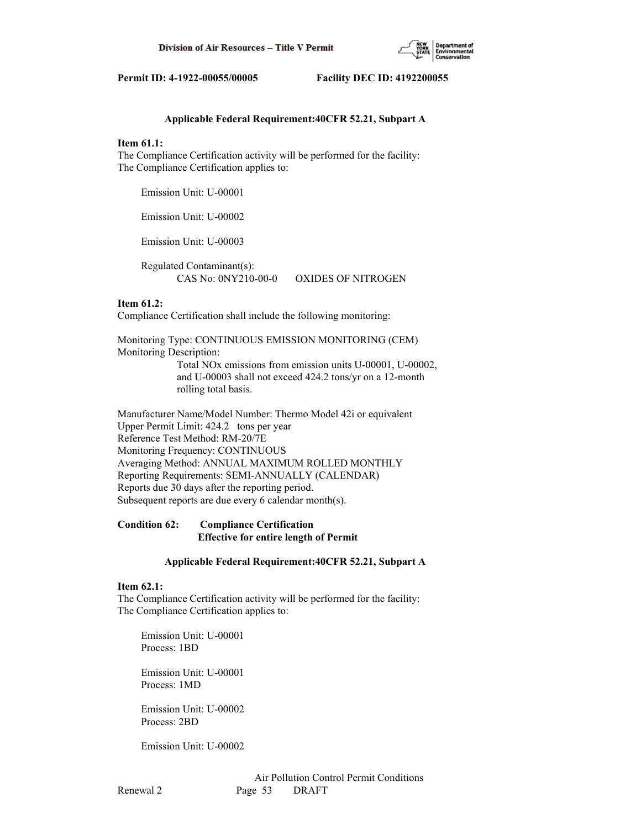

### **Applicable Federal Requirement:40CFR 52.21, Subpart A**

## **Item 61.1:**

The Compliance Certification activity will be performed for the facility: The Compliance Certification applies to:

Emission Unit: U-00001

Emission Unit: U-00002

Emission Unit: U-00003

 Regulated Contaminant(s): CAS No: 0NY210-00-0 OXIDES OF NITROGEN

### **Item 61.2:**

Compliance Certification shall include the following monitoring:

Monitoring Type: CONTINUOUS EMISSION MONITORING (CEM) Monitoring Description: Total NOx emissions from emission units U-00001, U-00002, and U-00003 shall not exceed 424.2 tons/yr on a 12-month rolling total basis.

Manufacturer Name/Model Number: Thermo Model 42i or equivalent Upper Permit Limit: 424.2 tons per year Reference Test Method: RM-20/7E Monitoring Frequency: CONTINUOUS Averaging Method: ANNUAL MAXIMUM ROLLED MONTHLY Reporting Requirements: SEMI-ANNUALLY (CALENDAR) Reports due 30 days after the reporting period. Subsequent reports are due every 6 calendar month(s).

## **Condition 62: Compliance Certification Effective for entire length of Permit**

### **Applicable Federal Requirement:40CFR 52.21, Subpart A**

## **Item 62.1:**

The Compliance Certification activity will be performed for the facility: The Compliance Certification applies to:

 Emission Unit: U-00001 Process: 1BD

 Emission Unit: U-00001 Process: 1MD

 Emission Unit: U-00002 Process: 2BD

Emission Unit: U-00002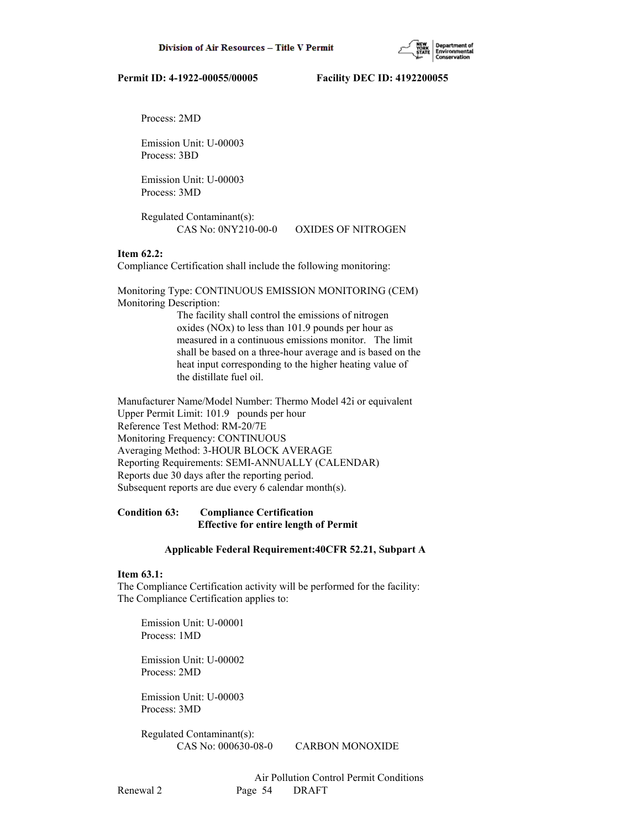

Process: 2MD

 Emission Unit: U-00003 Process: 3BD

 Emission Unit: U-00003 Process: 3MD

 Regulated Contaminant(s): CAS No: 0NY210-00-0 OXIDES OF NITROGEN

## **Item 62.2:**

Compliance Certification shall include the following monitoring:

Monitoring Type: CONTINUOUS EMISSION MONITORING (CEM) Monitoring Description:

> The facility shall control the emissions of nitrogen oxides (NOx) to less than 101.9 pounds per hour as measured in a continuous emissions monitor. The limit shall be based on a three-hour average and is based on the heat input corresponding to the higher heating value of the distillate fuel oil.

Manufacturer Name/Model Number: Thermo Model 42i or equivalent Upper Permit Limit: 101.9 pounds per hour Reference Test Method: RM-20/7E Monitoring Frequency: CONTINUOUS Averaging Method: 3-HOUR BLOCK AVERAGE Reporting Requirements: SEMI-ANNUALLY (CALENDAR) Reports due 30 days after the reporting period. Subsequent reports are due every 6 calendar month(s).

# **Condition 63: Compliance Certification Effective for entire length of Permit**

### **Applicable Federal Requirement:40CFR 52.21, Subpart A**

## **Item 63.1:**

The Compliance Certification activity will be performed for the facility: The Compliance Certification applies to:

 Emission Unit: U-00001 Process: 1MD

 Emission Unit: U-00002 Process: 2MD

 Emission Unit: U-00003 Process: 3MD

 Regulated Contaminant(s): CAS No: 000630-08-0 CARBON MONOXIDE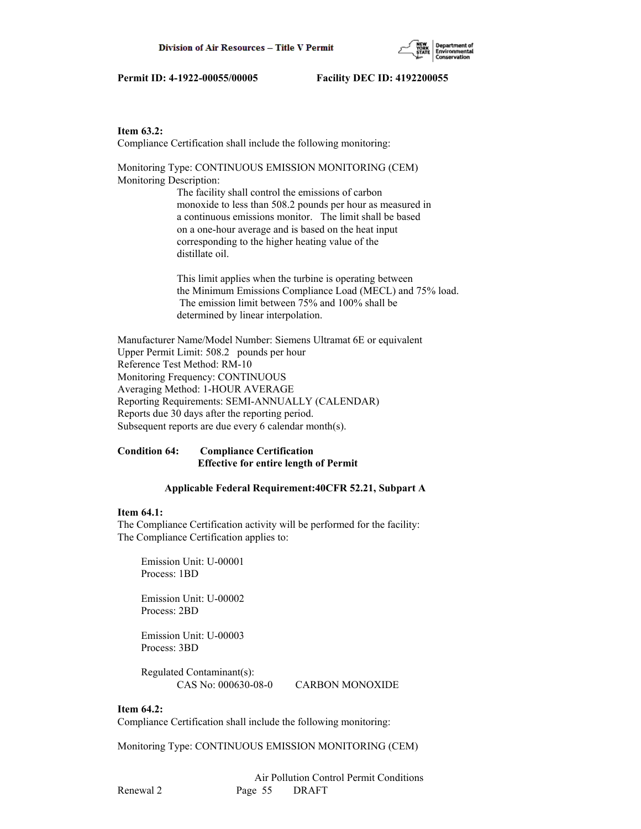

## **Item 63.2:**

Compliance Certification shall include the following monitoring:

# Monitoring Type: CONTINUOUS EMISSION MONITORING (CEM) Monitoring Description:

 The facility shall control the emissions of carbon monoxide to less than 508.2 pounds per hour as measured in a continuous emissions monitor. The limit shall be based on a one-hour average and is based on the heat input corresponding to the higher heating value of the distillate oil.

 This limit applies when the turbine is operating between the Minimum Emissions Compliance Load (MECL) and 75% load. The emission limit between 75% and 100% shall be determined by linear interpolation.

Manufacturer Name/Model Number: Siemens Ultramat 6E or equivalent Upper Permit Limit: 508.2 pounds per hour Reference Test Method: RM-10 Monitoring Frequency: CONTINUOUS Averaging Method: 1-HOUR AVERAGE Reporting Requirements: SEMI-ANNUALLY (CALENDAR) Reports due 30 days after the reporting period. Subsequent reports are due every 6 calendar month(s).

## **Condition 64: Compliance Certification Effective for entire length of Permit**

## **Applicable Federal Requirement:40CFR 52.21, Subpart A**

## **Item 64.1:**

The Compliance Certification activity will be performed for the facility: The Compliance Certification applies to:

 Emission Unit: U-00001 Process: 1BD

 Emission Unit: U-00002 Process: 2BD

 Emission Unit: U-00003 Process: 3BD

Regulated Contaminant(s):

CAS No: 000630-08-0 CARBON MONOXIDE

## **Item 64.2:**

Compliance Certification shall include the following monitoring:

Monitoring Type: CONTINUOUS EMISSION MONITORING (CEM)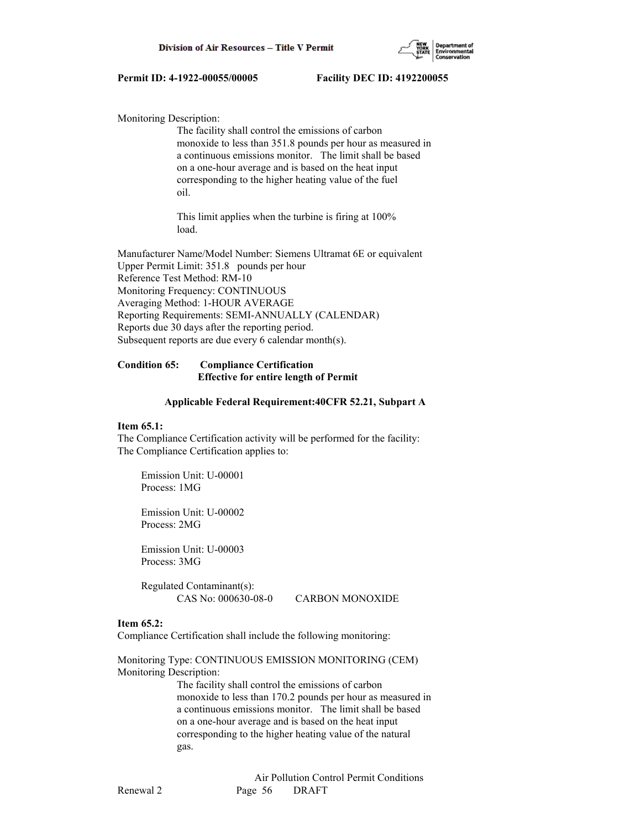

Monitoring Description:

 The facility shall control the emissions of carbon monoxide to less than 351.8 pounds per hour as measured in a continuous emissions monitor. The limit shall be based on a one-hour average and is based on the heat input corresponding to the higher heating value of the fuel oil.

 This limit applies when the turbine is firing at 100% load.

Manufacturer Name/Model Number: Siemens Ultramat 6E or equivalent Upper Permit Limit: 351.8 pounds per hour Reference Test Method: RM-10 Monitoring Frequency: CONTINUOUS Averaging Method: 1-HOUR AVERAGE Reporting Requirements: SEMI-ANNUALLY (CALENDAR) Reports due 30 days after the reporting period. Subsequent reports are due every 6 calendar month(s).

## **Condition 65: Compliance Certification Effective for entire length of Permit**

### **Applicable Federal Requirement:40CFR 52.21, Subpart A**

## **Item 65.1:**

The Compliance Certification activity will be performed for the facility: The Compliance Certification applies to:

 Emission Unit: U-00001 Process: 1MG

 Emission Unit: U-00002 Process: 2MG

 Emission Unit: U-00003 Process: 3MG

 Regulated Contaminant(s): CAS No: 000630-08-0 CARBON MONOXIDE

### **Item 65.2:**

Compliance Certification shall include the following monitoring:

Monitoring Type: CONTINUOUS EMISSION MONITORING (CEM) Monitoring Description:

> The facility shall control the emissions of carbon monoxide to less than 170.2 pounds per hour as measured in a continuous emissions monitor. The limit shall be based on a one-hour average and is based on the heat input corresponding to the higher heating value of the natural gas.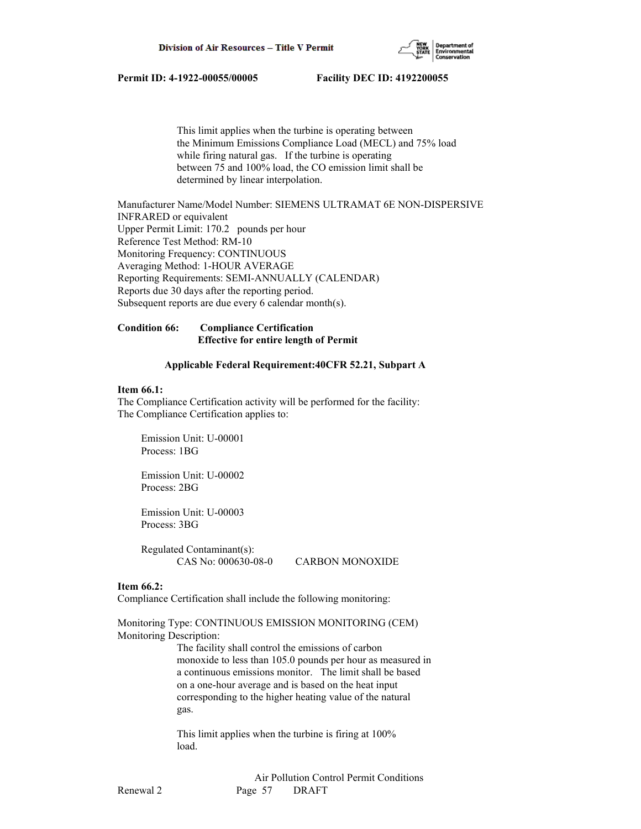

 This limit applies when the turbine is operating between the Minimum Emissions Compliance Load (MECL) and 75% load while firing natural gas. If the turbine is operating between 75 and 100% load, the CO emission limit shall be determined by linear interpolation.

Manufacturer Name/Model Number: SIEMENS ULTRAMAT 6E NON-DISPERSIVE INFRARED or equivalent Upper Permit Limit: 170.2 pounds per hour Reference Test Method: RM-10 Monitoring Frequency: CONTINUOUS Averaging Method: 1-HOUR AVERAGE Reporting Requirements: SEMI-ANNUALLY (CALENDAR) Reports due 30 days after the reporting period. Subsequent reports are due every 6 calendar month(s).

## **Condition 66: Compliance Certification Effective for entire length of Permit**

### **Applicable Federal Requirement:40CFR 52.21, Subpart A**

### **Item 66.1:**

The Compliance Certification activity will be performed for the facility: The Compliance Certification applies to:

 Emission Unit: U-00001 Process: 1BG

 Emission Unit: U-00002 Process: 2BG

 Emission Unit: U-00003 Process: 3BG

 Regulated Contaminant(s): CAS No: 000630-08-0 CARBON MONOXIDE

### **Item 66.2:**

Compliance Certification shall include the following monitoring:

Monitoring Type: CONTINUOUS EMISSION MONITORING (CEM) Monitoring Description:

> The facility shall control the emissions of carbon monoxide to less than 105.0 pounds per hour as measured in a continuous emissions monitor. The limit shall be based on a one-hour average and is based on the heat input corresponding to the higher heating value of the natural gas.

 This limit applies when the turbine is firing at 100% load.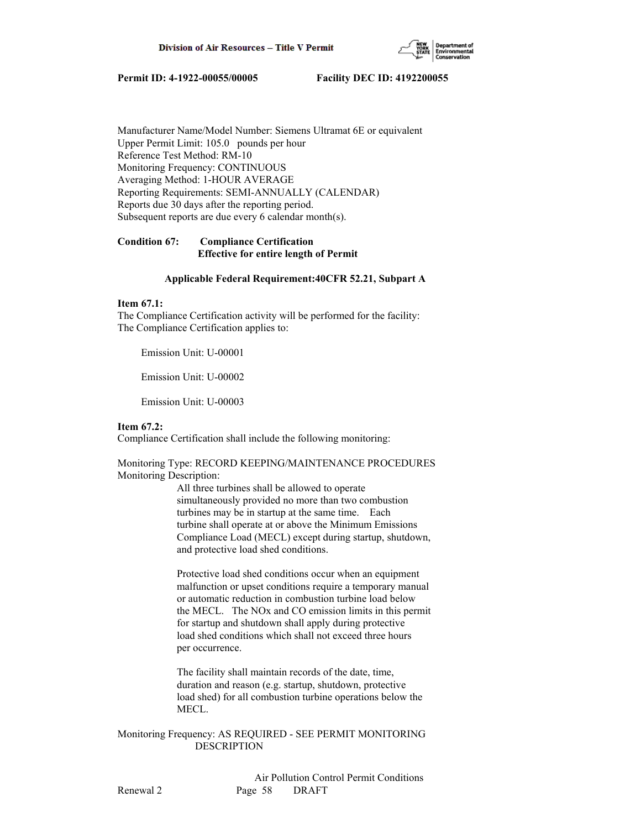

Manufacturer Name/Model Number: Siemens Ultramat 6E or equivalent Upper Permit Limit: 105.0 pounds per hour Reference Test Method: RM-10 Monitoring Frequency: CONTINUOUS Averaging Method: 1-HOUR AVERAGE Reporting Requirements: SEMI-ANNUALLY (CALENDAR) Reports due 30 days after the reporting period. Subsequent reports are due every 6 calendar month(s).

# **Condition 67: Compliance Certification Effective for entire length of Permit**

### **Applicable Federal Requirement:40CFR 52.21, Subpart A**

### **Item 67.1:**

The Compliance Certification activity will be performed for the facility: The Compliance Certification applies to:

Emission Unit: U-00001

Emission Unit: U-00002

Emission Unit: U-00003

## **Item 67.2:**

Compliance Certification shall include the following monitoring:

### Monitoring Type: RECORD KEEPING/MAINTENANCE PROCEDURES Monitoring Description:

 All three turbines shall be allowed to operate simultaneously provided no more than two combustion turbines may be in startup at the same time. Each turbine shall operate at or above the Minimum Emissions Compliance Load (MECL) except during startup, shutdown, and protective load shed conditions.

 Protective load shed conditions occur when an equipment malfunction or upset conditions require a temporary manual or automatic reduction in combustion turbine load below the MECL. The NOx and CO emission limits in this permit for startup and shutdown shall apply during protective load shed conditions which shall not exceed three hours per occurrence.

 The facility shall maintain records of the date, time, duration and reason (e.g. startup, shutdown, protective load shed) for all combustion turbine operations below the MECL.

Monitoring Frequency: AS REQUIRED - SEE PERMIT MONITORING DESCRIPTION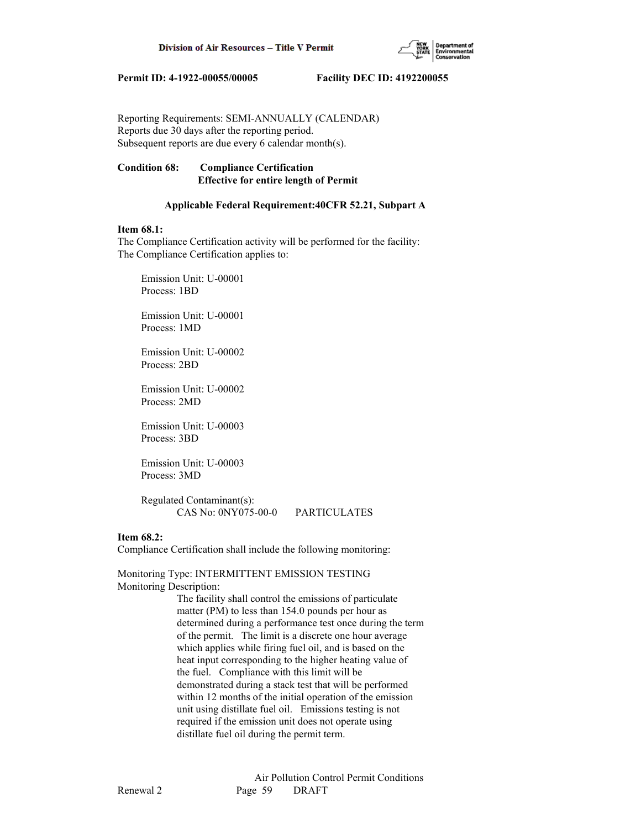

Reporting Requirements: SEMI-ANNUALLY (CALENDAR) Reports due 30 days after the reporting period. Subsequent reports are due every 6 calendar month(s).

## **Condition 68: Compliance Certification Effective for entire length of Permit**

### **Applicable Federal Requirement:40CFR 52.21, Subpart A**

# **Item 68.1:**

The Compliance Certification activity will be performed for the facility: The Compliance Certification applies to:

 Emission Unit: U-00001 Process: 1BD

 Emission Unit: U-00001 Process: 1MD

 Emission Unit: U-00002 Process: 2BD

 Emission Unit: U-00002 Process: 2MD

 Emission Unit: U-00003 Process: 3BD

 Emission Unit: U-00003 Process: 3MD

 Regulated Contaminant(s): CAS No: 0NY075-00-0 PARTICULATES

## **Item 68.2:**

Compliance Certification shall include the following monitoring:

Monitoring Type: INTERMITTENT EMISSION TESTING Monitoring Description:

> The facility shall control the emissions of particulate matter (PM) to less than 154.0 pounds per hour as determined during a performance test once during the term of the permit. The limit is a discrete one hour average which applies while firing fuel oil, and is based on the heat input corresponding to the higher heating value of the fuel. Compliance with this limit will be demonstrated during a stack test that will be performed within 12 months of the initial operation of the emission unit using distillate fuel oil. Emissions testing is not required if the emission unit does not operate using distillate fuel oil during the permit term.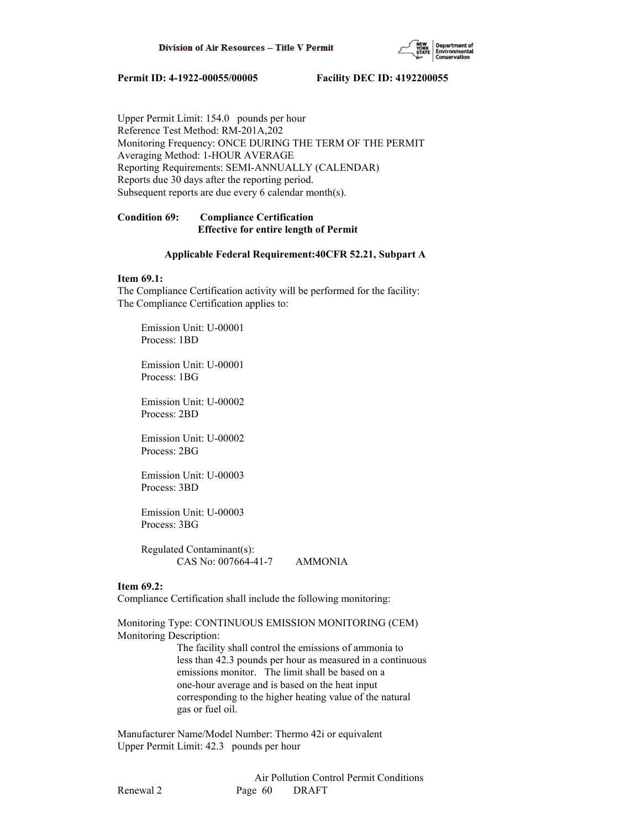

Upper Permit Limit: 154.0 pounds per hour Reference Test Method: RM-201A,202 Monitoring Frequency: ONCE DURING THE TERM OF THE PERMIT Averaging Method: 1-HOUR AVERAGE Reporting Requirements: SEMI-ANNUALLY (CALENDAR) Reports due 30 days after the reporting period. Subsequent reports are due every 6 calendar month(s).

# **Condition 69: Compliance Certification Effective for entire length of Permit**

### **Applicable Federal Requirement:40CFR 52.21, Subpart A**

### **Item 69.1:**

The Compliance Certification activity will be performed for the facility: The Compliance Certification applies to:

 Emission Unit: U-00001 Process: 1BD

 Emission Unit: U-00001 Process: 1BG

 Emission Unit: U-00002 Process: 2BD

 Emission Unit: U-00002 Process: 2BG

 Emission Unit: U-00003 Process: 3BD

 Emission Unit: U-00003 Process: 3BG

 Regulated Contaminant(s): CAS No: 007664-41-7 AMMONIA

## **Item 69.2:**

Compliance Certification shall include the following monitoring:

Monitoring Type: CONTINUOUS EMISSION MONITORING (CEM) Monitoring Description: The facility shall control the emissions of ammonia to less than 42.3 pounds per hour as measured in a continuous emissions monitor. The limit shall be based on a one-hour average and is based on the heat input corresponding to the higher heating value of the natural gas or fuel oil.

Manufacturer Name/Model Number: Thermo 42i or equivalent Upper Permit Limit: 42.3 pounds per hour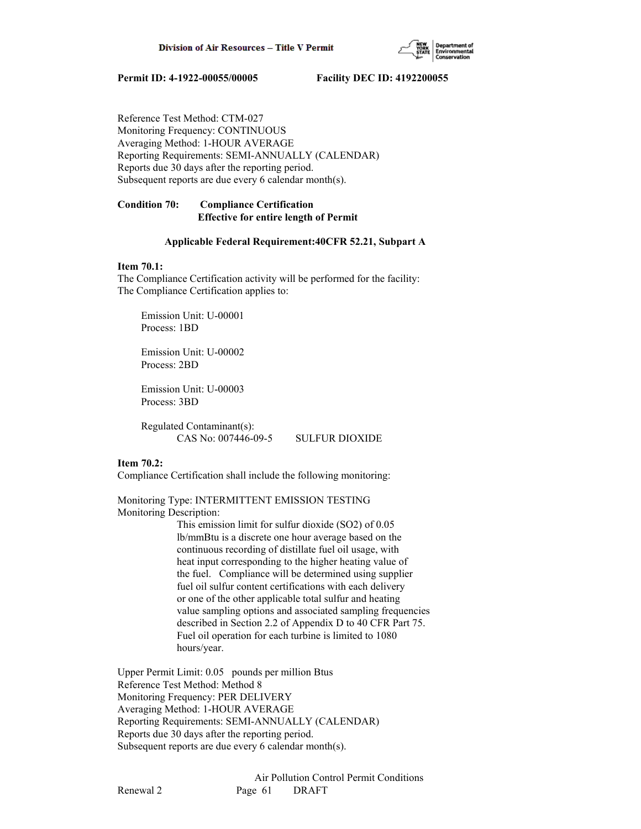

Reference Test Method: CTM-027 Monitoring Frequency: CONTINUOUS Averaging Method: 1-HOUR AVERAGE Reporting Requirements: SEMI-ANNUALLY (CALENDAR) Reports due 30 days after the reporting period. Subsequent reports are due every 6 calendar month(s).

# **Condition 70: Compliance Certification Effective for entire length of Permit**

# **Applicable Federal Requirement:40CFR 52.21, Subpart A**

# **Item 70.1:**

The Compliance Certification activity will be performed for the facility: The Compliance Certification applies to:

 Emission Unit: U-00001 Process: 1BD

 Emission Unit: U-00002 Process: 2BD

 Emission Unit: U-00003 Process: 3BD

 Regulated Contaminant(s): CAS No: 007446-09-5 SULFUR DIOXIDE

## **Item 70.2:**

Compliance Certification shall include the following monitoring:

# Monitoring Type: INTERMITTENT EMISSION TESTING Monitoring Description:

 This emission limit for sulfur dioxide (SO2) of 0.05 lb/mmBtu is a discrete one hour average based on the continuous recording of distillate fuel oil usage, with heat input corresponding to the higher heating value of the fuel. Compliance will be determined using supplier fuel oil sulfur content certifications with each delivery or one of the other applicable total sulfur and heating value sampling options and associated sampling frequencies described in Section 2.2 of Appendix D to 40 CFR Part 75. Fuel oil operation for each turbine is limited to 1080 hours/year.

Upper Permit Limit: 0.05 pounds per million Btus Reference Test Method: Method 8 Monitoring Frequency: PER DELIVERY Averaging Method: 1-HOUR AVERAGE Reporting Requirements: SEMI-ANNUALLY (CALENDAR) Reports due 30 days after the reporting period. Subsequent reports are due every 6 calendar month(s).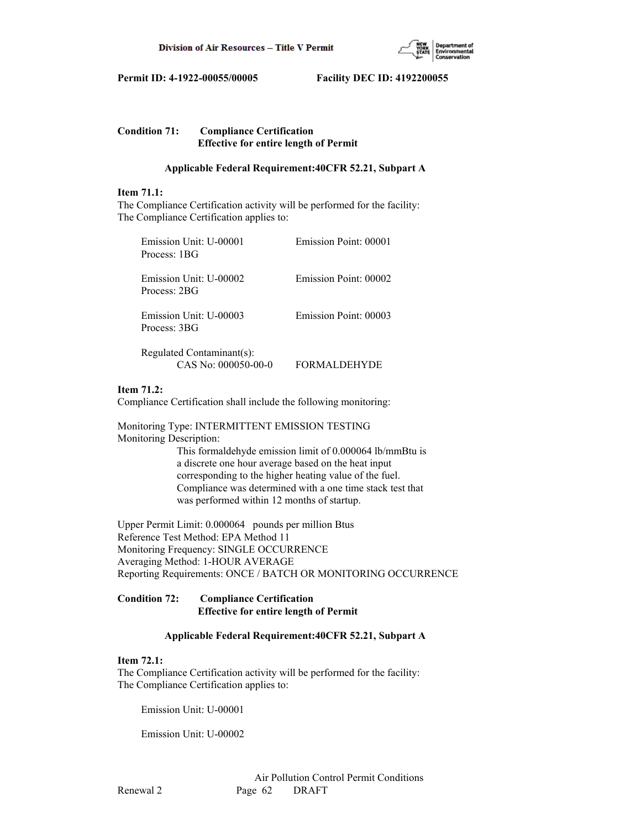

# **Condition 71: Compliance Certification Effective for entire length of Permit**

# **Applicable Federal Requirement:40CFR 52.21, Subpart A**

## **Item 71.1:**

The Compliance Certification activity will be performed for the facility: The Compliance Certification applies to:

| Emission Unit: U-00001<br>Process: 1BG           | Emission Point: 00001 |
|--------------------------------------------------|-----------------------|
| Emission Unit: U-00002<br>Process: 2BG           | Emission Point: 00002 |
| Emission Unit: U-00003<br>Process: 3BG           | Emission Point: 00003 |
| Regulated Contaminant(s):<br>CAS No: 000050-00-0 | FORMAL DEH            |

## **Item 71.2:**

Compliance Certification shall include the following monitoring:

Monitoring Type: INTERMITTENT EMISSION TESTING Monitoring Description:

 This formaldehyde emission limit of 0.000064 lb/mmBtu is a discrete one hour average based on the heat input corresponding to the higher heating value of the fuel. Compliance was determined with a one time stack test that was performed within 12 months of startup.

Upper Permit Limit: 0.000064 pounds per million Btus Reference Test Method: EPA Method 11 Monitoring Frequency: SINGLE OCCURRENCE Averaging Method: 1-HOUR AVERAGE Reporting Requirements: ONCE / BATCH OR MONITORING OCCURRENCE

# **Condition 72: Compliance Certification Effective for entire length of Permit**

# **Applicable Federal Requirement:40CFR 52.21, Subpart A**

## **Item 72.1:**

The Compliance Certification activity will be performed for the facility: The Compliance Certification applies to:

Emission Unit: U-00001

Emission Unit: U-00002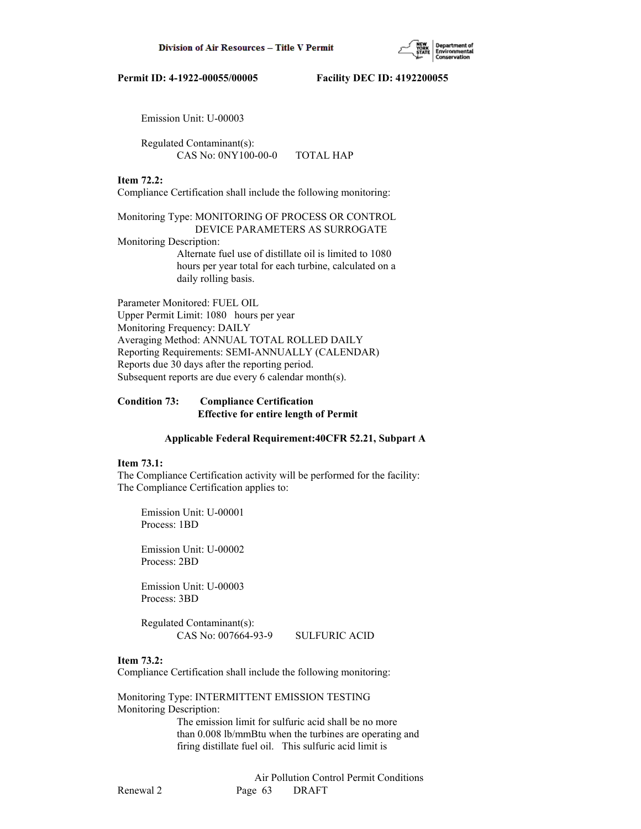

Emission Unit: U-00003

 Regulated Contaminant(s): CAS No: 0NY100-00-0 TOTAL HAP

**Item 72.2:**

Compliance Certification shall include the following monitoring:

Monitoring Type: MONITORING OF PROCESS OR CONTROL DEVICE PARAMETERS AS SURROGATE

Monitoring Description:

 Alternate fuel use of distillate oil is limited to 1080 hours per year total for each turbine, calculated on a daily rolling basis.

Parameter Monitored: FUEL OIL Upper Permit Limit: 1080 hours per year Monitoring Frequency: DAILY Averaging Method: ANNUAL TOTAL ROLLED DAILY Reporting Requirements: SEMI-ANNUALLY (CALENDAR) Reports due 30 days after the reporting period. Subsequent reports are due every 6 calendar month(s).

# **Condition 73: Compliance Certification Effective for entire length of Permit**

## **Applicable Federal Requirement:40CFR 52.21, Subpart A**

## **Item 73.1:**

The Compliance Certification activity will be performed for the facility: The Compliance Certification applies to:

 Emission Unit: U-00001 Process: 1BD

 Emission Unit: U-00002 Process: 2BD

 Emission Unit: U-00003 Process: 3BD

 Regulated Contaminant(s): CAS No: 007664-93-9 SULFURIC ACID

## **Item 73.2:**

Compliance Certification shall include the following monitoring:

Monitoring Type: INTERMITTENT EMISSION TESTING Monitoring Description:

> The emission limit for sulfuric acid shall be no more than 0.008 lb/mmBtu when the turbines are operating and firing distillate fuel oil. This sulfuric acid limit is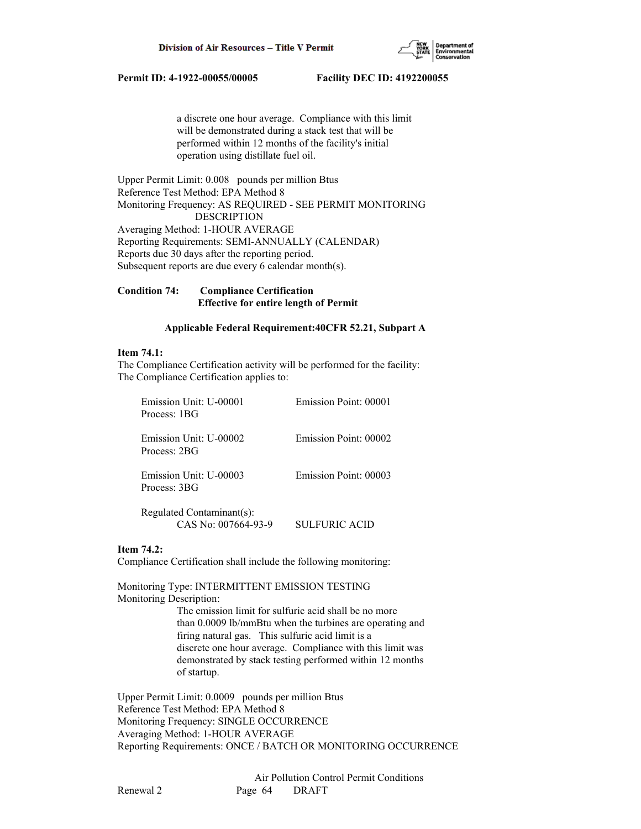

 a discrete one hour average. Compliance with this limit will be demonstrated during a stack test that will be performed within 12 months of the facility's initial operation using distillate fuel oil.

Upper Permit Limit: 0.008 pounds per million Btus Reference Test Method: EPA Method 8 Monitoring Frequency: AS REQUIRED - SEE PERMIT MONITORING DESCRIPTION Averaging Method: 1-HOUR AVERAGE Reporting Requirements: SEMI-ANNUALLY (CALENDAR) Reports due 30 days after the reporting period. Subsequent reports are due every 6 calendar month(s).

**Condition 74: Compliance Certification Effective for entire length of Permit**

## **Applicable Federal Requirement:40CFR 52.21, Subpart A**

### **Item 74.1:**

The Compliance Certification activity will be performed for the facility: The Compliance Certification applies to:

| Emission Unit: U-00001<br>Process: 1 <sub>RG</sub> | Emission Point: 00001 |
|----------------------------------------------------|-----------------------|
| Emission Unit: U-00002<br>Process: 2BG             | Emission Point: 00002 |
| Emission Unit: U-00003<br>Process: 3BG             | Emission Point: 00003 |
| Regulated Contaminant(s):<br>CAS No: 007664-93-9   | SULFURIC ACID         |

### **Item 74.2:**

Compliance Certification shall include the following monitoring:

Monitoring Type: INTERMITTENT EMISSION TESTING Monitoring Description:

 The emission limit for sulfuric acid shall be no more than 0.0009 lb/mmBtu when the turbines are operating and firing natural gas. This sulfuric acid limit is a discrete one hour average. Compliance with this limit was demonstrated by stack testing performed within 12 months of startup.

Upper Permit Limit: 0.0009 pounds per million Btus Reference Test Method: EPA Method 8 Monitoring Frequency: SINGLE OCCURRENCE Averaging Method: 1-HOUR AVERAGE Reporting Requirements: ONCE / BATCH OR MONITORING OCCURRENCE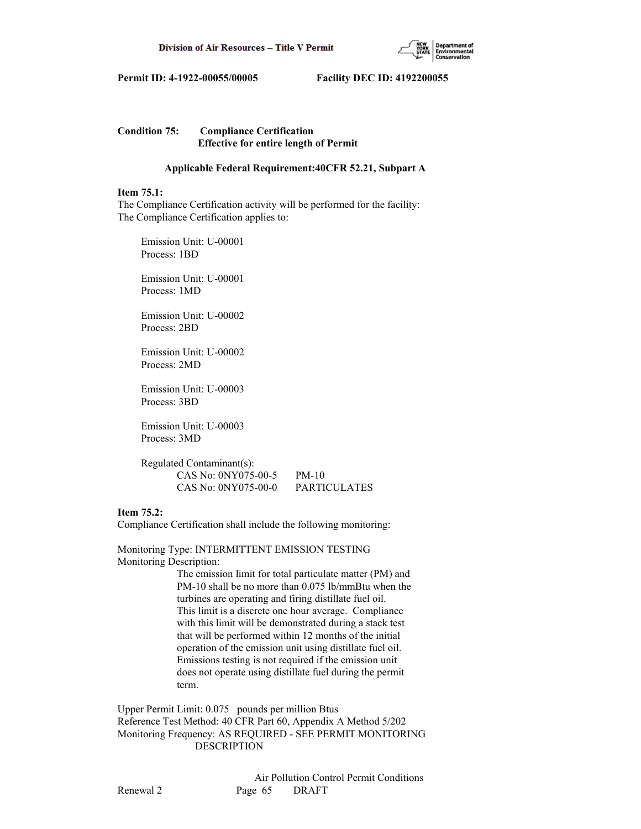

# **Condition 75: Compliance Certification Effective for entire length of Permit**

## **Applicable Federal Requirement:40CFR 52.21, Subpart A**

## **Item 75.1:**

The Compliance Certification activity will be performed for the facility: The Compliance Certification applies to:

 Emission Unit: U-00001 Process: 1BD

 Emission Unit: U-00001 Process: 1MD

 Emission Unit: U-00002 Process: 2BD

 Emission Unit: U-00002 Process: 2MD

 Emission Unit: U-00003 Process: 3BD

 Emission Unit: U-00003 Process: 3MD

| Regulated Contaminant(s): |                     |
|---------------------------|---------------------|
| CAS No: 0NY075-00-5       | PM-10               |
| CAS No: 0NY075-00-0       | <b>PARTICULATES</b> |

# **Item 75.2:**

Compliance Certification shall include the following monitoring:

Monitoring Type: INTERMITTENT EMISSION TESTING Monitoring Description:

> The emission limit for total particulate matter (PM) and PM-10 shall be no more than 0.075 lb/mmBtu when the turbines are operating and firing distillate fuel oil. This limit is a discrete one hour average. Compliance with this limit will be demonstrated during a stack test that will be performed within 12 months of the initial operation of the emission unit using distillate fuel oil. Emissions testing is not required if the emission unit does not operate using distillate fuel during the permit term.

Upper Permit Limit: 0.075 pounds per million Btus Reference Test Method: 40 CFR Part 60, Appendix A Method 5/202 Monitoring Frequency: AS REQUIRED - SEE PERMIT MONITORING DESCRIPTION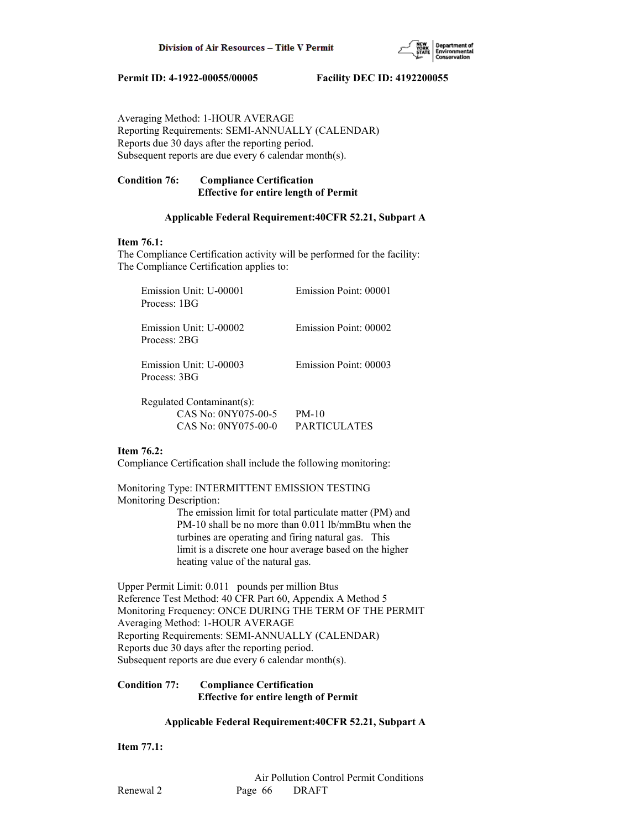

Averaging Method: 1-HOUR AVERAGE Reporting Requirements: SEMI-ANNUALLY (CALENDAR) Reports due 30 days after the reporting period. Subsequent reports are due every 6 calendar month(s).

# **Condition 76: Compliance Certification Effective for entire length of Permit**

## **Applicable Federal Requirement:40CFR 52.21, Subpart A**

## **Item 76.1:**

The Compliance Certification activity will be performed for the facility: The Compliance Certification applies to:

| Emission Unit: U-00001<br>Process: 1BG             | Emission Point: 00001 |
|----------------------------------------------------|-----------------------|
| Emission Unit: U-00002<br>Process: 2BG             | Emission Point: 00002 |
| Emission Unit: U-00003<br>Process: 3 <sub>RG</sub> | Emission Point: 00003 |
| Regulated Contaminant(s):<br>CAS No: 0NY075-00-5   | $PM-10$               |
| CAS No: 0NY075-00-0                                | PARTICULATES          |

# **Item 76.2:**

Compliance Certification shall include the following monitoring:

Monitoring Type: INTERMITTENT EMISSION TESTING Monitoring Description:

 The emission limit for total particulate matter (PM) and PM-10 shall be no more than 0.011 lb/mmBtu when the turbines are operating and firing natural gas. This limit is a discrete one hour average based on the higher heating value of the natural gas.

Upper Permit Limit: 0.011 pounds per million Btus Reference Test Method: 40 CFR Part 60, Appendix A Method 5 Monitoring Frequency: ONCE DURING THE TERM OF THE PERMIT Averaging Method: 1-HOUR AVERAGE Reporting Requirements: SEMI-ANNUALLY (CALENDAR) Reports due 30 days after the reporting period. Subsequent reports are due every 6 calendar month(s).

# **Condition 77: Compliance Certification Effective for entire length of Permit**

# **Applicable Federal Requirement:40CFR 52.21, Subpart A**

**Item 77.1:**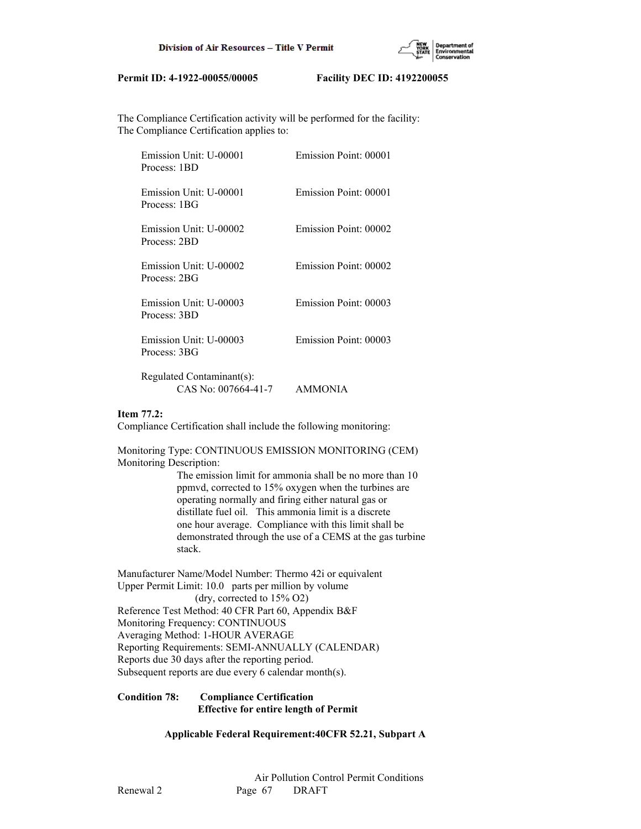

The Compliance Certification activity will be performed for the facility: The Compliance Certification applies to:

| Emission Unit: U-00001<br>Process: 1BD | Emission Point: 00001 |
|----------------------------------------|-----------------------|
| Emission Unit: U-00001<br>Process: 1BG | Emission Point: 00001 |
| Emission Unit: U-00002<br>Process: 2BD | Emission Point: 00002 |
| Emission Unit: U-00002<br>Process: 2BG | Emission Point: 00002 |
| Emission Unit: U-00003<br>Process: 3BD | Emission Point: 00003 |
| Emission Unit: U-00003<br>Process: 3BG | Emission Point: 00003 |
| Regulated Contaminant(s):              |                       |

# **Item 77.2:**

Compliance Certification shall include the following monitoring:

CAS No: 007664-41-7 AMMONIA

Monitoring Type: CONTINUOUS EMISSION MONITORING (CEM) Monitoring Description:

> The emission limit for ammonia shall be no more than 10 ppmvd, corrected to 15% oxygen when the turbines are operating normally and firing either natural gas or distillate fuel oil. This ammonia limit is a discrete one hour average. Compliance with this limit shall be demonstrated through the use of a CEMS at the gas turbine stack.

Manufacturer Name/Model Number: Thermo 42i or equivalent Upper Permit Limit: 10.0 parts per million by volume (dry, corrected to 15% O2) Reference Test Method: 40 CFR Part 60, Appendix B&F Monitoring Frequency: CONTINUOUS Averaging Method: 1-HOUR AVERAGE Reporting Requirements: SEMI-ANNUALLY (CALENDAR) Reports due 30 days after the reporting period. Subsequent reports are due every 6 calendar month(s).

**Condition 78: Compliance Certification Effective for entire length of Permit**

 **Applicable Federal Requirement:40CFR 52.21, Subpart A**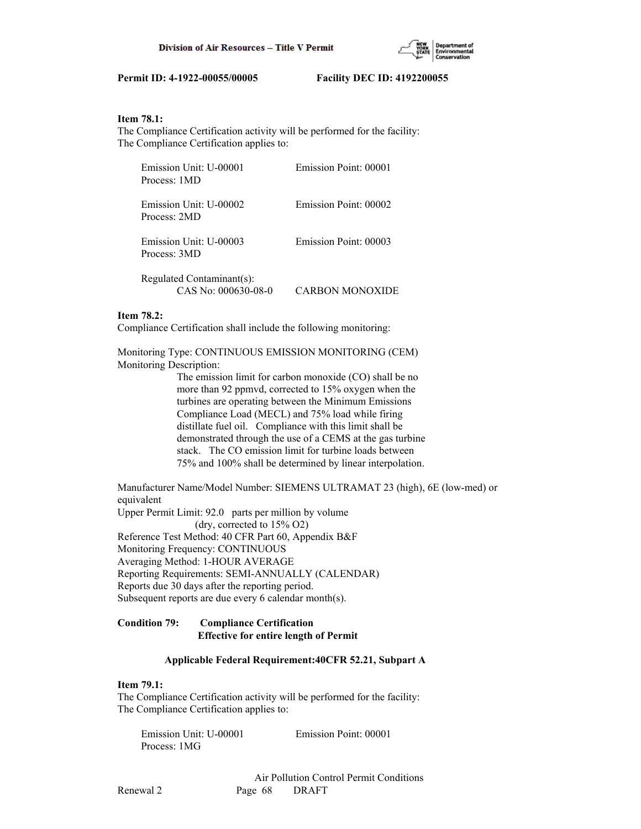

## **Item 78.1:**

The Compliance Certification activity will be performed for the facility: The Compliance Certification applies to:

| Emission Unit: U-00001<br>Process: 1MD           | Emission Point: 00001 |
|--------------------------------------------------|-----------------------|
| Emission Unit: U-00002<br>Process: 2MD           | Emission Point: 00002 |
| Emission Unit: U-00003<br>Process: 3MD           | Emission Point: 00003 |
| Regulated Contaminant(s):<br>CAS No: 000630-08-0 | CARBON MONOXI         |

# **Item 78.2:**

Compliance Certification shall include the following monitoring:

Monitoring Type: CONTINUOUS EMISSION MONITORING (CEM) Monitoring Description:

> The emission limit for carbon monoxide (CO) shall be no more than 92 ppmvd, corrected to 15% oxygen when the turbines are operating between the Minimum Emissions Compliance Load (MECL) and 75% load while firing distillate fuel oil. Compliance with this limit shall be demonstrated through the use of a CEMS at the gas turbine stack. The CO emission limit for turbine loads between 75% and 100% shall be determined by linear interpolation.

Manufacturer Name/Model Number: SIEMENS ULTRAMAT 23 (high), 6E (low-med) or equivalent

Upper Permit Limit: 92.0 parts per million by volume (dry, corrected to 15% O2) Reference Test Method: 40 CFR Part 60, Appendix B&F

Monitoring Frequency: CONTINUOUS Averaging Method: 1-HOUR AVERAGE Reporting Requirements: SEMI-ANNUALLY (CALENDAR) Reports due 30 days after the reporting period. Subsequent reports are due every 6 calendar month(s).

# **Condition 79: Compliance Certification Effective for entire length of Permit**

# **Applicable Federal Requirement:40CFR 52.21, Subpart A**

## **Item 79.1:**

The Compliance Certification activity will be performed for the facility: The Compliance Certification applies to:

 Emission Unit: U-00001 Emission Point: 00001 Process: 1MG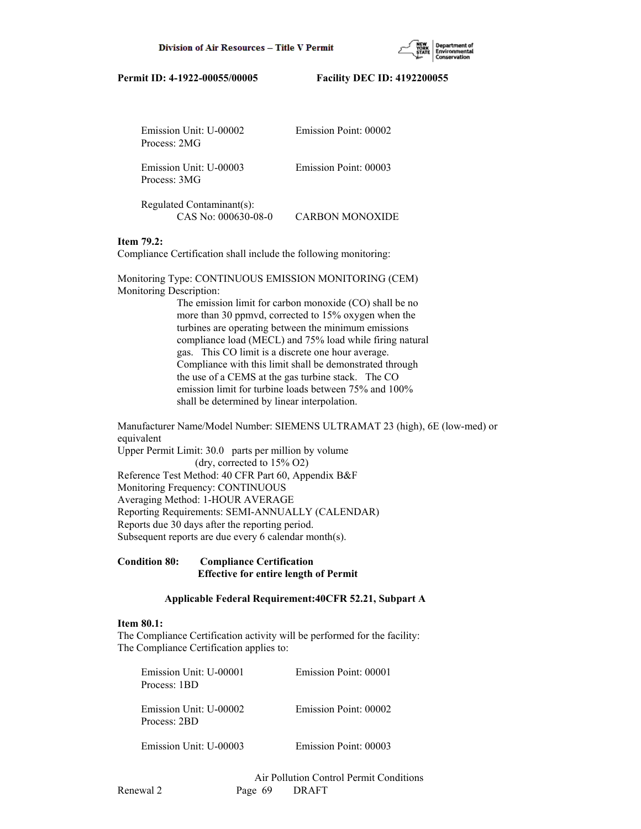

| Emission Unit: U-00002<br>Process: 2MG           | Emission Point: 00002 |
|--------------------------------------------------|-----------------------|
| Emission Unit: U-00003<br>Process: 3MG           | Emission Point: 00003 |
| Regulated Contaminant(s):<br>CAS No: 000630-08-0 | CARBON MONOXIDE       |

# **Item 79.2:**

Compliance Certification shall include the following monitoring:

Monitoring Type: CONTINUOUS EMISSION MONITORING (CEM) Monitoring Description:

> The emission limit for carbon monoxide (CO) shall be no more than 30 ppmvd, corrected to 15% oxygen when the turbines are operating between the minimum emissions compliance load (MECL) and 75% load while firing natural gas. This CO limit is a discrete one hour average. Compliance with this limit shall be demonstrated through the use of a CEMS at the gas turbine stack. The CO emission limit for turbine loads between 75% and 100% shall be determined by linear interpolation.

Manufacturer Name/Model Number: SIEMENS ULTRAMAT 23 (high), 6E (low-med) or equivalent

Upper Permit Limit: 30.0 parts per million by volume (dry, corrected to 15% O2) Reference Test Method: 40 CFR Part 60, Appendix B&F Monitoring Frequency: CONTINUOUS Averaging Method: 1-HOUR AVERAGE Reporting Requirements: SEMI-ANNUALLY (CALENDAR) Reports due 30 days after the reporting period. Subsequent reports are due every 6 calendar month(s).

## **Condition 80: Compliance Certification Effective for entire length of Permit**

## **Applicable Federal Requirement:40CFR 52.21, Subpart A**

# **Item 80.1:**

The Compliance Certification activity will be performed for the facility: The Compliance Certification applies to:

| Emission Unit: U-00001<br>Process: 1BD | Emission Point: 00001 |
|----------------------------------------|-----------------------|
| Emission Unit: U-00002<br>Process: 2BD | Emission Point: 00002 |
| Emission Unit: U-00003                 | Emission Point: 00003 |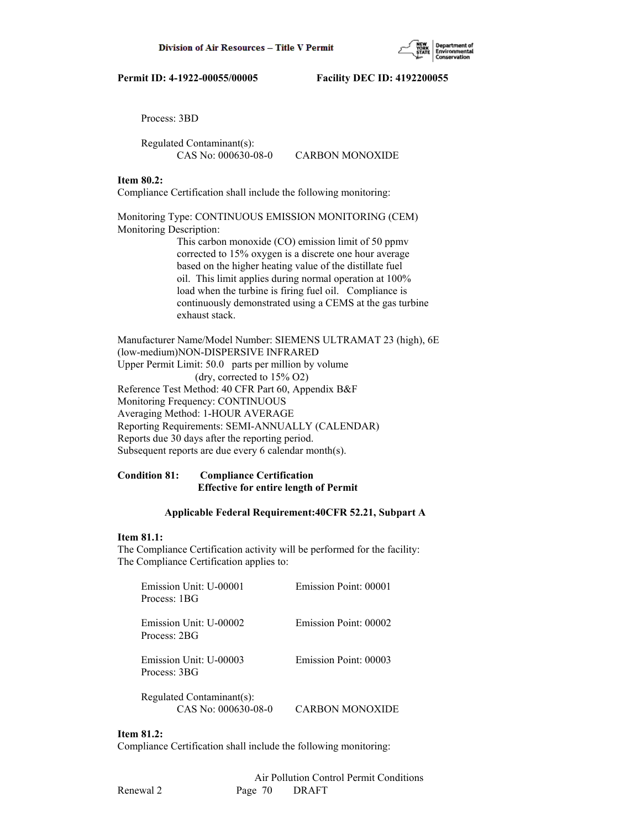

Process: 3BD

 Regulated Contaminant(s): CAS No: 000630-08-0 CARBON MONOXIDE

## **Item 80.2:**

Compliance Certification shall include the following monitoring:

Monitoring Type: CONTINUOUS EMISSION MONITORING (CEM) Monitoring Description:

> This carbon monoxide (CO) emission limit of 50 ppmv corrected to 15% oxygen is a discrete one hour average based on the higher heating value of the distillate fuel oil. This limit applies during normal operation at 100% load when the turbine is firing fuel oil. Compliance is continuously demonstrated using a CEMS at the gas turbine exhaust stack.

Manufacturer Name/Model Number: SIEMENS ULTRAMAT 23 (high), 6E (low-medium)NON-DISPERSIVE INFRARED Upper Permit Limit: 50.0 parts per million by volume (dry, corrected to 15% O2) Reference Test Method: 40 CFR Part 60, Appendix B&F Monitoring Frequency: CONTINUOUS Averaging Method: 1-HOUR AVERAGE Reporting Requirements: SEMI-ANNUALLY (CALENDAR) Reports due 30 days after the reporting period. Subsequent reports are due every 6 calendar month(s).

# **Condition 81: Compliance Certification Effective for entire length of Permit**

## **Applicable Federal Requirement:40CFR 52.21, Subpart A**

## **Item 81.1:**

The Compliance Certification activity will be performed for the facility: The Compliance Certification applies to:

| Emission Unit: U-00001<br>Process: 1BG           | Emission Point: 00001 |
|--------------------------------------------------|-----------------------|
| Emission Unit: U-00002<br>Process: 2BG           | Emission Point: 00002 |
| Emission Unit: U-00003<br>Process: 3BG           | Emission Point: 00003 |
| Regulated Contaminant(s):<br>CAS No: 000630-08-0 | CARBON MONOXI         |

## **Item 81.2:**

Compliance Certification shall include the following monitoring: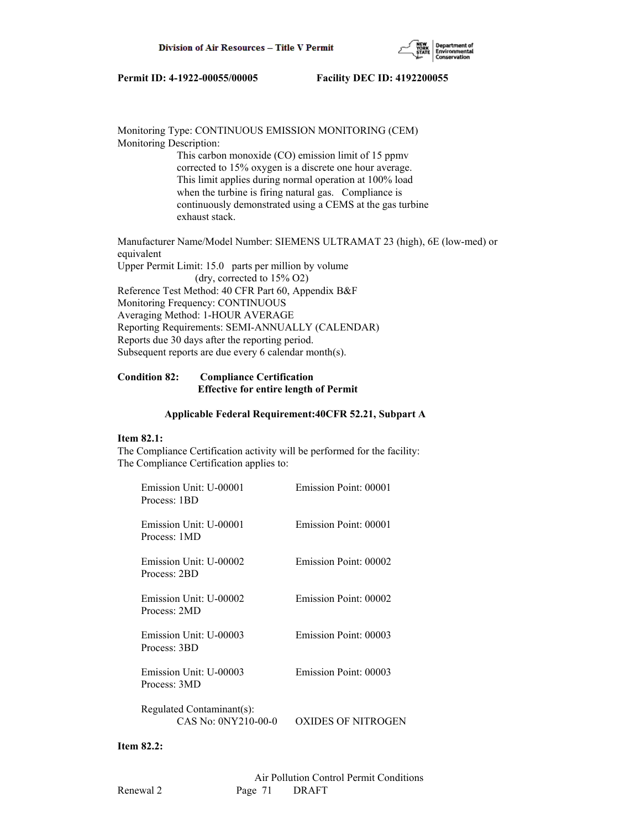

Monitoring Type: CONTINUOUS EMISSION MONITORING (CEM) Monitoring Description: This carbon monoxide (CO) emission limit of 15 ppmv corrected to 15% oxygen is a discrete one hour average. This limit applies during normal operation at 100% load

 when the turbine is firing natural gas. Compliance is continuously demonstrated using a CEMS at the gas turbine exhaust stack.

Manufacturer Name/Model Number: SIEMENS ULTRAMAT 23 (high), 6E (low-med) or equivalent

Upper Permit Limit: 15.0 parts per million by volume (dry, corrected to 15% O2) Reference Test Method: 40 CFR Part 60, Appendix B&F Monitoring Frequency: CONTINUOUS Averaging Method: 1-HOUR AVERAGE Reporting Requirements: SEMI-ANNUALLY (CALENDAR) Reports due 30 days after the reporting period. Subsequent reports are due every 6 calendar month(s).

## **Condition 82: Compliance Certification Effective for entire length of Permit**

#### **Applicable Federal Requirement:40CFR 52.21, Subpart A**

### **Item 82.1:**

The Compliance Certification activity will be performed for the facility: The Compliance Certification applies to:

| Emission Unit: U-00001<br>Process: 1BD           | Emission Point: 00001 |
|--------------------------------------------------|-----------------------|
| Emission Unit: U-00001<br>Process: 1MD           | Emission Point: 00001 |
| Emission Unit: U-00002<br>Process: 2BD           | Emission Point: 00002 |
| Emission Unit: U-00002<br>Process: 2MD           | Emission Point: 00002 |
| Emission Unit: U-00003<br>Process: 3BD           | Emission Point: 00003 |
| Emission Unit: U-00003<br>Process: 3MD           | Emission Point: 00003 |
| Regulated Contaminant(s):<br>CAS No: 0NY210-00-0 | OXIDES OF NITROGEN    |

#### **Item 82.2:**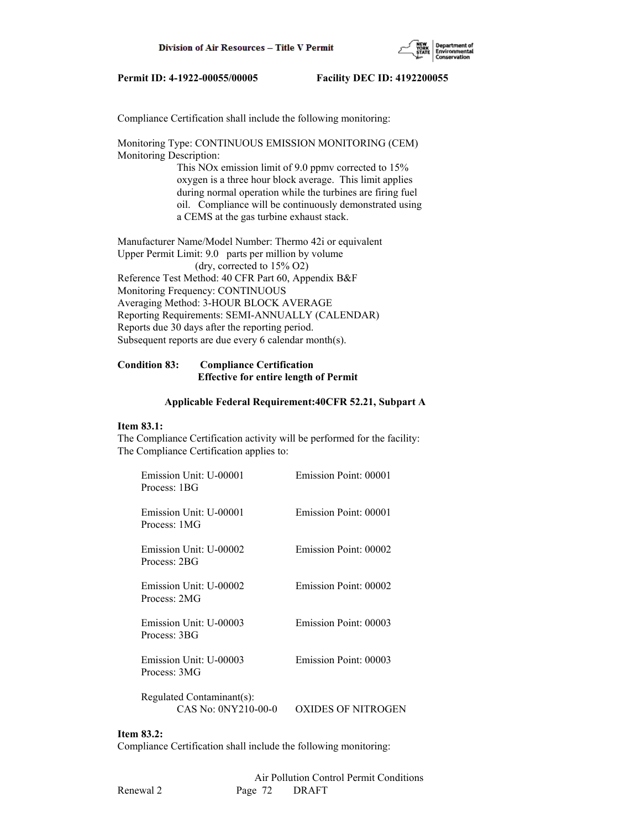

Compliance Certification shall include the following monitoring:

Monitoring Type: CONTINUOUS EMISSION MONITORING (CEM) Monitoring Description:

> This NOx emission limit of 9.0 ppmv corrected to 15% oxygen is a three hour block average. This limit applies during normal operation while the turbines are firing fuel oil. Compliance will be continuously demonstrated using a CEMS at the gas turbine exhaust stack.

Manufacturer Name/Model Number: Thermo 42i or equivalent Upper Permit Limit: 9.0 parts per million by volume (dry, corrected to 15% O2) Reference Test Method: 40 CFR Part 60, Appendix B&F Monitoring Frequency: CONTINUOUS Averaging Method: 3-HOUR BLOCK AVERAGE Reporting Requirements: SEMI-ANNUALLY (CALENDAR) Reports due 30 days after the reporting period. Subsequent reports are due every 6 calendar month(s).

# **Condition 83: Compliance Certification Effective for entire length of Permit**

#### **Applicable Federal Requirement:40CFR 52.21, Subpart A**

### **Item 83.1:**

The Compliance Certification activity will be performed for the facility: The Compliance Certification applies to:

| Emission Unit: U-00001<br>Process: 1BG           | Emission Point: 00001 |
|--------------------------------------------------|-----------------------|
| Emission Unit: U-00001<br>Process: 1MG           | Emission Point: 00001 |
| Emission Unit: U-00002<br>Process: 2BG           | Emission Point: 00002 |
| Emission Unit: U-00002<br>Process: 2MG           | Emission Point: 00002 |
| Emission Unit: U-00003<br>Process: 3BG           | Emission Point: 00003 |
| Emission Unit: U-00003<br>Process: 3MG           | Emission Point: 00003 |
| Regulated Contaminant(s):<br>CAS No: 0NY210-00-0 | OXIDES OF NITROGEN    |

## **Item 83.2:**

Compliance Certification shall include the following monitoring: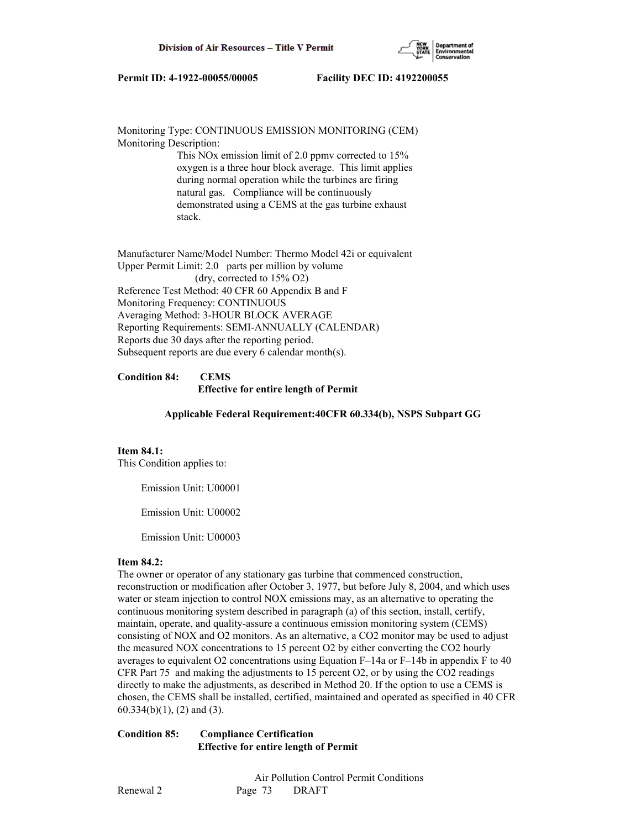

Monitoring Type: CONTINUOUS EMISSION MONITORING (CEM) Monitoring Description:

> This NOx emission limit of 2.0 ppmv corrected to 15% oxygen is a three hour block average. This limit applies during normal operation while the turbines are firing natural gas. Compliance will be continuously demonstrated using a CEMS at the gas turbine exhaust stack.

Manufacturer Name/Model Number: Thermo Model 42i or equivalent Upper Permit Limit: 2.0 parts per million by volume (dry, corrected to 15% O2) Reference Test Method: 40 CFR 60 Appendix B and F Monitoring Frequency: CONTINUOUS Averaging Method: 3-HOUR BLOCK AVERAGE Reporting Requirements: SEMI-ANNUALLY (CALENDAR) Reports due 30 days after the reporting period. Subsequent reports are due every 6 calendar month(s).

## **Condition 84: CEMS Effective for entire length of Permit**

 **Applicable Federal Requirement:40CFR 60.334(b), NSPS Subpart GG**

### **Item 84.1:**

This Condition applies to:

Emission Unit: U00001

Emission Unit: U00002

Emission Unit: U00003

#### **Item 84.2:**

The owner or operator of any stationary gas turbine that commenced construction, reconstruction or modification after October 3, 1977, but before July 8, 2004, and which uses water or steam injection to control NOX emissions may, as an alternative to operating the continuous monitoring system described in paragraph (a) of this section, install, certify, maintain, operate, and quality-assure a continuous emission monitoring system (CEMS) consisting of NOX and O2 monitors. As an alternative, a CO2 monitor may be used to adjust the measured NOX concentrations to 15 percent O2 by either converting the CO2 hourly averages to equivalent O2 concentrations using Equation F–14a or F–14b in appendix F to 40 CFR Part 75 and making the adjustments to 15 percent O2, or by using the CO2 readings directly to make the adjustments, as described in Method 20. If the option to use a CEMS is chosen, the CEMS shall be installed, certified, maintained and operated as specified in 40 CFR  $60.334(b)(1)$ , (2) and (3).

## **Condition 85: Compliance Certification Effective for entire length of Permit**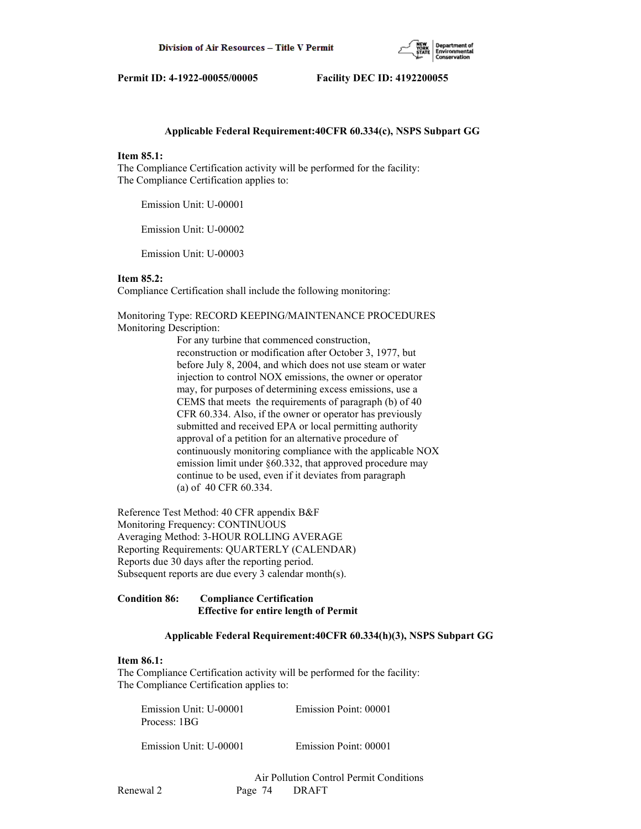

#### **Applicable Federal Requirement:40CFR 60.334(c), NSPS Subpart GG**

## **Item 85.1:**

The Compliance Certification activity will be performed for the facility: The Compliance Certification applies to:

Emission Unit: U-00001

Emission Unit: U-00002

Emission Unit: U-00003

#### **Item 85.2:**

Compliance Certification shall include the following monitoring:

Monitoring Type: RECORD KEEPING/MAINTENANCE PROCEDURES Monitoring Description:

> For any turbine that commenced construction, reconstruction or modification after October 3, 1977, but before July 8, 2004, and which does not use steam or water injection to control NOX emissions, the owner or operator may, for purposes of determining excess emissions, use a CEMS that meets the requirements of paragraph (b) of 40 CFR 60.334. Also, if the owner or operator has previously submitted and received EPA or local permitting authority approval of a petition for an alternative procedure of continuously monitoring compliance with the applicable NOX emission limit under §60.332, that approved procedure may continue to be used, even if it deviates from paragraph (a) of 40 CFR 60.334.

Reference Test Method: 40 CFR appendix B&F Monitoring Frequency: CONTINUOUS Averaging Method: 3-HOUR ROLLING AVERAGE Reporting Requirements: QUARTERLY (CALENDAR) Reports due 30 days after the reporting period. Subsequent reports are due every 3 calendar month(s).

# **Condition 86: Compliance Certification Effective for entire length of Permit**

#### **Applicable Federal Requirement:40CFR 60.334(h)(3), NSPS Subpart GG**

#### **Item 86.1:**

The Compliance Certification activity will be performed for the facility: The Compliance Certification applies to:

| Emission Unit: U-00001 | Emission Point: 00001 |
|------------------------|-----------------------|
| Process: 1BG           |                       |

Emission Unit: U-00001 Emission Point: 00001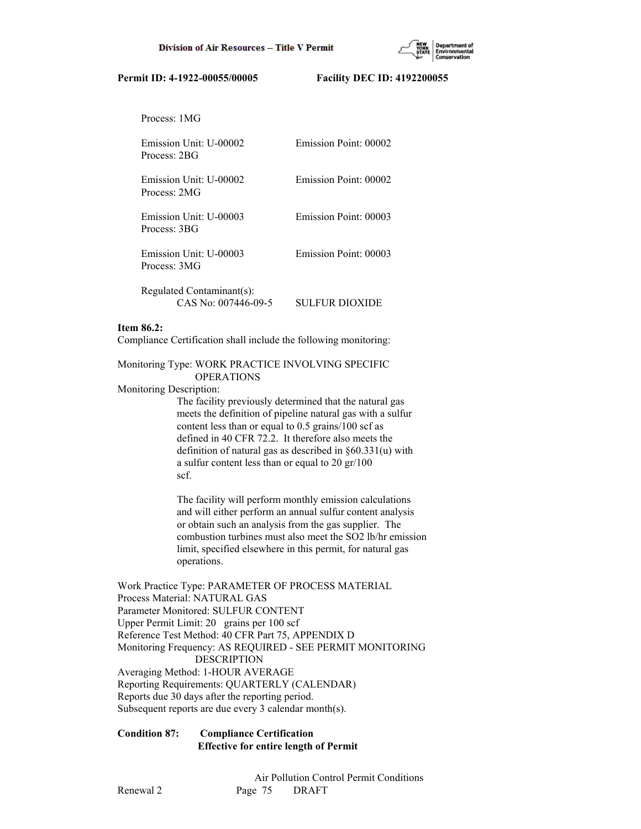

Process: 1MG

| Emission Unit: U-00002<br>Process: 2BG           | Emission Point: 00002 |
|--------------------------------------------------|-----------------------|
| Emission Unit: U-00002<br>Process: 2MG           | Emission Point: 00002 |
| Emission Unit: U-00003<br>Process: 3BG           | Emission Point: 00003 |
| Emission Unit: U-00003<br>Process: 3MG           | Emission Point: 00003 |
| Regulated Contaminant(s):<br>CAS No: 007446-09-5 | SULF                  |

# **Item 86.2:**

Compliance Certification shall include the following monitoring:

### Monitoring Type: WORK PRACTICE INVOLVING SPECIFIC OPERATIONS

Monitoring Description:

 The facility previously determined that the natural gas meets the definition of pipeline natural gas with a sulfur content less than or equal to 0.5 grains/100 scf as defined in 40 CFR 72.2. It therefore also meets the definition of natural gas as described in §60.331(u) with a sulfur content less than or equal to 20 gr/100 scf.

 The facility will perform monthly emission calculations and will either perform an annual sulfur content analysis or obtain such an analysis from the gas supplier. The combustion turbines must also meet the SO2 lb/hr emission limit, specified elsewhere in this permit, for natural gas operations.

Work Practice Type: PARAMETER OF PROCESS MATERIAL Process Material: NATURAL GAS Parameter Monitored: SULFUR CONTENT Upper Permit Limit: 20 grains per 100 scf Reference Test Method: 40 CFR Part 75, APPENDIX D Monitoring Frequency: AS REQUIRED - SEE PERMIT MONITORING DESCRIPTION Averaging Method: 1-HOUR AVERAGE Reporting Requirements: QUARTERLY (CALENDAR) Reports due 30 days after the reporting period. Subsequent reports are due every 3 calendar month(s).

# **Condition 87: Compliance Certification Effective for entire length of Permit**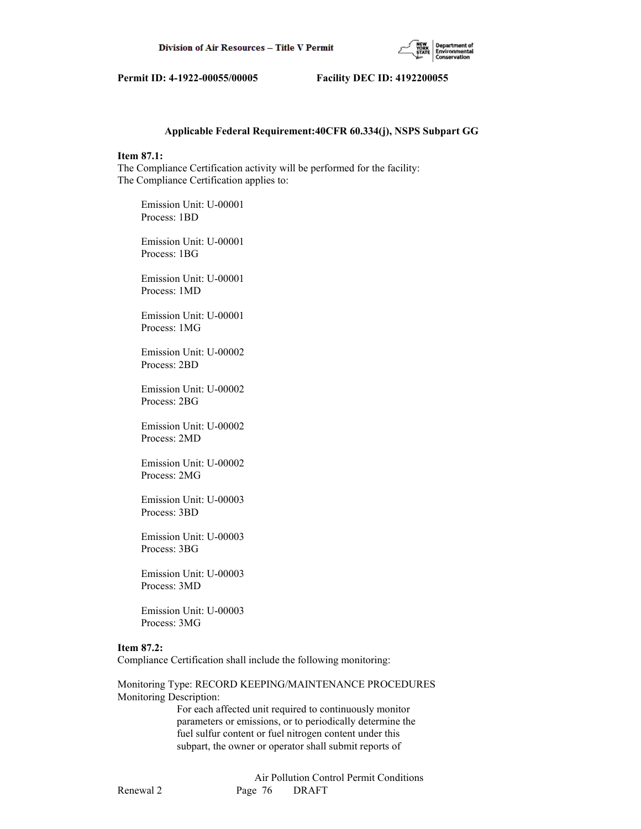

#### **Applicable Federal Requirement:40CFR 60.334(j), NSPS Subpart GG**

## **Item 87.1:**

The Compliance Certification activity will be performed for the facility: The Compliance Certification applies to:

 Emission Unit: U-00001 Process: 1BD

 Emission Unit: U-00001 Process: 1BG

 Emission Unit: U-00001 Process: 1MD

 Emission Unit: U-00001 Process: 1MG

 Emission Unit: U-00002 Process: 2BD

 Emission Unit: U-00002 Process: 2BG

 Emission Unit: U-00002 Process: 2MD

 Emission Unit: U-00002 Process: 2MG

 Emission Unit: U-00003 Process: 3BD

 Emission Unit: U-00003 Process: 3BG

 Emission Unit: U-00003 Process: 3MD

 Emission Unit: U-00003 Process: 3MG

#### **Item 87.2:**

Compliance Certification shall include the following monitoring:

Monitoring Type: RECORD KEEPING/MAINTENANCE PROCEDURES Monitoring Description:

> For each affected unit required to continuously monitor parameters or emissions, or to periodically determine the fuel sulfur content or fuel nitrogen content under this subpart, the owner or operator shall submit reports of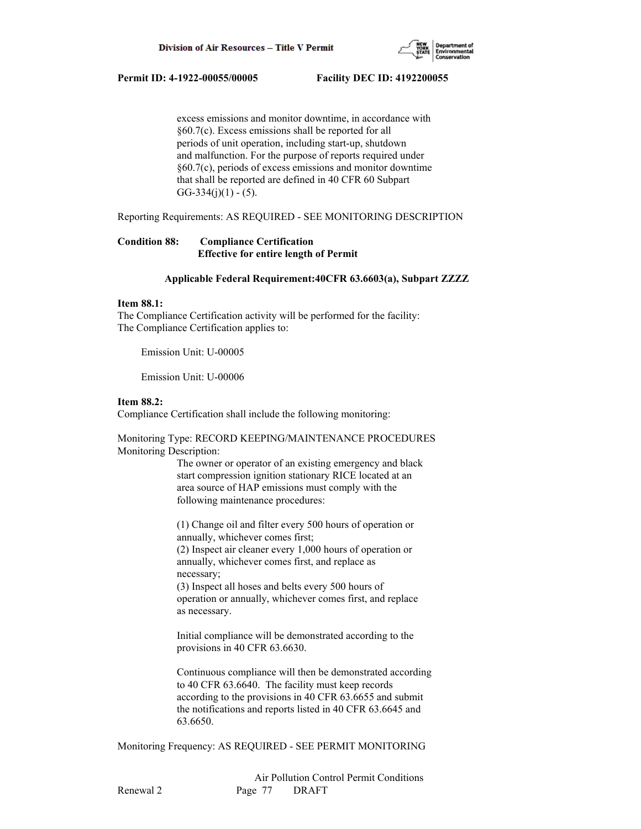

 excess emissions and monitor downtime, in accordance with §60.7(c). Excess emissions shall be reported for all periods of unit operation, including start-up, shutdown and malfunction. For the purpose of reports required under §60.7(c), periods of excess emissions and monitor downtime that shall be reported are defined in 40 CFR 60 Subpart GG-334(j)(1) -  $(5)$ .

Reporting Requirements: AS REQUIRED - SEE MONITORING DESCRIPTION

# **Condition 88: Compliance Certification Effective for entire length of Permit**

## **Applicable Federal Requirement:40CFR 63.6603(a), Subpart ZZZZ**

## **Item 88.1:**

The Compliance Certification activity will be performed for the facility: The Compliance Certification applies to:

Emission Unit: U-00005

Emission Unit: U-00006

## **Item 88.2:**

Compliance Certification shall include the following monitoring:

Monitoring Type: RECORD KEEPING/MAINTENANCE PROCEDURES Monitoring Description:

> The owner or operator of an existing emergency and black start compression ignition stationary RICE located at an area source of HAP emissions must comply with the following maintenance procedures:

 (1) Change oil and filter every 500 hours of operation or annually, whichever comes first;

 (2) Inspect air cleaner every 1,000 hours of operation or annually, whichever comes first, and replace as necessary;

 (3) Inspect all hoses and belts every 500 hours of operation or annually, whichever comes first, and replace as necessary.

 Initial compliance will be demonstrated according to the provisions in 40 CFR 63.6630.

 Continuous compliance will then be demonstrated according to 40 CFR 63.6640. The facility must keep records according to the provisions in 40 CFR 63.6655 and submit the notifications and reports listed in 40 CFR 63.6645 and 63.6650.

Monitoring Frequency: AS REQUIRED - SEE PERMIT MONITORING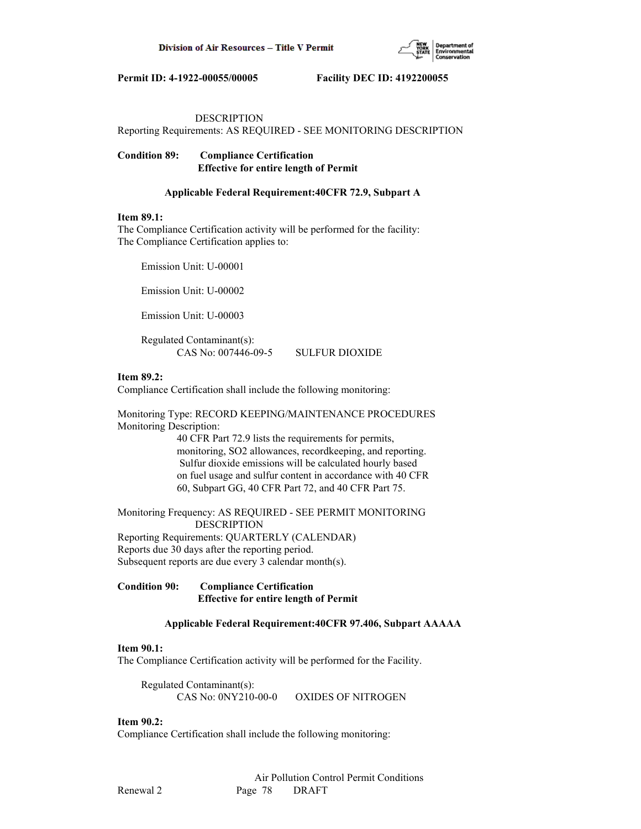

**DESCRIPTION** Reporting Requirements: AS REQUIRED - SEE MONITORING DESCRIPTION

**Condition 89: Compliance Certification Effective for entire length of Permit**

# **Applicable Federal Requirement:40CFR 72.9, Subpart A**

# **Item 89.1:**

The Compliance Certification activity will be performed for the facility: The Compliance Certification applies to:

Emission Unit: U-00001

Emission Unit: U-00002

Emission Unit: U-00003

 Regulated Contaminant(s): CAS No: 007446-09-5 SULFUR DIOXIDE

## **Item 89.2:**

Compliance Certification shall include the following monitoring:

Monitoring Type: RECORD KEEPING/MAINTENANCE PROCEDURES Monitoring Description: 40 CFR Part 72.9 lists the requirements for permits, monitoring, SO2 allowances, recordkeeping, and reporting. Sulfur dioxide emissions will be calculated hourly based on fuel usage and sulfur content in accordance with 40 CFR 60, Subpart GG, 40 CFR Part 72, and 40 CFR Part 75.

Monitoring Frequency: AS REQUIRED - SEE PERMIT MONITORING DESCRIPTION Reporting Requirements: QUARTERLY (CALENDAR) Reports due 30 days after the reporting period. Subsequent reports are due every 3 calendar month(s).

**Condition 90: Compliance Certification Effective for entire length of Permit**

## **Applicable Federal Requirement:40CFR 97.406, Subpart AAAAA**

## **Item 90.1:**

The Compliance Certification activity will be performed for the Facility.

 Regulated Contaminant(s): CAS No: 0NY210-00-0 OXIDES OF NITROGEN

## **Item 90.2:**

Compliance Certification shall include the following monitoring: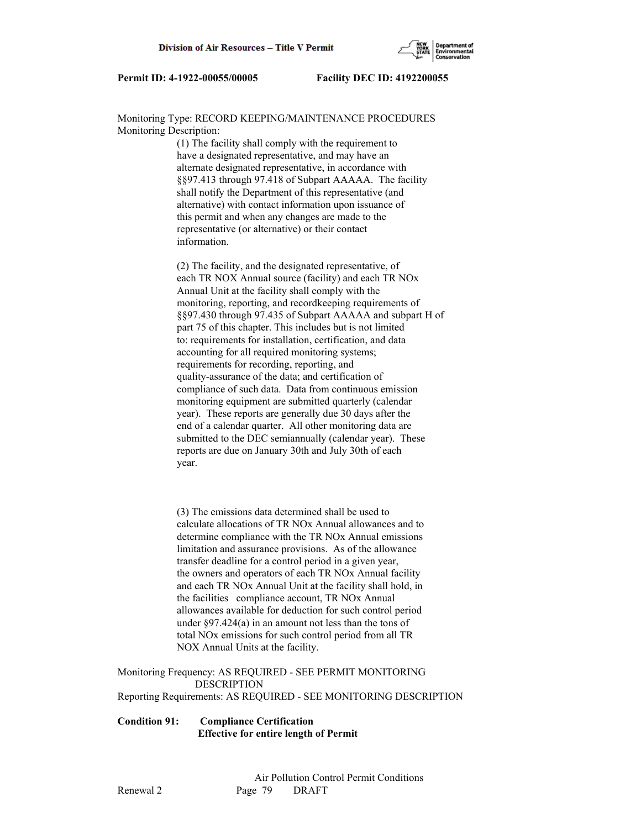

Monitoring Type: RECORD KEEPING/MAINTENANCE PROCEDURES Monitoring Description:

> (1) The facility shall comply with the requirement to have a designated representative, and may have an alternate designated representative, in accordance with §§97.413 through 97.418 of Subpart AAAAA. The facility shall notify the Department of this representative (and alternative) with contact information upon issuance of this permit and when any changes are made to the representative (or alternative) or their contact information.

 (2) The facility, and the designated representative, of each TR NOX Annual source (facility) and each TR NOx Annual Unit at the facility shall comply with the monitoring, reporting, and recordkeeping requirements of §§97.430 through 97.435 of Subpart AAAAA and subpart H of part 75 of this chapter. This includes but is not limited to: requirements for installation, certification, and data accounting for all required monitoring systems; requirements for recording, reporting, and quality-assurance of the data; and certification of compliance of such data. Data from continuous emission monitoring equipment are submitted quarterly (calendar year). These reports are generally due 30 days after the end of a calendar quarter. All other monitoring data are submitted to the DEC semiannually (calendar year). These reports are due on January 30th and July 30th of each year.

 (3) The emissions data determined shall be used to calculate allocations of TR NOx Annual allowances and to determine compliance with the TR NOx Annual emissions limitation and assurance provisions. As of the allowance transfer deadline for a control period in a given year, the owners and operators of each TR NOx Annual facility and each TR NOx Annual Unit at the facility shall hold, in the facilities compliance account, TR NOx Annual allowances available for deduction for such control period under §97.424(a) in an amount not less than the tons of total NOx emissions for such control period from all TR NOX Annual Units at the facility.

Monitoring Frequency: AS REQUIRED - SEE PERMIT MONITORING DESCRIPTION Reporting Requirements: AS REQUIRED - SEE MONITORING DESCRIPTION

**Condition 91: Compliance Certification Effective for entire length of Permit**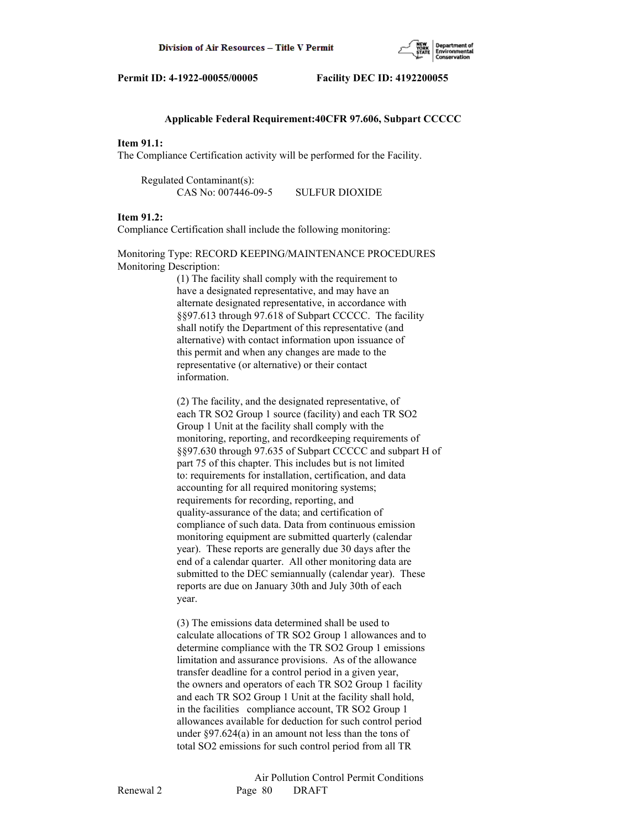

### **Applicable Federal Requirement:40CFR 97.606, Subpart CCCCC**

# **Item 91.1:**

The Compliance Certification activity will be performed for the Facility.

| Regulated Contaminant(s): |                       |
|---------------------------|-----------------------|
| CAS No: 007446-09-5       | <b>SULFUR DIOXIDE</b> |

#### **Item 91.2:**

Compliance Certification shall include the following monitoring:

Monitoring Type: RECORD KEEPING/MAINTENANCE PROCEDURES Monitoring Description:

> (1) The facility shall comply with the requirement to have a designated representative, and may have an alternate designated representative, in accordance with §§97.613 through 97.618 of Subpart CCCCC. The facility shall notify the Department of this representative (and alternative) with contact information upon issuance of this permit and when any changes are made to the representative (or alternative) or their contact information.

 (2) The facility, and the designated representative, of each TR SO2 Group 1 source (facility) and each TR SO2 Group 1 Unit at the facility shall comply with the monitoring, reporting, and recordkeeping requirements of §§97.630 through 97.635 of Subpart CCCCC and subpart H of part 75 of this chapter. This includes but is not limited to: requirements for installation, certification, and data accounting for all required monitoring systems; requirements for recording, reporting, and quality-assurance of the data; and certification of compliance of such data. Data from continuous emission monitoring equipment are submitted quarterly (calendar year). These reports are generally due 30 days after the end of a calendar quarter. All other monitoring data are submitted to the DEC semiannually (calendar year). These reports are due on January 30th and July 30th of each year.

 (3) The emissions data determined shall be used to calculate allocations of TR SO2 Group 1 allowances and to determine compliance with the TR SO2 Group 1 emissions limitation and assurance provisions. As of the allowance transfer deadline for a control period in a given year, the owners and operators of each TR SO2 Group 1 facility and each TR SO2 Group 1 Unit at the facility shall hold, in the facilities compliance account, TR SO2 Group 1 allowances available for deduction for such control period under §97.624(a) in an amount not less than the tons of total SO2 emissions for such control period from all TR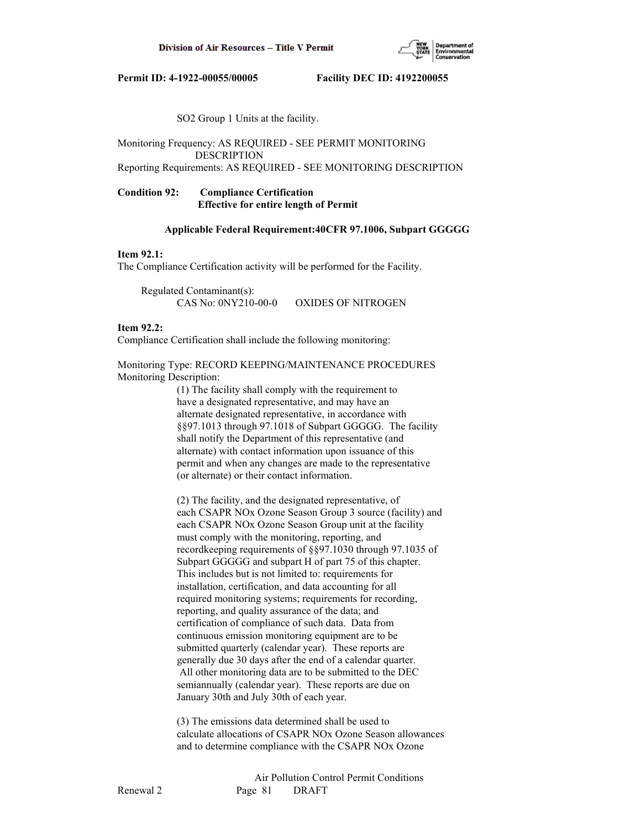SO2 Group 1 Units at the facility.

Monitoring Frequency: AS REQUIRED - SEE PERMIT MONITORING DESCRIPTION Reporting Requirements: AS REQUIRED - SEE MONITORING DESCRIPTION

## **Condition 92: Compliance Certification Effective for entire length of Permit**

## **Applicable Federal Requirement:40CFR 97.1006, Subpart GGGGG**

### **Item 92.1:**

The Compliance Certification activity will be performed for the Facility.

 Regulated Contaminant(s): CAS No: 0NY210-00-0 OXIDES OF NITROGEN

## **Item 92.2:**

Compliance Certification shall include the following monitoring:

Monitoring Type: RECORD KEEPING/MAINTENANCE PROCEDURES Monitoring Description:

> (1) The facility shall comply with the requirement to have a designated representative, and may have an alternate designated representative, in accordance with §§97.1013 through 97.1018 of Subpart GGGGG. The facility shall notify the Department of this representative (and alternate) with contact information upon issuance of this permit and when any changes are made to the representative (or alternate) or their contact information.

 (2) The facility, and the designated representative, of each CSAPR NOx Ozone Season Group 3 source (facility) and each CSAPR NOx Ozone Season Group unit at the facility must comply with the monitoring, reporting, and recordkeeping requirements of §§97.1030 through 97.1035 of Subpart GGGGG and subpart H of part 75 of this chapter. This includes but is not limited to: requirements for installation, certification, and data accounting for all required monitoring systems; requirements for recording, reporting, and quality assurance of the data; and certification of compliance of such data. Data from continuous emission monitoring equipment are to be submitted quarterly (calendar year). These reports are generally due 30 days after the end of a calendar quarter. All other monitoring data are to be submitted to the DEC semiannually (calendar year). These reports are due on January 30th and July 30th of each year.

 (3) The emissions data determined shall be used to calculate allocations of CSAPR NOx Ozone Season allowances and to determine compliance with the CSAPR NOx Ozone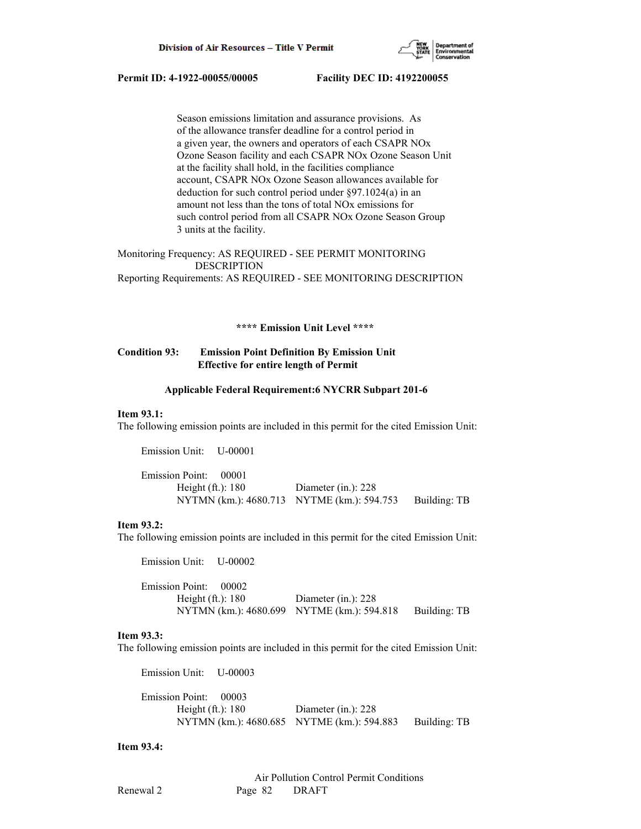

 Season emissions limitation and assurance provisions. As of the allowance transfer deadline for a control period in a given year, the owners and operators of each CSAPR NOx Ozone Season facility and each CSAPR NOx Ozone Season Unit at the facility shall hold, in the facilities compliance account, CSAPR NOx Ozone Season allowances available for deduction for such control period under §97.1024(a) in an amount not less than the tons of total NOx emissions for such control period from all CSAPR NOx Ozone Season Group 3 units at the facility.

Monitoring Frequency: AS REQUIRED - SEE PERMIT MONITORING DESCRIPTION Reporting Requirements: AS REQUIRED - SEE MONITORING DESCRIPTION

 **\*\*\*\* Emission Unit Level \*\*\*\***

## **Condition 93: Emission Point Definition By Emission Unit Effective for entire length of Permit**

#### **Applicable Federal Requirement:6 NYCRR Subpart 201-6**

#### **Item 93.1:**

The following emission points are included in this permit for the cited Emission Unit:

 Emission Unit: U-00001 Emission Point: 00001 Height (ft.): 180 Diameter (in.): 228 NYTMN (km.): 4680.713 NYTME (km.): 594.753 Building: TB

## **Item 93.2:**

The following emission points are included in this permit for the cited Emission Unit:

 Emission Unit: U-00002 Emission Point: 00002 Height (ft.): 180 Diameter (in.): 228 NYTMN (km.): 4680.699 NYTME (km.): 594.818 Building: TB

#### **Item 93.3:**

The following emission points are included in this permit for the cited Emission Unit:

Emission Unit: U-00003

 Emission Point: 00003 Height (ft.): 180 Diameter (in.): 228 NYTMN (km.): 4680.685 NYTME (km.): 594.883 Building: TB

**Item 93.4:**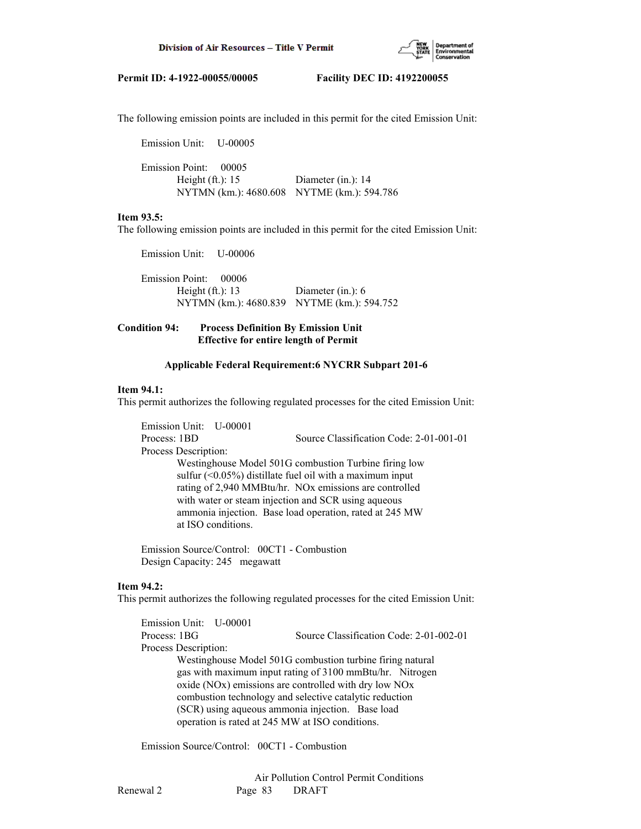

The following emission points are included in this permit for the cited Emission Unit:

| Emission Unit: U-00005 |                                            |
|------------------------|--------------------------------------------|
| Emission Point: 00005  |                                            |
| Height $(ft.): 15$     | Diameter $(in.)$ : 14                      |
|                        | NYTMN (km.): 4680.608 NYTME (km.): 594.786 |

#### **Item 93.5:**

The following emission points are included in this permit for the cited Emission Unit:

Emission Unit: U-00006

 Emission Point: 00006 Height (ft.): 13 Diameter (in.): 6 NYTMN (km.): 4680.839 NYTME (km.): 594.752

# **Condition 94: Process Definition By Emission Unit Effective for entire length of Permit**

#### **Applicable Federal Requirement:6 NYCRR Subpart 201-6**

## **Item 94.1:**

This permit authorizes the following regulated processes for the cited Emission Unit:

| Emission Unit: U-00001 |                                                                 |
|------------------------|-----------------------------------------------------------------|
| Process: 1BD           | Source Classification Code: 2-01-001-01                         |
| Process Description:   |                                                                 |
|                        | Westinghouse Model 501G combustion Turbine firing low           |
|                        | sulfur $(\leq 0.05\%)$ distillate fuel oil with a maximum input |
|                        | rating of 2,940 MMBtu/hr. NOx emissions are controlled          |
|                        | with water or steam injection and SCR using aqueous             |
|                        | ammonia injection. Base load operation, rated at 245 MW         |
|                        | at ISO conditions.                                              |
|                        |                                                                 |

 Emission Source/Control: 00CT1 - Combustion Design Capacity: 245 megawatt

# **Item 94.2:**

This permit authorizes the following regulated processes for the cited Emission Unit:

| Emission Unit: U-00001 |                                                           |  |
|------------------------|-----------------------------------------------------------|--|
| Process: 1BG           | Source Classification Code: 2-01-002-01                   |  |
| Process Description:   |                                                           |  |
|                        | Westinghouse Model 501G combustion turbine firing natural |  |
|                        | gas with maximum input rating of 3100 mmBtu/hr. Nitrogen  |  |
|                        | oxide (NOx) emissions are controlled with dry low NOx     |  |
|                        | combustion technology and selective catalytic reduction   |  |
|                        | (SCR) using aqueous ammonia injection. Base load          |  |
|                        | operation is rated at 245 MW at ISO conditions.           |  |
|                        |                                                           |  |

Emission Source/Control: 00CT1 - Combustion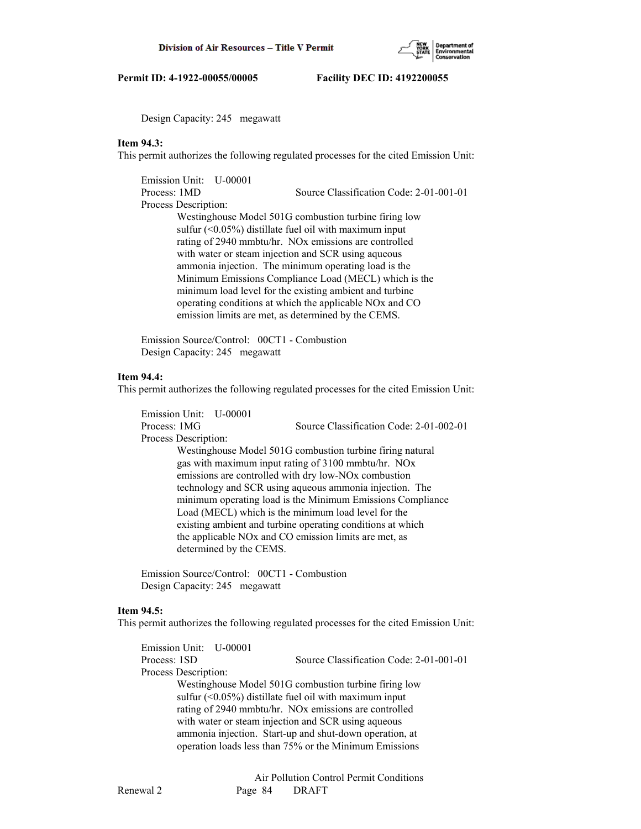

Design Capacity: 245 megawatt

### **Item 94.3:**

This permit authorizes the following regulated processes for the cited Emission Unit:

 Emission Unit: U-00001 Process: 1MD Source Classification Code: 2-01-001-01 Process Description: Westinghouse Model 501G combustion turbine firing low sulfur  $(\leq 0.05\%)$  distillate fuel oil with maximum input rating of 2940 mmbtu/hr. NOx emissions are controlled with water or steam injection and SCR using aqueous ammonia injection. The minimum operating load is the Minimum Emissions Compliance Load (MECL) which is the minimum load level for the existing ambient and turbine operating conditions at which the applicable NOx and CO emission limits are met, as determined by the CEMS.

 Emission Source/Control: 00CT1 - Combustion Design Capacity: 245 megawatt

## **Item 94.4:**

This permit authorizes the following regulated processes for the cited Emission Unit:

 Emission Unit: U-00001 Process: 1MG Source Classification Code: 2-01-002-01 Process Description: Westinghouse Model 501G combustion turbine firing natural gas with maximum input rating of 3100 mmbtu/hr. NOx emissions are controlled with dry low-NOx combustion technology and SCR using aqueous ammonia injection. The minimum operating load is the Minimum Emissions Compliance Load (MECL) which is the minimum load level for the existing ambient and turbine operating conditions at which the applicable NOx and CO emission limits are met, as determined by the CEMS.

 Emission Source/Control: 00CT1 - Combustion Design Capacity: 245 megawatt

## **Item 94.5:**

This permit authorizes the following regulated processes for the cited Emission Unit:

| Emission Unit: U-00001 |                                                               |  |
|------------------------|---------------------------------------------------------------|--|
| Process: 1SD           | Source Classification Code: 2-01-001-01                       |  |
| Process Description:   |                                                               |  |
|                        | Westinghouse Model 501G combustion turbine firing low         |  |
|                        | sulfur $(\leq 0.05\%)$ distillate fuel oil with maximum input |  |
|                        | rating of 2940 mmbtu/hr. NOx emissions are controlled         |  |
|                        | with water or steam injection and SCR using aqueous           |  |
|                        | ammonia injection. Start-up and shut-down operation, at       |  |
|                        | operation loads less than 75% or the Minimum Emissions        |  |
|                        |                                                               |  |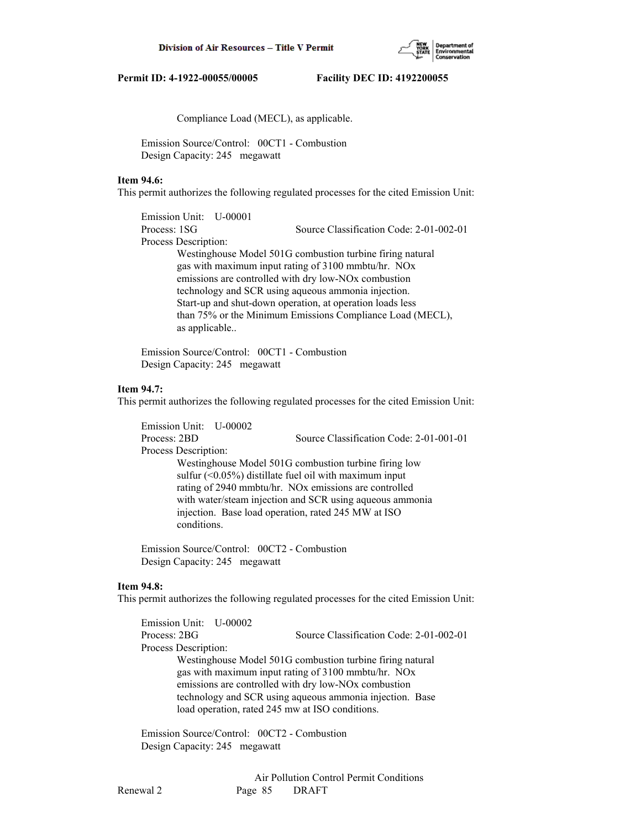

Compliance Load (MECL), as applicable.

 Emission Source/Control: 00CT1 - Combustion Design Capacity: 245 megawatt

#### **Item 94.6:**

This permit authorizes the following regulated processes for the cited Emission Unit:

 Emission Unit: U-00001 Process: 1SG Source Classification Code: 2-01-002-01 Process Description: Westinghouse Model 501G combustion turbine firing natural gas with maximum input rating of 3100 mmbtu/hr. NOx emissions are controlled with dry low-NOx combustion technology and SCR using aqueous ammonia injection. Start-up and shut-down operation, at operation loads less than 75% or the Minimum Emissions Compliance Load (MECL), as applicable..

 Emission Source/Control: 00CT1 - Combustion Design Capacity: 245 megawatt

#### **Item 94.7:**

This permit authorizes the following regulated processes for the cited Emission Unit:

 Emission Unit: U-00002 Process: 2BD Source Classification Code: 2-01-001-01 Process Description: Westinghouse Model 501G combustion turbine firing low sulfur  $(\leq 0.05\%)$  distillate fuel oil with maximum input rating of 2940 mmbtu/hr. NOx emissions are controlled with water/steam injection and SCR using aqueous ammonia injection. Base load operation, rated 245 MW at ISO conditions.

 Emission Source/Control: 00CT2 - Combustion Design Capacity: 245 megawatt

# **Item 94.8:**

This permit authorizes the following regulated processes for the cited Emission Unit:

 Emission Unit: U-00002 Process: 2BG Source Classification Code: 2-01-002-01 Process Description: Westinghouse Model 501G combustion turbine firing natural gas with maximum input rating of 3100 mmbtu/hr. NOx emissions are controlled with dry low-NOx combustion technology and SCR using aqueous ammonia injection. Base load operation, rated 245 mw at ISO conditions.

 Emission Source/Control: 00CT2 - Combustion Design Capacity: 245 megawatt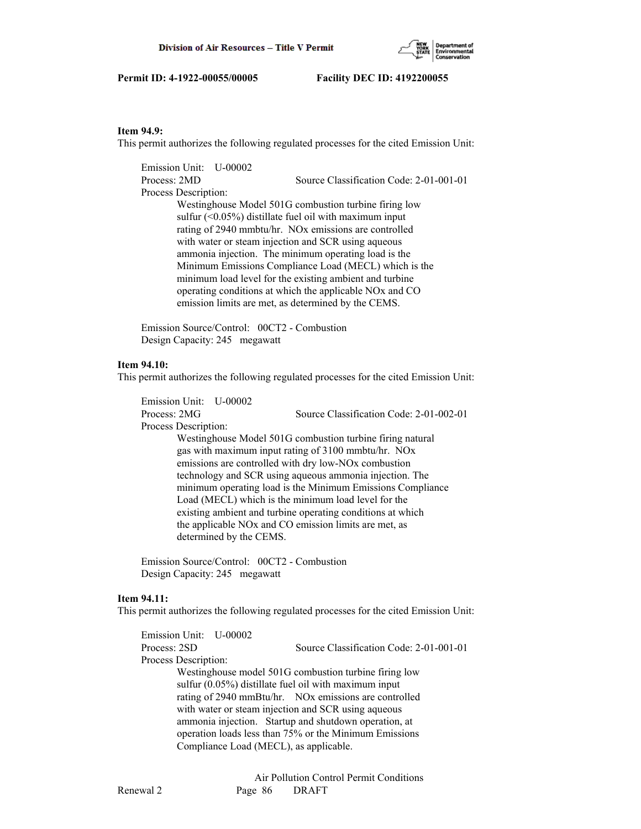

## **Item 94.9:**

This permit authorizes the following regulated processes for the cited Emission Unit:

 Emission Unit: U-00002 Process: 2MD Source Classification Code: 2-01-001-01 Process Description: Westinghouse Model 501G combustion turbine firing low sulfur  $(0.05\%)$  distillate fuel oil with maximum input rating of 2940 mmbtu/hr. NOx emissions are controlled with water or steam injection and SCR using aqueous ammonia injection. The minimum operating load is the Minimum Emissions Compliance Load (MECL) which is the minimum load level for the existing ambient and turbine operating conditions at which the applicable NOx and CO emission limits are met, as determined by the CEMS.

 Emission Source/Control: 00CT2 - Combustion Design Capacity: 245 megawatt

# **Item 94.10:**

This permit authorizes the following regulated processes for the cited Emission Unit:

 Emission Unit: U-00002 Process: 2MG Source Classification Code: 2-01-002-01 Process Description: Westinghouse Model 501G combustion turbine firing natural gas with maximum input rating of 3100 mmbtu/hr. NOx emissions are controlled with dry low-NOx combustion technology and SCR using aqueous ammonia injection. The minimum operating load is the Minimum Emissions Compliance Load (MECL) which is the minimum load level for the existing ambient and turbine operating conditions at which the applicable NOx and CO emission limits are met, as determined by the CEMS.

 Emission Source/Control: 00CT2 - Combustion Design Capacity: 245 megawatt

## **Item 94.11:**

This permit authorizes the following regulated processes for the cited Emission Unit:

| Source Classification Code: 2-01-001-01<br>Process: 2SD<br>Process Description:<br>Westinghouse model 501G combustion turbine firing low<br>sulfur $(0.05\%)$ distillate fuel oil with maximum input<br>rating of 2940 mmBtu/hr. NOx emissions are controlled<br>with water or steam injection and SCR using aqueous<br>ammonia injection. Startup and shutdown operation, at<br>operation loads less than 75% or the Minimum Emissions<br>Compliance Load (MECL), as applicable. | Emission Unit: U-00002 |  |
|-----------------------------------------------------------------------------------------------------------------------------------------------------------------------------------------------------------------------------------------------------------------------------------------------------------------------------------------------------------------------------------------------------------------------------------------------------------------------------------|------------------------|--|
|                                                                                                                                                                                                                                                                                                                                                                                                                                                                                   |                        |  |
|                                                                                                                                                                                                                                                                                                                                                                                                                                                                                   |                        |  |
|                                                                                                                                                                                                                                                                                                                                                                                                                                                                                   |                        |  |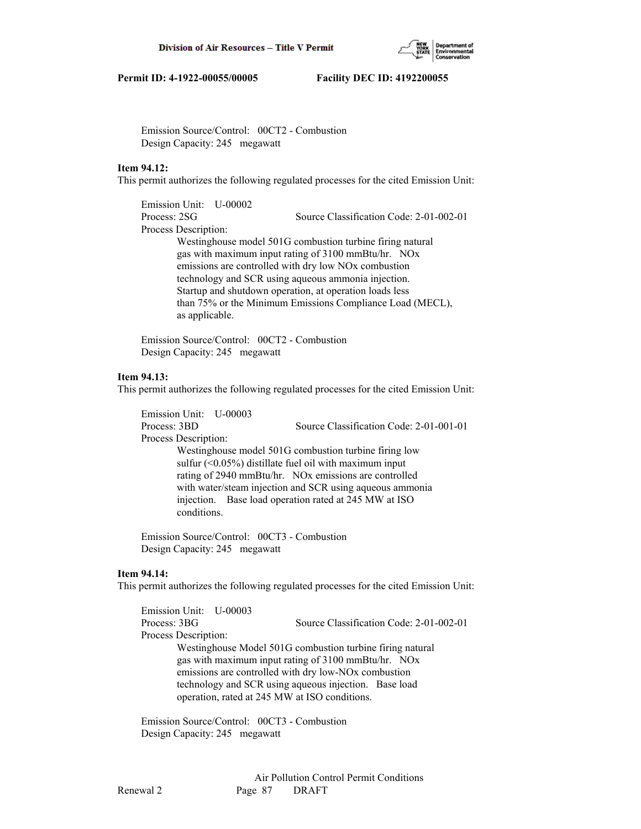

 Emission Source/Control: 00CT2 - Combustion Design Capacity: 245 megawatt

# **Item 94.12:**

This permit authorizes the following regulated processes for the cited Emission Unit:

 Emission Unit: U-00002 Process: 2SG Source Classification Code: 2-01-002-01 Process Description: Westinghouse model 501G combustion turbine firing natural gas with maximum input rating of 3100 mmBtu/hr. NOx emissions are controlled with dry low NOx combustion technology and SCR using aqueous ammonia injection. Startup and shutdown operation, at operation loads less than 75% or the Minimum Emissions Compliance Load (MECL), as applicable.

 Emission Source/Control: 00CT2 - Combustion Design Capacity: 245 megawatt

#### **Item 94.13:**

This permit authorizes the following regulated processes for the cited Emission Unit:

 Emission Unit: U-00003 Process: 3BD Source Classification Code: 2-01-001-01 Process Description: Westinghouse model 501G combustion turbine firing low sulfur  $(0.05\%)$  distillate fuel oil with maximum input rating of 2940 mmBtu/hr. NOx emissions are controlled with water/steam injection and SCR using aqueous ammonia injection. Base load operation rated at 245 MW at ISO conditions.

 Emission Source/Control: 00CT3 - Combustion Design Capacity: 245 megawatt

## **Item 94.14:**

This permit authorizes the following regulated processes for the cited Emission Unit:

| Source Classification Code: 2-01-002-01                   |
|-----------------------------------------------------------|
|                                                           |
| Process Description:                                      |
| Westinghouse Model 501G combustion turbine firing natural |
| gas with maximum input rating of 3100 mmBtu/hr. NOx       |
| emissions are controlled with dry low-NOx combustion      |
| technology and SCR using aqueous injection. Base load     |
| operation, rated at 245 MW at ISO conditions.             |
|                                                           |

 Emission Source/Control: 00CT3 - Combustion Design Capacity: 245 megawatt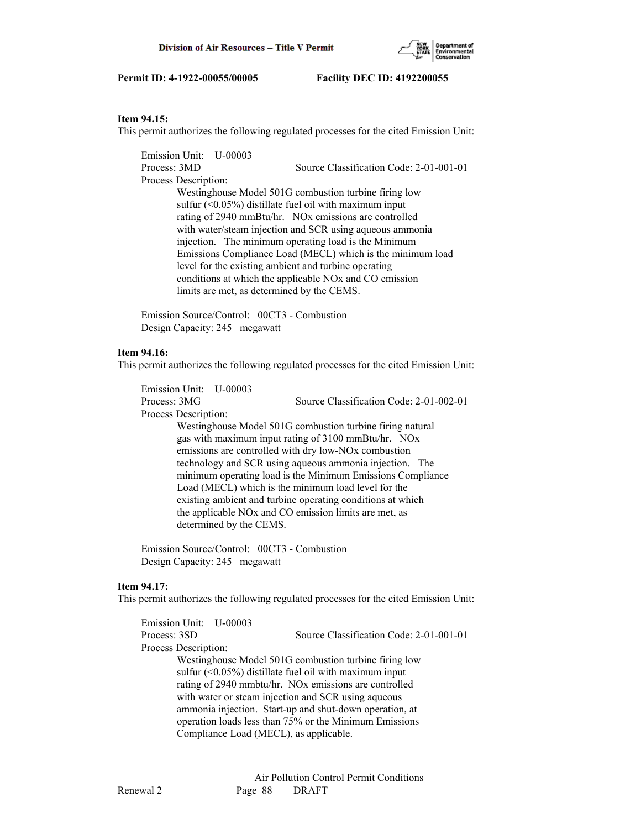

### **Item 94.15:**

This permit authorizes the following regulated processes for the cited Emission Unit:

 Emission Unit: U-00003 Process: 3MD Source Classification Code: 2-01-001-01 Process Description: Westinghouse Model 501G combustion turbine firing low sulfur  $(\leq 0.05\%)$  distillate fuel oil with maximum input rating of 2940 mmBtu/hr. NOx emissions are controlled with water/steam injection and SCR using aqueous ammonia injection. The minimum operating load is the Minimum Emissions Compliance Load (MECL) which is the minimum load level for the existing ambient and turbine operating conditions at which the applicable NOx and CO emission limits are met, as determined by the CEMS.

 Emission Source/Control: 00CT3 - Combustion Design Capacity: 245 megawatt

# **Item 94.16:**

This permit authorizes the following regulated processes for the cited Emission Unit:

 Emission Unit: U-00003 Process: 3MG Source Classification Code: 2-01-002-01 Process Description: Westinghouse Model 501G combustion turbine firing natural gas with maximum input rating of 3100 mmBtu/hr. NOx emissions are controlled with dry low-NOx combustion technology and SCR using aqueous ammonia injection. The minimum operating load is the Minimum Emissions Compliance Load (MECL) which is the minimum load level for the existing ambient and turbine operating conditions at which the applicable NOx and CO emission limits are met, as determined by the CEMS.

 Emission Source/Control: 00CT3 - Combustion Design Capacity: 245 megawatt

# **Item 94.17:**

This permit authorizes the following regulated processes for the cited Emission Unit:

| Emission Unit: U-00003 |                                                               |
|------------------------|---------------------------------------------------------------|
| Process: 3SD           | Source Classification Code: 2-01-001-01                       |
| Process Description:   |                                                               |
|                        | Westinghouse Model 501G combustion turbine firing low         |
|                        | sulfur $(\leq 0.05\%)$ distillate fuel oil with maximum input |
|                        | rating of 2940 mmbtu/hr. NOx emissions are controlled         |
|                        | with water or steam injection and SCR using aqueous           |
|                        | ammonia injection. Start-up and shut-down operation, at       |
|                        | operation loads less than 75% or the Minimum Emissions        |
|                        | Compliance Load (MECL), as applicable.                        |
|                        |                                                               |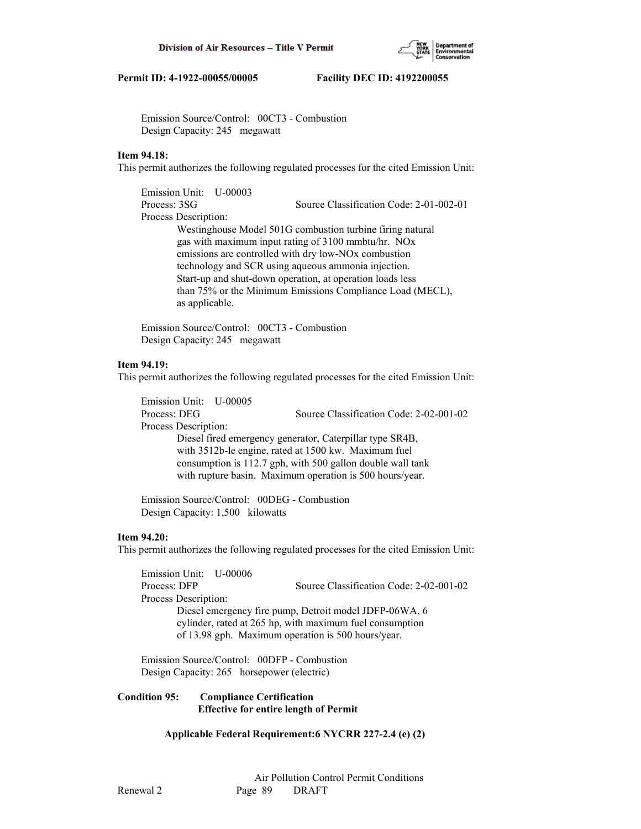

 Emission Source/Control: 00CT3 - Combustion Design Capacity: 245 megawatt

## **Item 94.18:**

This permit authorizes the following regulated processes for the cited Emission Unit:

 Emission Unit: U-00003 Process: 3SG Source Classification Code: 2-01-002-01 Process Description: Westinghouse Model 501G combustion turbine firing natural gas with maximum input rating of 3100 mmbtu/hr. NOx emissions are controlled with dry low-NOx combustion technology and SCR using aqueous ammonia injection. Start-up and shut-down operation, at operation loads less than 75% or the Minimum Emissions Compliance Load (MECL), as applicable.

 Emission Source/Control: 00CT3 - Combustion Design Capacity: 245 megawatt

## **Item 94.19:**

This permit authorizes the following regulated processes for the cited Emission Unit:

 Emission Unit: U-00005 Process: DEG Source Classification Code: 2-02-001-02 Process Description: Diesel fired emergency generator, Caterpillar type SR4B, with 3512b-le engine, rated at 1500 kw. Maximum fuel consumption is 112.7 gph, with 500 gallon double wall tank with rupture basin. Maximum operation is 500 hours/year.

 Emission Source/Control: 00DEG - Combustion Design Capacity: 1,500 kilowatts

# **Item 94.20:**

This permit authorizes the following regulated processes for the cited Emission Unit:

 Emission Unit: U-00006 Process: DFP Source Classification Code: 2-02-001-02 Process Description: Diesel emergency fire pump, Detroit model JDFP-06WA, 6 cylinder, rated at 265 hp, with maximum fuel consumption of 13.98 gph. Maximum operation is 500 hours/year.

 Emission Source/Control: 00DFP - Combustion Design Capacity: 265 horsepower (electric)

**Condition 95: Compliance Certification Effective for entire length of Permit**

 **Applicable Federal Requirement:6 NYCRR 227-2.4 (e) (2)**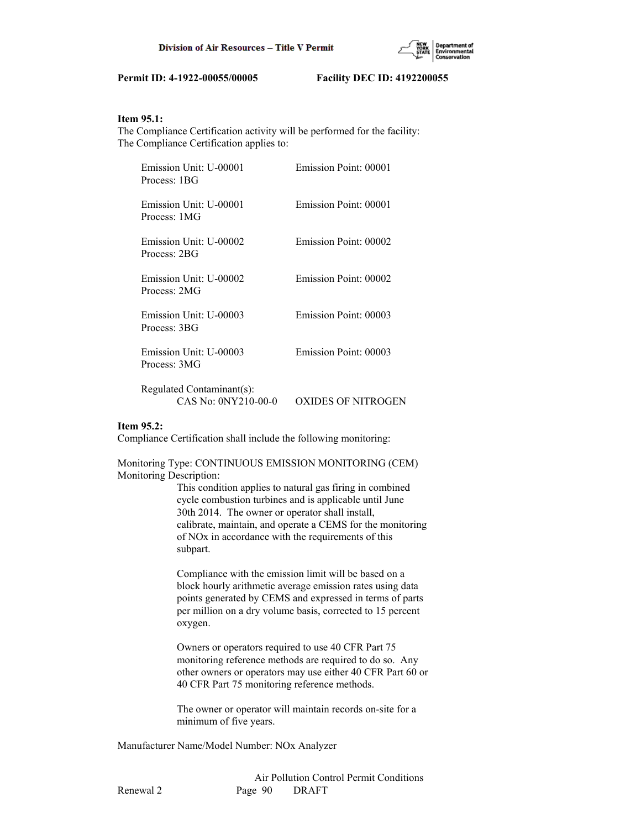

#### **Item 95.1:**

The Compliance Certification activity will be performed for the facility: The Compliance Certification applies to:

| Emission Unit: U-00001<br>Process: 1BG           | Emission Point: 00001     |
|--------------------------------------------------|---------------------------|
| Emission Unit: U-00001<br>Process: 1MG           | Emission Point: 00001     |
| Emission Unit: U-00002<br>Process: 2BG           | Emission Point: 00002     |
| Emission Unit: U-00002<br>Process: 2MG           | Emission Point: 00002     |
| Emission Unit: U-00003<br>Process: 3BG           | Emission Point: 00003     |
| Emission Unit: U-00003<br>Process: 3MG           | Emission Point: 00003     |
| Regulated Contaminant(s):<br>CAS No: 0NY210-00-0 | <b>OXIDES OF NITROGEN</b> |

## **Item 95.2:**

Compliance Certification shall include the following monitoring:

Monitoring Type: CONTINUOUS EMISSION MONITORING (CEM) Monitoring Description:

> This condition applies to natural gas firing in combined cycle combustion turbines and is applicable until June 30th 2014. The owner or operator shall install, calibrate, maintain, and operate a CEMS for the monitoring of NOx in accordance with the requirements of this subpart.

 Compliance with the emission limit will be based on a block hourly arithmetic average emission rates using data points generated by CEMS and expressed in terms of parts per million on a dry volume basis, corrected to 15 percent oxygen.

 Owners or operators required to use 40 CFR Part 75 monitoring reference methods are required to do so. Any other owners or operators may use either 40 CFR Part 60 or 40 CFR Part 75 monitoring reference methods.

 The owner or operator will maintain records on-site for a minimum of five years.

Manufacturer Name/Model Number: NOx Analyzer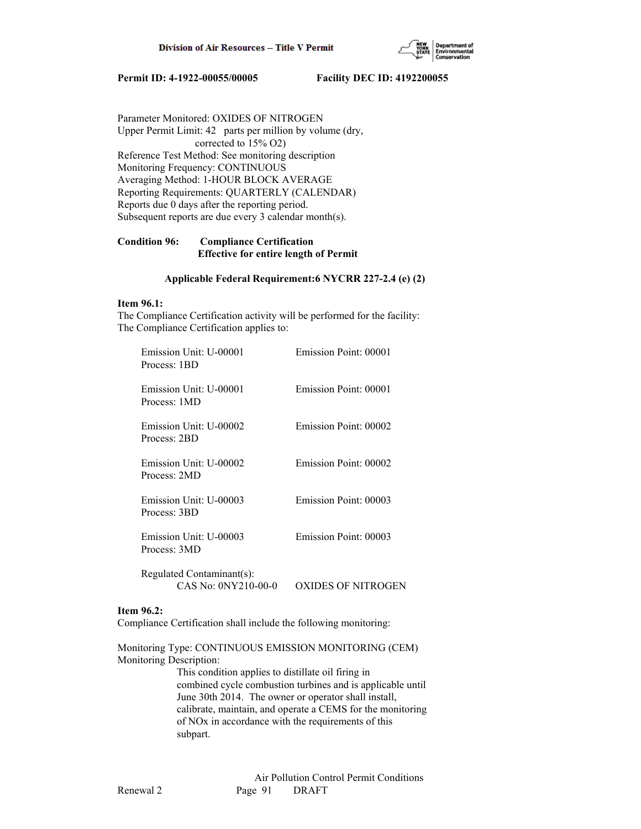

Parameter Monitored: OXIDES OF NITROGEN Upper Permit Limit: 42 parts per million by volume (dry, corrected to 15% O2) Reference Test Method: See monitoring description Monitoring Frequency: CONTINUOUS Averaging Method: 1-HOUR BLOCK AVERAGE Reporting Requirements: QUARTERLY (CALENDAR) Reports due 0 days after the reporting period. Subsequent reports are due every 3 calendar month(s).

# **Condition 96: Compliance Certification Effective for entire length of Permit**

#### **Applicable Federal Requirement:6 NYCRR 227-2.4 (e) (2)**

#### **Item 96.1:**

The Compliance Certification activity will be performed for the facility: The Compliance Certification applies to:

| Emission Unit: U-00001<br>Process: 1BD           | Emission Point: 00001     |
|--------------------------------------------------|---------------------------|
| Emission Unit: U-00001<br>Process: 1MD           | Emission Point: 00001     |
| Emission Unit: U-00002<br>Process: 2BD           | Emission Point: 00002     |
| Emission Unit: U-00002<br>Process: 2MD           | Emission Point: 00002     |
| Emission Unit: U-00003<br>Process: 3BD           | Emission Point: 00003     |
| Emission Unit: U-00003<br>Process: 3MD           | Emission Point: 00003     |
| Regulated Contaminant(s):<br>CAS No: 0NY210-00-0 | <b>OXIDES OF NITROGEN</b> |

#### **Item 96.2:**

Compliance Certification shall include the following monitoring:

Monitoring Type: CONTINUOUS EMISSION MONITORING (CEM) Monitoring Description:

> This condition applies to distillate oil firing in combined cycle combustion turbines and is applicable until June 30th 2014. The owner or operator shall install, calibrate, maintain, and operate a CEMS for the monitoring of NOx in accordance with the requirements of this subpart.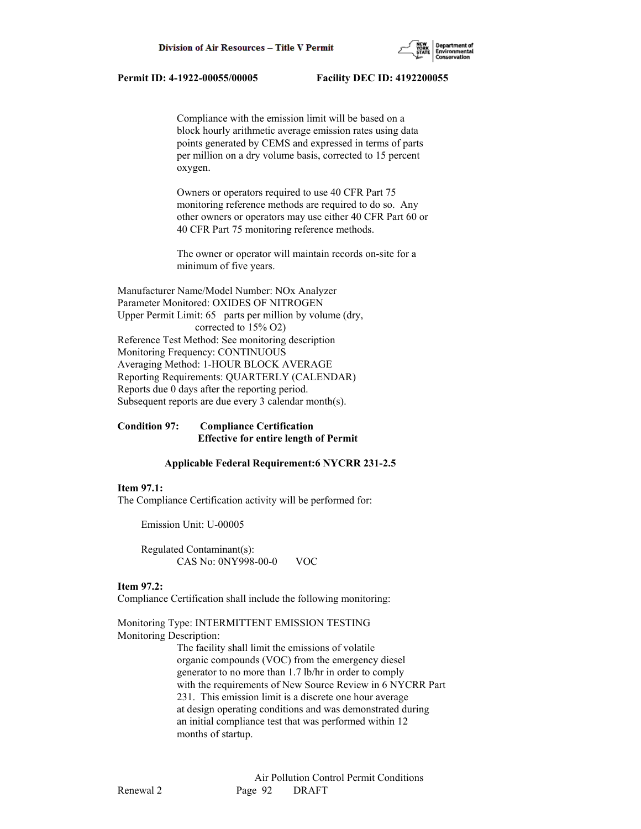Compliance with the emission limit will be based on a block hourly arithmetic average emission rates using data points generated by CEMS and expressed in terms of parts per million on a dry volume basis, corrected to 15 percent oxygen.

 Owners or operators required to use 40 CFR Part 75 monitoring reference methods are required to do so. Any other owners or operators may use either 40 CFR Part 60 or 40 CFR Part 75 monitoring reference methods.

 The owner or operator will maintain records on-site for a minimum of five years.

Manufacturer Name/Model Number: NOx Analyzer Parameter Monitored: OXIDES OF NITROGEN Upper Permit Limit: 65 parts per million by volume (dry, corrected to 15% O2) Reference Test Method: See monitoring description Monitoring Frequency: CONTINUOUS Averaging Method: 1-HOUR BLOCK AVERAGE Reporting Requirements: QUARTERLY (CALENDAR) Reports due 0 days after the reporting period. Subsequent reports are due every 3 calendar month(s).

# **Condition 97: Compliance Certification Effective for entire length of Permit**

## **Applicable Federal Requirement:6 NYCRR 231-2.5**

#### **Item 97.1:**

The Compliance Certification activity will be performed for:

Emission Unit: U-00005

 Regulated Contaminant(s): CAS No: 0NY998-00-0 VOC

#### **Item 97.2:**

Compliance Certification shall include the following monitoring:

Monitoring Type: INTERMITTENT EMISSION TESTING Monitoring Description: The facility shall limit the emissions of volatile

 organic compounds (VOC) from the emergency diesel generator to no more than 1.7 lb/hr in order to comply with the requirements of New Source Review in 6 NYCRR Part 231. This emission limit is a discrete one hour average at design operating conditions and was demonstrated during an initial compliance test that was performed within 12 months of startup.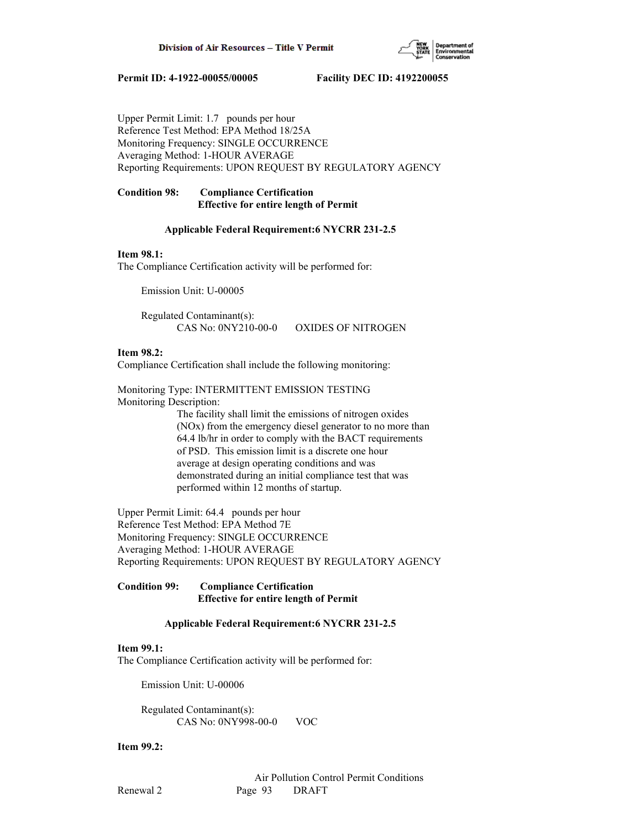

Upper Permit Limit: 1.7 pounds per hour Reference Test Method: EPA Method 18/25A Monitoring Frequency: SINGLE OCCURRENCE Averaging Method: 1-HOUR AVERAGE Reporting Requirements: UPON REQUEST BY REGULATORY AGENCY

# **Condition 98: Compliance Certification Effective for entire length of Permit**

#### **Applicable Federal Requirement:6 NYCRR 231-2.5**

### **Item 98.1:**

The Compliance Certification activity will be performed for:

Emission Unit: U-00005

 Regulated Contaminant(s): CAS No: 0NY210-00-0 OXIDES OF NITROGEN

#### **Item 98.2:**

Compliance Certification shall include the following monitoring:

Monitoring Type: INTERMITTENT EMISSION TESTING Monitoring Description:

> The facility shall limit the emissions of nitrogen oxides (NOx) from the emergency diesel generator to no more than 64.4 lb/hr in order to comply with the BACT requirements of PSD. This emission limit is a discrete one hour average at design operating conditions and was demonstrated during an initial compliance test that was performed within 12 months of startup.

Upper Permit Limit: 64.4 pounds per hour Reference Test Method: EPA Method 7E Monitoring Frequency: SINGLE OCCURRENCE Averaging Method: 1-HOUR AVERAGE Reporting Requirements: UPON REQUEST BY REGULATORY AGENCY

# **Condition 99: Compliance Certification Effective for entire length of Permit**

## **Applicable Federal Requirement:6 NYCRR 231-2.5**

### **Item 99.1:**

The Compliance Certification activity will be performed for:

Emission Unit: U-00006

 Regulated Contaminant(s): CAS No: 0NY998-00-0 VOC

#### **Item 99.2:**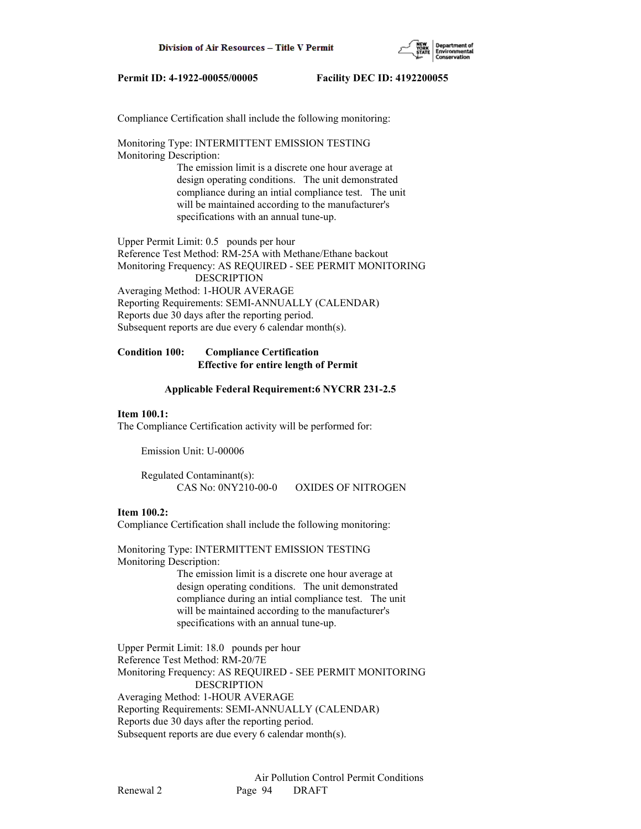

Compliance Certification shall include the following monitoring:

Monitoring Type: INTERMITTENT EMISSION TESTING Monitoring Description:

> The emission limit is a discrete one hour average at design operating conditions. The unit demonstrated compliance during an intial compliance test. The unit will be maintained according to the manufacturer's specifications with an annual tune-up.

Upper Permit Limit: 0.5 pounds per hour Reference Test Method: RM-25A with Methane/Ethane backout Monitoring Frequency: AS REQUIRED - SEE PERMIT MONITORING DESCRIPTION Averaging Method: 1-HOUR AVERAGE Reporting Requirements: SEMI-ANNUALLY (CALENDAR) Reports due 30 days after the reporting period. Subsequent reports are due every 6 calendar month(s).

# **Condition 100: Compliance Certification Effective for entire length of Permit**

#### **Applicable Federal Requirement:6 NYCRR 231-2.5**

## **Item 100.1:**

The Compliance Certification activity will be performed for:

Emission Unit: U-00006

| Regulated Contaminant(s): |                           |
|---------------------------|---------------------------|
| CAS No: 0NY210-00-0       | <b>OXIDES OF NITROGEN</b> |

#### **Item 100.2:**

Compliance Certification shall include the following monitoring:

Monitoring Type: INTERMITTENT EMISSION TESTING Monitoring Description:

> The emission limit is a discrete one hour average at design operating conditions. The unit demonstrated compliance during an intial compliance test. The unit will be maintained according to the manufacturer's specifications with an annual tune-up.

Upper Permit Limit: 18.0 pounds per hour Reference Test Method: RM-20/7E Monitoring Frequency: AS REQUIRED - SEE PERMIT MONITORING DESCRIPTION Averaging Method: 1-HOUR AVERAGE Reporting Requirements: SEMI-ANNUALLY (CALENDAR) Reports due 30 days after the reporting period. Subsequent reports are due every 6 calendar month(s).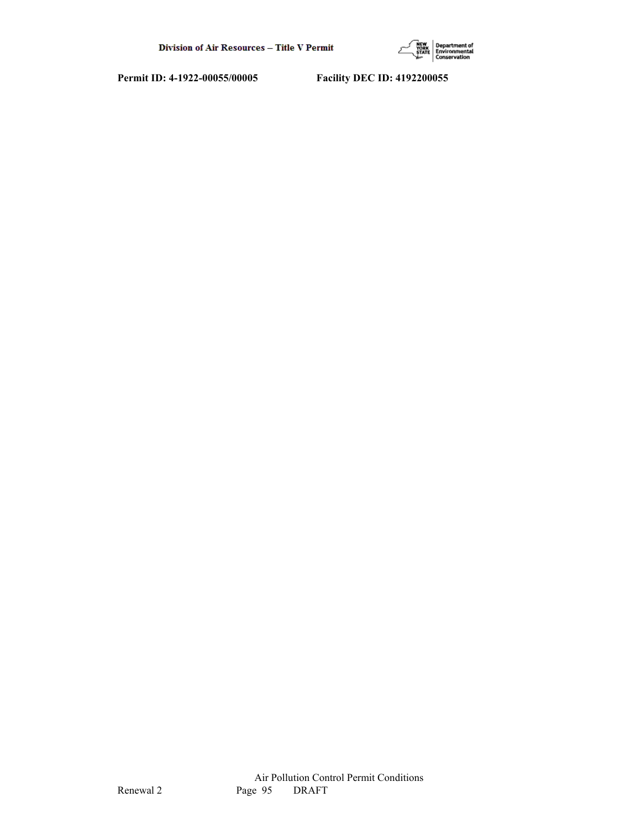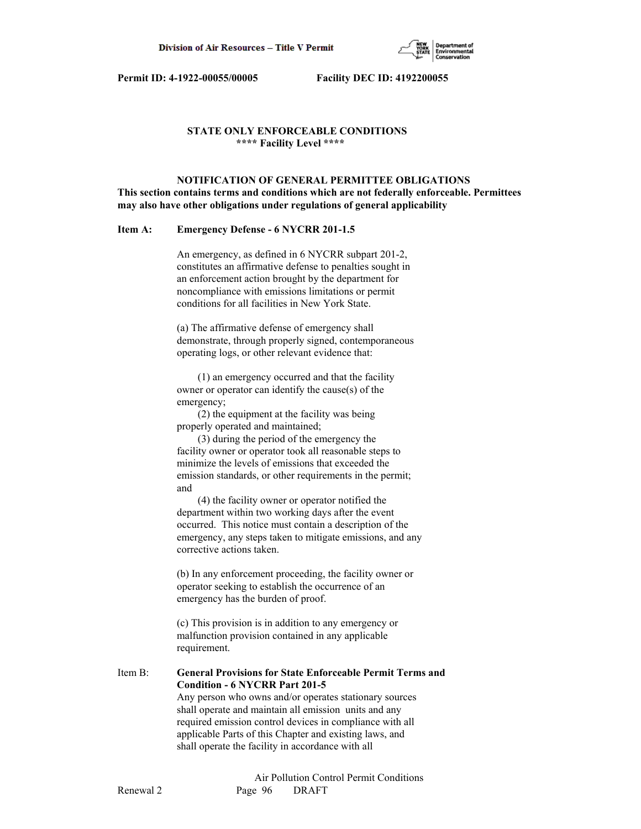

# **STATE ONLY ENFORCEABLE CONDITIONS \*\*\*\* Facility Level \*\*\*\***

 **NOTIFICATION OF GENERAL PERMITTEE OBLIGATIONS This section contains terms and conditions which are not federally enforceable. Permittees may also have other obligations under regulations of general applicability**

## **Item A: Emergency Defense - 6 NYCRR 201-1.5**

 An emergency, as defined in 6 NYCRR subpart 201-2, constitutes an affirmative defense to penalties sought in an enforcement action brought by the department for noncompliance with emissions limitations or permit conditions for all facilities in New York State.

 (a) The affirmative defense of emergency shall demonstrate, through properly signed, contemporaneous operating logs, or other relevant evidence that:

 (1) an emergency occurred and that the facility owner or operator can identify the cause(s) of the emergency;

 (2) the equipment at the facility was being properly operated and maintained;

 (3) during the period of the emergency the facility owner or operator took all reasonable steps to minimize the levels of emissions that exceeded the emission standards, or other requirements in the permit; and

 (4) the facility owner or operator notified the department within two working days after the event occurred. This notice must contain a description of the emergency, any steps taken to mitigate emissions, and any corrective actions taken.

 (b) In any enforcement proceeding, the facility owner or operator seeking to establish the occurrence of an emergency has the burden of proof.

 (c) This provision is in addition to any emergency or malfunction provision contained in any applicable requirement.

Item B: **General Provisions for State Enforceable Permit Terms and Condition - 6 NYCRR Part 201-5** Any person who owns and/or operates stationary sources shall operate and maintain all emission units and any required emission control devices in compliance with all

 applicable Parts of this Chapter and existing laws, and shall operate the facility in accordance with all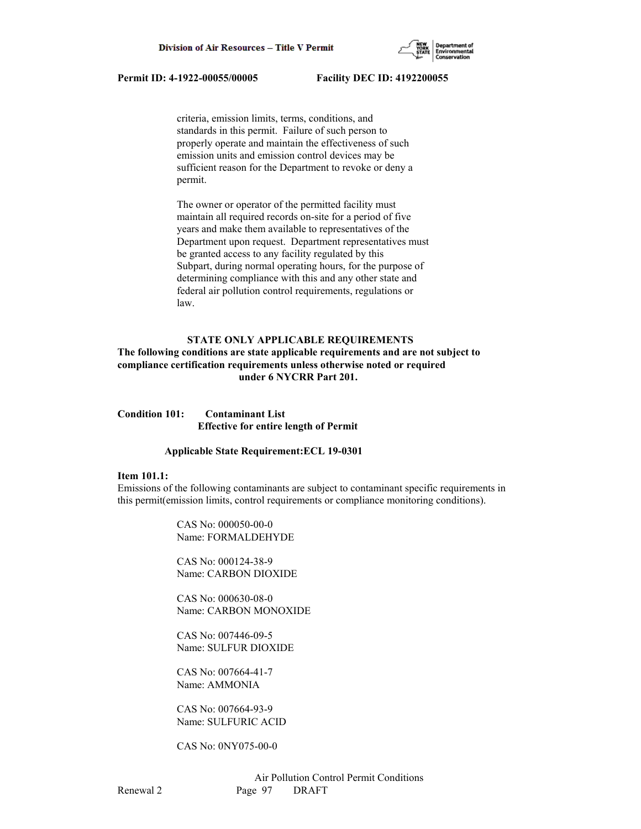

 criteria, emission limits, terms, conditions, and standards in this permit. Failure of such person to properly operate and maintain the effectiveness of such emission units and emission control devices may be sufficient reason for the Department to revoke or deny a permit.

 The owner or operator of the permitted facility must maintain all required records on-site for a period of five years and make them available to representatives of the Department upon request. Department representatives must be granted access to any facility regulated by this Subpart, during normal operating hours, for the purpose of determining compliance with this and any other state and federal air pollution control requirements, regulations or law.

# **STATE ONLY APPLICABLE REQUIREMENTS**

# **The following conditions are state applicable requirements and are not subject to compliance certification requirements unless otherwise noted or required under 6 NYCRR Part 201.**

**Condition 101: Contaminant List Effective for entire length of Permit**

#### **Applicable State Requirement:ECL 19-0301**

### **Item 101.1:**

Emissions of the following contaminants are subject to contaminant specific requirements in this permit(emission limits, control requirements or compliance monitoring conditions).

> CAS No: 000050-00-0 Name: FORMALDEHYDE

 CAS No: 000124-38-9 Name: CARBON DIOXIDE

 CAS No: 000630-08-0 Name: CARBON MONOXIDE

 CAS No: 007446-09-5 Name: SULFUR DIOXIDE

 CAS No: 007664-41-7 Name: AMMONIA

 CAS No: 007664-93-9 Name: SULFURIC ACID

CAS No: 0NY075-00-0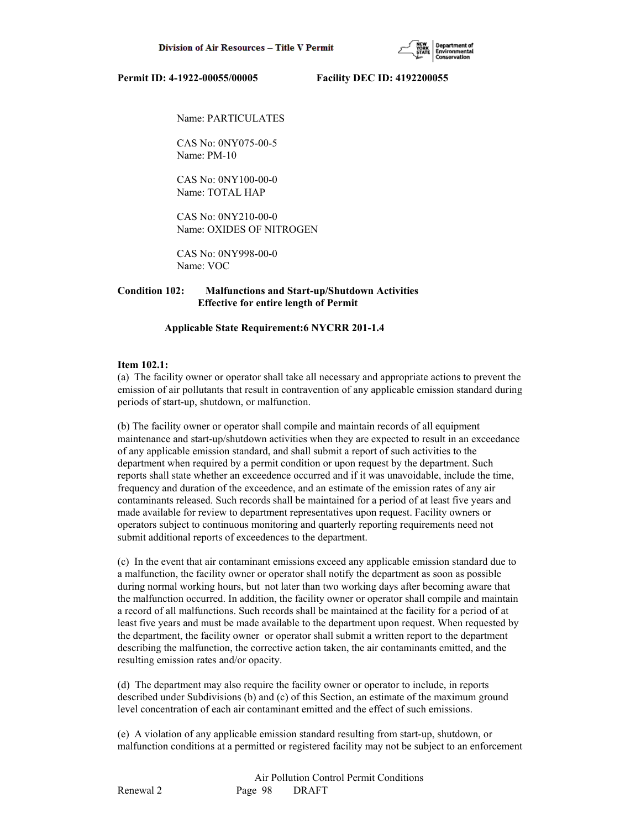

Name: PARTICULATES

 CAS No: 0NY075-00-5 Name: PM-10

 CAS No: 0NY100-00-0 Name: TOTAL HAP

 CAS No: 0NY210-00-0 Name: OXIDES OF NITROGEN

 CAS No: 0NY998-00-0 Name: VOC

# **Condition 102: Malfunctions and Start-up/Shutdown Activities Effective for entire length of Permit**

### **Applicable State Requirement:6 NYCRR 201-1.4**

# **Item 102.1:**

(a) The facility owner or operator shall take all necessary and appropriate actions to prevent the emission of air pollutants that result in contravention of any applicable emission standard during periods of start-up, shutdown, or malfunction.

(b) The facility owner or operator shall compile and maintain records of all equipment maintenance and start-up/shutdown activities when they are expected to result in an exceedance of any applicable emission standard, and shall submit a report of such activities to the department when required by a permit condition or upon request by the department. Such reports shall state whether an exceedence occurred and if it was unavoidable, include the time, frequency and duration of the exceedence, and an estimate of the emission rates of any air contaminants released. Such records shall be maintained for a period of at least five years and made available for review to department representatives upon request. Facility owners or operators subject to continuous monitoring and quarterly reporting requirements need not submit additional reports of exceedences to the department.

(c) In the event that air contaminant emissions exceed any applicable emission standard due to a malfunction, the facility owner or operator shall notify the department as soon as possible during normal working hours, but not later than two working days after becoming aware that the malfunction occurred. In addition, the facility owner or operator shall compile and maintain a record of all malfunctions. Such records shall be maintained at the facility for a period of at least five years and must be made available to the department upon request. When requested by the department, the facility owner or operator shall submit a written report to the department describing the malfunction, the corrective action taken, the air contaminants emitted, and the resulting emission rates and/or opacity.

(d) The department may also require the facility owner or operator to include, in reports described under Subdivisions (b) and (c) of this Section, an estimate of the maximum ground level concentration of each air contaminant emitted and the effect of such emissions.

(e) A violation of any applicable emission standard resulting from start-up, shutdown, or malfunction conditions at a permitted or registered facility may not be subject to an enforcement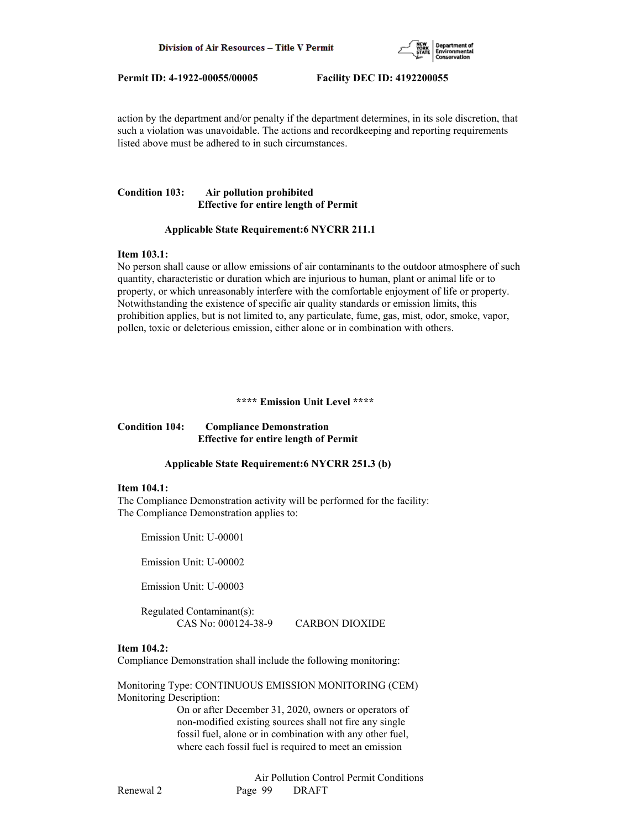

action by the department and/or penalty if the department determines, in its sole discretion, that such a violation was unavoidable. The actions and recordkeeping and reporting requirements listed above must be adhered to in such circumstances.

# **Condition 103: Air pollution prohibited Effective for entire length of Permit**

#### **Applicable State Requirement:6 NYCRR 211.1**

### **Item 103.1:**

No person shall cause or allow emissions of air contaminants to the outdoor atmosphere of such quantity, characteristic or duration which are injurious to human, plant or animal life or to property, or which unreasonably interfere with the comfortable enjoyment of life or property. Notwithstanding the existence of specific air quality standards or emission limits, this prohibition applies, but is not limited to, any particulate, fume, gas, mist, odor, smoke, vapor, pollen, toxic or deleterious emission, either alone or in combination with others.

### **\*\*\*\* Emission Unit Level \*\*\*\***

# **Condition 104: Compliance Demonstration Effective for entire length of Permit**

#### **Applicable State Requirement:6 NYCRR 251.3 (b)**

### **Item 104.1:**

The Compliance Demonstration activity will be performed for the facility: The Compliance Demonstration applies to:

Emission Unit: U-00001

Emission Unit: U-00002

Emission Unit: U-00003

 Regulated Contaminant(s): CAS No: 000124-38-9 CARBON DIOXIDE

## **Item 104.2:**

Compliance Demonstration shall include the following monitoring:

Monitoring Type: CONTINUOUS EMISSION MONITORING (CEM) Monitoring Description:

> On or after December 31, 2020, owners or operators of non-modified existing sources shall not fire any single fossil fuel, alone or in combination with any other fuel, where each fossil fuel is required to meet an emission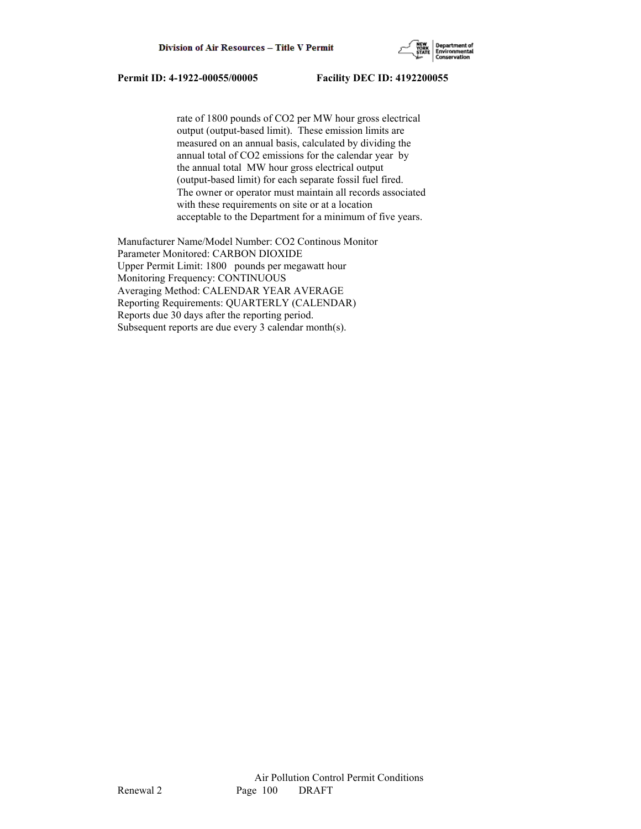

 rate of 1800 pounds of CO2 per MW hour gross electrical output (output-based limit). These emission limits are measured on an annual basis, calculated by dividing the annual total of CO2 emissions for the calendar year by the annual total MW hour gross electrical output (output-based limit) for each separate fossil fuel fired. The owner or operator must maintain all records associated with these requirements on site or at a location acceptable to the Department for a minimum of five years.

Manufacturer Name/Model Number: CO2 Continous Monitor Parameter Monitored: CARBON DIOXIDE Upper Permit Limit: 1800 pounds per megawatt hour Monitoring Frequency: CONTINUOUS Averaging Method: CALENDAR YEAR AVERAGE Reporting Requirements: QUARTERLY (CALENDAR) Reports due 30 days after the reporting period. Subsequent reports are due every 3 calendar month(s).